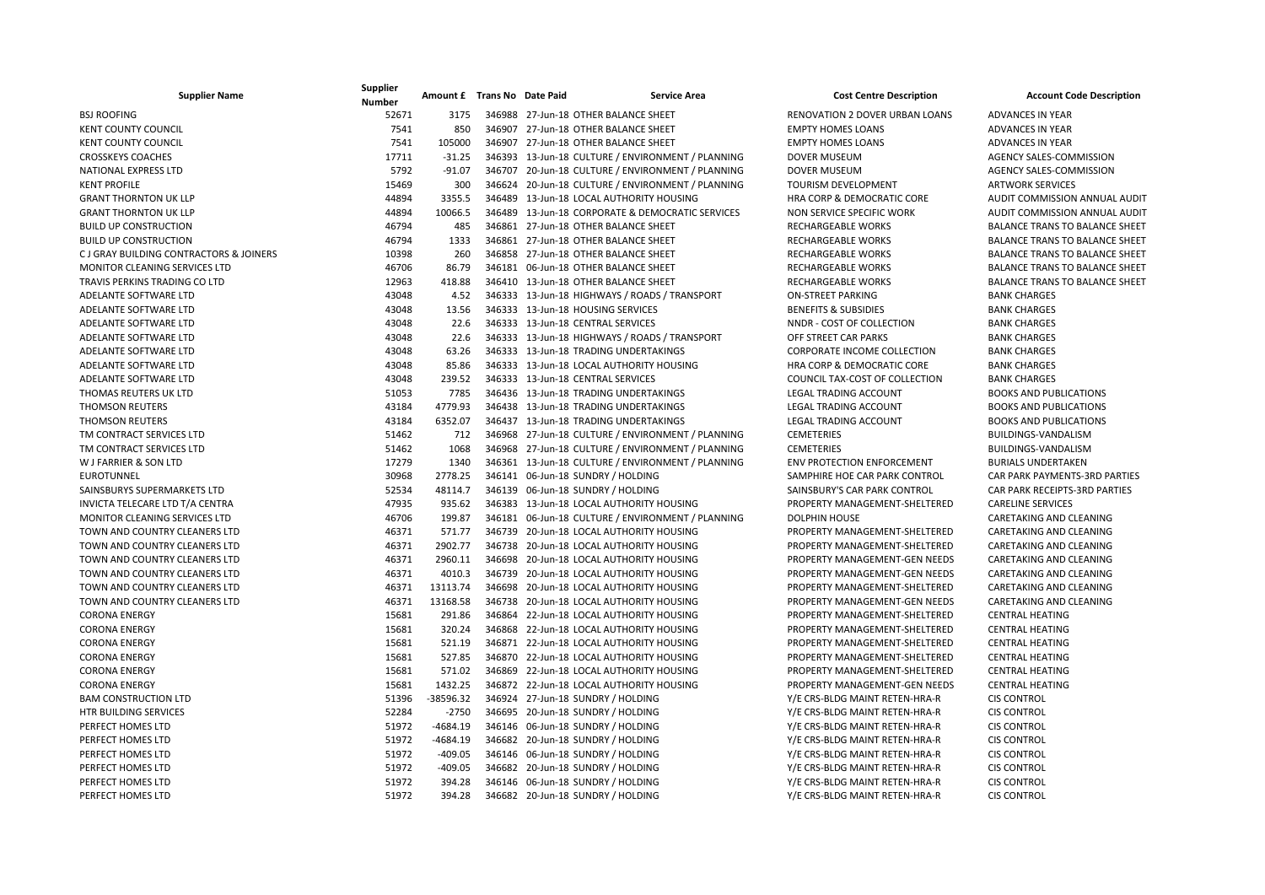| <b>Supplier Name</b>                    | Supplier<br><b>Number</b> | Amount £ Trans No Date Paid |  | <b>Service Area</b>                               | <b>Cost Centre Description</b>    | <b>Account Code Description</b>       |
|-----------------------------------------|---------------------------|-----------------------------|--|---------------------------------------------------|-----------------------------------|---------------------------------------|
| <b>BSJ ROOFING</b>                      | 52671                     | 3175                        |  | 346988 27-Jun-18 OTHER BALANCE SHEET              | RENOVATION 2 DOVER URBAN LOANS    | <b>ADVANCES IN YEAR</b>               |
| <b>KENT COUNTY COUNCIL</b>              | 7541                      | 850                         |  | 346907 27-Jun-18 OTHER BALANCE SHEET              | <b>EMPTY HOMES LOANS</b>          | <b>ADVANCES IN YEAR</b>               |
| <b>KENT COUNTY COUNCIL</b>              | 7541                      | 105000                      |  | 346907 27-Jun-18 OTHER BALANCE SHEET              | <b>EMPTY HOMES LOANS</b>          | <b>ADVANCES IN YEAR</b>               |
| <b>CROSSKEYS COACHES</b>                | 17711                     | $-31.25$                    |  | 346393 13-Jun-18 CULTURE / ENVIRONMENT / PLANNING | <b>DOVER MUSEUM</b>               | AGENCY SALES-COMMISSION               |
| NATIONAL EXPRESS LTD                    | 5792                      | $-91.07$                    |  | 346707 20-Jun-18 CULTURE / ENVIRONMENT / PLANNING | DOVER MUSEUM                      | AGENCY SALES-COMMISSION               |
| <b>KENT PROFILE</b>                     | 15469                     | 300                         |  | 346624 20-Jun-18 CULTURE / ENVIRONMENT / PLANNING | TOURISM DEVELOPMENT               | <b>ARTWORK SERVICES</b>               |
| <b>GRANT THORNTON UK LLP</b>            | 44894                     | 3355.5                      |  | 346489 13-Jun-18 LOCAL AUTHORITY HOUSING          | HRA CORP & DEMOCRATIC CORE        | AUDIT COMMISSION ANNUAL AUDIT         |
| <b>GRANT THORNTON UK LLP</b>            | 44894                     | 10066.5                     |  | 346489 13-Jun-18 CORPORATE & DEMOCRATIC SERVICES  | NON SERVICE SPECIFIC WORK         | AUDIT COMMISSION ANNUAL AUDIT         |
| <b>BUILD UP CONSTRUCTION</b>            | 46794                     | 485                         |  | 346861 27-Jun-18 OTHER BALANCE SHEET              | <b>RECHARGEABLE WORKS</b>         | <b>BALANCE TRANS TO BALANCE SHEET</b> |
| <b>BUILD UP CONSTRUCTION</b>            | 46794                     | 1333                        |  | 346861 27-Jun-18 OTHER BALANCE SHEET              | RECHARGEABLE WORKS                | <b>BALANCE TRANS TO BALANCE SHEET</b> |
| C J GRAY BUILDING CONTRACTORS & JOINERS | 10398                     | 260                         |  | 346858 27-Jun-18 OTHER BALANCE SHEET              | RECHARGEABLE WORKS                | <b>BALANCE TRANS TO BALANCE SHEET</b> |
| MONITOR CLEANING SERVICES LTD           | 46706                     | 86.79                       |  | 346181 06-Jun-18 OTHER BALANCE SHEET              | RECHARGEABLE WORKS                | <b>BALANCE TRANS TO BALANCE SHEET</b> |
| TRAVIS PERKINS TRADING CO LTD           | 12963                     | 418.88                      |  | 346410 13-Jun-18 OTHER BALANCE SHEET              | RECHARGEABLE WORKS                | <b>BALANCE TRANS TO BALANCE SHEET</b> |
| ADELANTE SOFTWARE LTD                   | 43048                     | 4.52                        |  | 346333 13-Jun-18 HIGHWAYS / ROADS / TRANSPORT     | <b>ON-STREET PARKING</b>          | <b>BANK CHARGES</b>                   |
| ADELANTE SOFTWARE LTD                   | 43048                     | 13.56                       |  | 346333 13-Jun-18 HOUSING SERVICES                 | <b>BENEFITS &amp; SUBSIDIES</b>   | <b>BANK CHARGES</b>                   |
| ADELANTE SOFTWARE LTD                   | 43048                     | 22.6                        |  | 346333 13-Jun-18 CENTRAL SERVICES                 | NNDR - COST OF COLLECTION         | <b>BANK CHARGES</b>                   |
| ADELANTE SOFTWARE LTD                   | 43048                     | 22.6                        |  | 346333 13-Jun-18 HIGHWAYS / ROADS / TRANSPORT     | OFF STREET CAR PARKS              | <b>BANK CHARGES</b>                   |
| ADELANTE SOFTWARE LTD                   | 43048                     | 63.26                       |  | 346333 13-Jun-18 TRADING UNDERTAKINGS             | CORPORATE INCOME COLLECTION       | <b>BANK CHARGES</b>                   |
| ADELANTE SOFTWARE LTD                   | 43048                     | 85.86                       |  | 346333 13-Jun-18 LOCAL AUTHORITY HOUSING          | HRA CORP & DEMOCRATIC CORE        | <b>BANK CHARGES</b>                   |
| ADELANTE SOFTWARE LTD                   | 43048                     | 239.52                      |  | 346333 13-Jun-18 CENTRAL SERVICES                 | COUNCIL TAX-COST OF COLLECTION    | <b>BANK CHARGES</b>                   |
| THOMAS REUTERS UK LTD                   | 51053                     | 7785                        |  | 346436 13-Jun-18 TRADING UNDERTAKINGS             | <b>LEGAL TRADING ACCOUNT</b>      | <b>BOOKS AND PUBLICATIONS</b>         |
| <b>THOMSON REUTERS</b>                  | 43184                     | 4779.93                     |  | 346438 13-Jun-18 TRADING UNDERTAKINGS             | <b>LEGAL TRADING ACCOUNT</b>      | <b>BOOKS AND PUBLICATIONS</b>         |
| <b>THOMSON REUTERS</b>                  | 43184                     | 6352.07                     |  | 346437 13-Jun-18 TRADING UNDERTAKINGS             | <b>LEGAL TRADING ACCOUNT</b>      | <b>BOOKS AND PUBLICATIONS</b>         |
| TM CONTRACT SERVICES LTD                | 51462                     | 712                         |  | 346968 27-Jun-18 CULTURE / ENVIRONMENT / PLANNING | <b>CEMETERIES</b>                 | BUILDINGS-VANDALISM                   |
| TM CONTRACT SERVICES LTD                | 51462                     | 1068                        |  | 346968 27-Jun-18 CULTURE / ENVIRONMENT / PLANNING | <b>CEMETERIES</b>                 | BUILDINGS-VANDALISM                   |
| W J FARRIER & SON LTD                   | 17279                     | 1340                        |  | 346361 13-Jun-18 CULTURE / ENVIRONMENT / PLANNING | <b>ENV PROTECTION ENFORCEMENT</b> | <b>BURIALS UNDERTAKEN</b>             |
| <b>EUROTUNNEL</b>                       | 30968                     | 2778.25                     |  | 346141 06-Jun-18 SUNDRY / HOLDING                 | SAMPHIRE HOE CAR PARK CONTROL     | CAR PARK PAYMENTS-3RD PARTIES         |
| SAINSBURYS SUPERMARKETS LTD             | 52534                     | 48114.7                     |  | 346139 06-Jun-18 SUNDRY / HOLDING                 | SAINSBURY'S CAR PARK CONTROL      | CAR PARK RECEIPTS-3RD PARTIES         |
| INVICTA TELECARE LTD T/A CENTRA         | 47935                     | 935.62                      |  | 346383 13-Jun-18 LOCAL AUTHORITY HOUSING          | PROPERTY MANAGEMENT-SHELTERED     | <b>CARELINE SERVICES</b>              |
| MONITOR CLEANING SERVICES LTD           | 46706                     | 199.87                      |  | 346181 06-Jun-18 CULTURE / ENVIRONMENT / PLANNING | <b>DOLPHIN HOUSE</b>              | CARETAKING AND CLEANING               |
| TOWN AND COUNTRY CLEANERS LTD           | 46371                     | 571.77                      |  | 346739 20-Jun-18 LOCAL AUTHORITY HOUSING          | PROPERTY MANAGEMENT-SHELTERED     | CARETAKING AND CLEANING               |
| TOWN AND COUNTRY CLEANERS LTD           | 46371                     | 2902.77                     |  | 346738 20-Jun-18 LOCAL AUTHORITY HOUSING          | PROPERTY MANAGEMENT-SHELTERED     | CARETAKING AND CLEANING               |
| TOWN AND COUNTRY CLEANERS LTD           | 46371                     | 2960.11                     |  | 346698 20-Jun-18 LOCAL AUTHORITY HOUSING          | PROPERTY MANAGEMENT-GEN NEEDS     | CARETAKING AND CLEANING               |
| TOWN AND COUNTRY CLEANERS LTD           | 46371                     | 4010.3                      |  | 346739 20-Jun-18 LOCAL AUTHORITY HOUSING          | PROPERTY MANAGEMENT-GEN NEEDS     | CARETAKING AND CLEANING               |
| TOWN AND COUNTRY CLEANERS LTD           | 46371                     | 13113.74                    |  | 346698 20-Jun-18 LOCAL AUTHORITY HOUSING          | PROPERTY MANAGEMENT-SHELTERED     | CARETAKING AND CLEANING               |
| TOWN AND COUNTRY CLEANERS LTD           | 46371                     | 13168.58                    |  | 346738 20-Jun-18 LOCAL AUTHORITY HOUSING          | PROPERTY MANAGEMENT-GEN NEEDS     | CARETAKING AND CLEANING               |
| <b>CORONA ENERGY</b>                    | 15681                     | 291.86                      |  | 346864 22-Jun-18 LOCAL AUTHORITY HOUSING          | PROPERTY MANAGEMENT-SHELTERED     | <b>CENTRAL HEATING</b>                |
| <b>CORONA ENERGY</b>                    | 15681                     | 320.24                      |  | 346868 22-Jun-18 LOCAL AUTHORITY HOUSING          | PROPERTY MANAGEMENT-SHELTERED     | <b>CENTRAL HEATING</b>                |
| <b>CORONA ENERGY</b>                    | 15681                     | 521.19                      |  | 346871 22-Jun-18 LOCAL AUTHORITY HOUSING          | PROPERTY MANAGEMENT-SHELTERED     | <b>CENTRAL HEATING</b>                |
| <b>CORONA ENERGY</b>                    | 15681                     | 527.85                      |  | 346870 22-Jun-18 LOCAL AUTHORITY HOUSING          | PROPERTY MANAGEMENT-SHELTERED     | <b>CENTRAL HEATING</b>                |
| <b>CORONA ENERGY</b>                    | 15681                     | 571.02                      |  | 346869 22-Jun-18 LOCAL AUTHORITY HOUSING          | PROPERTY MANAGEMENT-SHELTERED     | <b>CENTRAL HEATING</b>                |
| <b>CORONA ENERGY</b>                    | 15681                     | 1432.25                     |  | 346872 22-Jun-18 LOCAL AUTHORITY HOUSING          | PROPERTY MANAGEMENT-GEN NEEDS     | <b>CENTRAL HEATING</b>                |
| <b>BAM CONSTRUCTION LTD</b>             | 51396                     | $-38596.32$                 |  | 346924 27-Jun-18 SUNDRY / HOLDING                 | Y/E CRS-BLDG MAINT RETEN-HRA-R    | <b>CIS CONTROL</b>                    |
| HTR BUILDING SERVICES                   | 52284                     | $-2750$                     |  | 346695 20-Jun-18 SUNDRY / HOLDING                 | Y/E CRS-BLDG MAINT RETEN-HRA-R    | <b>CIS CONTROL</b>                    |
| PERFECT HOMES LTD                       | 51972                     | $-4684.19$                  |  | 346146 06-Jun-18 SUNDRY / HOLDING                 | Y/E CRS-BLDG MAINT RETEN-HRA-R    | <b>CIS CONTROL</b>                    |
| PERFECT HOMES LTD                       | 51972                     | $-4684.19$                  |  | 346682 20-Jun-18 SUNDRY / HOLDING                 | Y/E CRS-BLDG MAINT RETEN-HRA-R    | <b>CIS CONTROL</b>                    |
| PERFECT HOMES LTD                       | 51972                     | $-409.05$                   |  | 346146 06-Jun-18 SUNDRY / HOLDING                 | Y/E CRS-BLDG MAINT RETEN-HRA-R    | <b>CIS CONTROL</b>                    |
| PERFECT HOMES LTD                       | 51972                     | $-409.05$                   |  | 346682 20-Jun-18 SUNDRY / HOLDING                 | Y/E CRS-BLDG MAINT RETEN-HRA-R    | <b>CIS CONTROL</b>                    |
| PERFECT HOMES LTD                       | 51972                     | 394.28                      |  | 346146 06-Jun-18 SUNDRY / HOLDING                 | Y/E CRS-BLDG MAINT RETEN-HRA-R    | <b>CIS CONTROL</b>                    |
| PERFECT HOMES LTD                       | 51972                     | 394.28                      |  | 346682 20-Jun-18 SUNDRY / HOLDING                 | Y/E CRS-BLDG MAINT RETEN-HRA-R    | <b>CIS CONTROL</b>                    |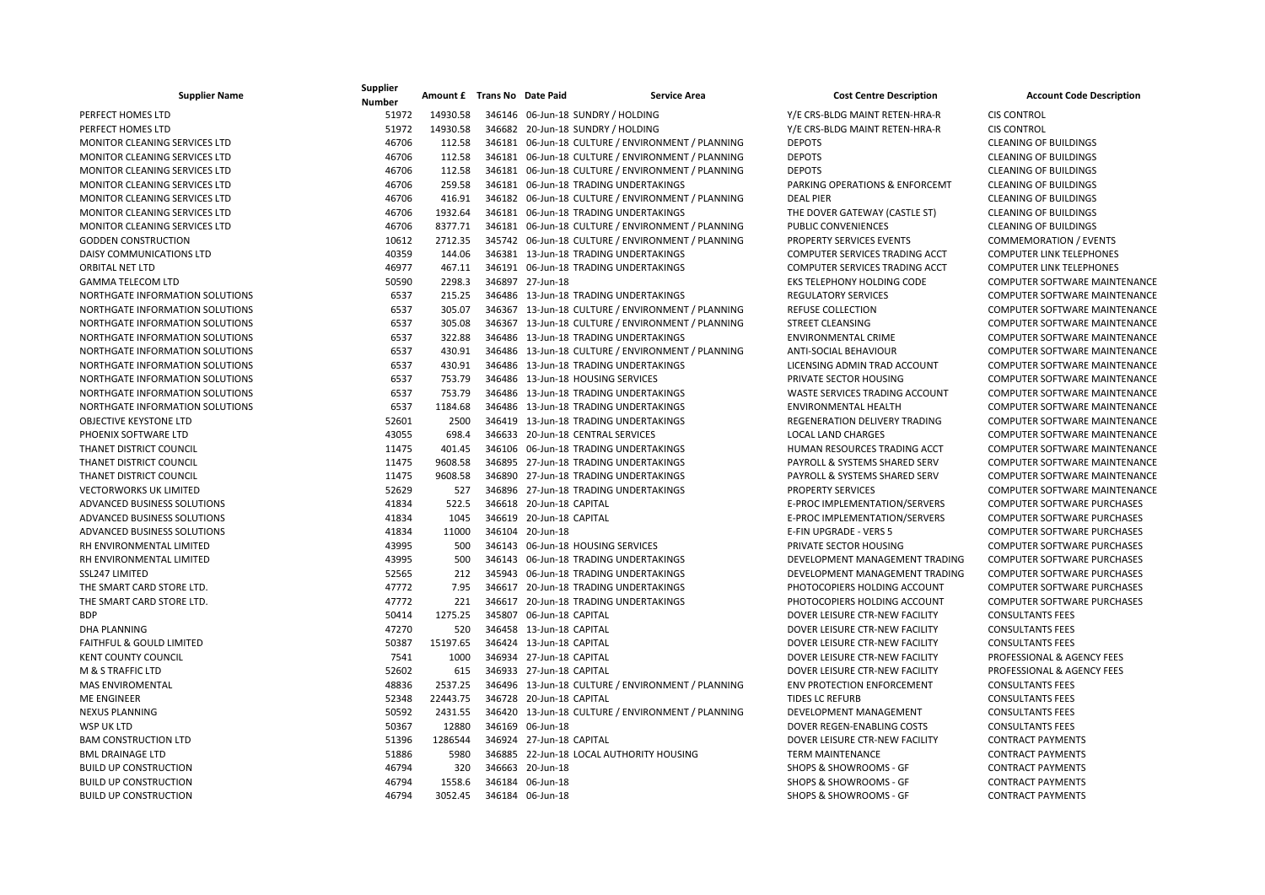| <b>Supplier Name</b>                 | Supplier<br><b>Number</b> | Amount £ Trans No Date Paid | <b>Service Area</b>                               | <b>Cost Centre Description</b>    | <b>Account Code Description</b>      |
|--------------------------------------|---------------------------|-----------------------------|---------------------------------------------------|-----------------------------------|--------------------------------------|
| PERFECT HOMES LTD                    | 51972                     | 14930.58                    | 346146 06-Jun-18 SUNDRY / HOLDING                 | Y/E CRS-BLDG MAINT RETEN-HRA-R    | <b>CIS CONTROL</b>                   |
| PERFECT HOMES LTD                    | 51972                     | 14930.58                    | 346682 20-Jun-18 SUNDRY / HOLDING                 | Y/E CRS-BLDG MAINT RETEN-HRA-R    | <b>CIS CONTROL</b>                   |
| MONITOR CLEANING SERVICES LTD        | 46706                     | 112.58                      | 346181 06-Jun-18 CULTURE / ENVIRONMENT / PLANNING | <b>DEPOTS</b>                     | <b>CLEANING OF BUILDINGS</b>         |
| <b>MONITOR CLEANING SERVICES LTD</b> | 46706                     | 112.58                      | 346181 06-Jun-18 CULTURE / ENVIRONMENT / PLANNING | <b>DEPOTS</b>                     | <b>CLEANING OF BUILDINGS</b>         |
| MONITOR CLEANING SERVICES LTD        | 46706                     | 112.58                      | 346181 06-Jun-18 CULTURE / ENVIRONMENT / PLANNING | <b>DEPOTS</b>                     | <b>CLEANING OF BUILDINGS</b>         |
| MONITOR CLEANING SERVICES LTD        | 46706                     | 259.58                      | 346181 06-Jun-18 TRADING UNDERTAKINGS             | PARKING OPERATIONS & ENFORCEMT    | <b>CLEANING OF BUILDINGS</b>         |
| MONITOR CLEANING SERVICES LTD        | 46706                     | 416.91                      | 346182 06-Jun-18 CULTURE / ENVIRONMENT / PLANNING | <b>DEAL PIER</b>                  | <b>CLEANING OF BUILDINGS</b>         |
| MONITOR CLEANING SERVICES LTD        | 46706                     | 1932.64                     | 346181 06-Jun-18 TRADING UNDERTAKINGS             | THE DOVER GATEWAY (CASTLE ST)     | <b>CLEANING OF BUILDINGS</b>         |
| MONITOR CLEANING SERVICES LTD        | 46706                     | 8377.71                     | 346181 06-Jun-18 CULTURE / ENVIRONMENT / PLANNING | PUBLIC CONVENIENCES               | <b>CLEANING OF BUILDINGS</b>         |
| <b>GODDEN CONSTRUCTION</b>           | 10612                     | 2712.35                     | 345742 06-Jun-18 CULTURE / ENVIRONMENT / PLANNING | PROPERTY SERVICES EVENTS          | <b>COMMEMORATION / EVENTS</b>        |
| DAISY COMMUNICATIONS LTD             | 40359                     | 144.06                      | 346381 13-Jun-18 TRADING UNDERTAKINGS             | COMPUTER SERVICES TRADING ACCT    | <b>COMPUTER LINK TELEPHONES</b>      |
| ORBITAL NET LTD                      | 46977                     | 467.11                      | 346191 06-Jun-18 TRADING UNDERTAKINGS             | COMPUTER SERVICES TRADING ACCT    | <b>COMPUTER LINK TELEPHONES</b>      |
| <b>GAMMA TELECOM LTD</b>             | 50590                     | 2298.3                      | 346897 27-Jun-18                                  | EKS TELEPHONY HOLDING CODE        | COMPUTER SOFTWARE MAINTENANCE        |
| NORTHGATE INFORMATION SOLUTIONS      | 6537                      | 215.25                      | 346486 13-Jun-18 TRADING UNDERTAKINGS             | <b>REGULATORY SERVICES</b>        | COMPUTER SOFTWARE MAINTENANCE        |
| NORTHGATE INFORMATION SOLUTIONS      | 6537                      | 305.07                      | 346367 13-Jun-18 CULTURE / ENVIRONMENT / PLANNING | <b>REFUSE COLLECTION</b>          | <b>COMPUTER SOFTWARE MAINTENANCE</b> |
| NORTHGATE INFORMATION SOLUTIONS      | 6537                      | 305.08                      | 346367 13-Jun-18 CULTURE / ENVIRONMENT / PLANNING | <b>STREET CLEANSING</b>           | COMPUTER SOFTWARE MAINTENANCE        |
| NORTHGATE INFORMATION SOLUTIONS      | 6537                      | 322.88                      | 346486 13-Jun-18 TRADING UNDERTAKINGS             | ENVIRONMENTAL CRIME               | COMPUTER SOFTWARE MAINTENANCE        |
| NORTHGATE INFORMATION SOLUTIONS      | 6537                      | 430.91                      | 346486 13-Jun-18 CULTURE / ENVIRONMENT / PLANNING | ANTI-SOCIAL BEHAVIOUR             | COMPUTER SOFTWARE MAINTENANCE        |
| NORTHGATE INFORMATION SOLUTIONS      | 6537                      | 430.91                      | 346486 13-Jun-18 TRADING UNDERTAKINGS             | LICENSING ADMIN TRAD ACCOUNT      | <b>COMPUTER SOFTWARE MAINTENANCE</b> |
| NORTHGATE INFORMATION SOLUTIONS      | 6537                      | 753.79                      | 346486 13-Jun-18 HOUSING SERVICES                 | PRIVATE SECTOR HOUSING            | COMPUTER SOFTWARE MAINTENANCE        |
| NORTHGATE INFORMATION SOLUTIONS      | 6537                      | 753.79                      | 346486 13-Jun-18 TRADING UNDERTAKINGS             | WASTE SERVICES TRADING ACCOUNT    | COMPUTER SOFTWARE MAINTENANCE        |
| NORTHGATE INFORMATION SOLUTIONS      | 6537                      | 1184.68                     | 346486 13-Jun-18 TRADING UNDERTAKINGS             | ENVIRONMENTAL HEALTH              | COMPUTER SOFTWARE MAINTENANCE        |
| <b>OBJECTIVE KEYSTONE LTD</b>        | 52601                     | 2500                        | 346419 13-Jun-18 TRADING UNDERTAKINGS             | REGENERATION DELIVERY TRADING     | <b>COMPUTER SOFTWARE MAINTENANCE</b> |
| PHOENIX SOFTWARE LTD                 | 43055                     | 698.4                       | 346633 20-Jun-18 CENTRAL SERVICES                 | <b>LOCAL LAND CHARGES</b>         | <b>COMPUTER SOFTWARE MAINTENANCE</b> |
| THANET DISTRICT COUNCIL              | 11475                     | 401.45                      | 346106 06-Jun-18 TRADING UNDERTAKINGS             | HUMAN RESOURCES TRADING ACCT      | <b>COMPUTER SOFTWARE MAINTENANCE</b> |
| THANET DISTRICT COUNCIL              | 11475                     | 9608.58                     | 346895 27-Jun-18 TRADING UNDERTAKINGS             | PAYROLL & SYSTEMS SHARED SERV     | COMPUTER SOFTWARE MAINTENANCE        |
| THANET DISTRICT COUNCIL              | 11475                     | 9608.58                     | 346890 27-Jun-18 TRADING UNDERTAKINGS             | PAYROLL & SYSTEMS SHARED SERV     | COMPUTER SOFTWARE MAINTENANCE        |
| <b>VECTORWORKS UK LIMITED</b>        | 52629                     | 527                         | 346896 27-Jun-18 TRADING UNDERTAKINGS             | <b>PROPERTY SERVICES</b>          | COMPUTER SOFTWARE MAINTENANCE        |
| ADVANCED BUSINESS SOLUTIONS          | 41834                     | 522.5                       | 346618 20-Jun-18 CAPITAL                          | E-PROC IMPLEMENTATION/SERVERS     | <b>COMPUTER SOFTWARE PURCHASES</b>   |
| ADVANCED BUSINESS SOLUTIONS          | 41834                     | 1045                        | 346619 20-Jun-18 CAPITAL                          | E-PROC IMPLEMENTATION/SERVERS     | <b>COMPUTER SOFTWARE PURCHASES</b>   |
| ADVANCED BUSINESS SOLUTIONS          | 41834                     | 11000                       | 346104 20-Jun-18                                  | E-FIN UPGRADE - VERS 5            | COMPUTER SOFTWARE PURCHASES          |
| RH ENVIRONMENTAL LIMITED             | 43995                     | 500                         | 346143 06-Jun-18 HOUSING SERVICES                 | PRIVATE SECTOR HOUSING            | <b>COMPUTER SOFTWARE PURCHASES</b>   |
| RH ENVIRONMENTAL LIMITED             | 43995                     | 500                         | 346143 06-Jun-18 TRADING UNDERTAKINGS             | DEVELOPMENT MANAGEMENT TRADING    | COMPUTER SOFTWARE PURCHASES          |
| SSL247 LIMITED                       | 52565                     | 212                         | 345943 06-Jun-18 TRADING UNDERTAKINGS             | DEVELOPMENT MANAGEMENT TRADING    | <b>COMPUTER SOFTWARE PURCHASES</b>   |
| THE SMART CARD STORE LTD.            | 47772                     | 7.95                        | 346617 20-Jun-18 TRADING UNDERTAKINGS             | PHOTOCOPIERS HOLDING ACCOUNT      | <b>COMPUTER SOFTWARE PURCHASES</b>   |
| THE SMART CARD STORE LTD.            | 47772                     | 221                         | 346617 20-Jun-18 TRADING UNDERTAKINGS             | PHOTOCOPIERS HOLDING ACCOUNT      | <b>COMPUTER SOFTWARE PURCHASES</b>   |
| <b>BDP</b>                           | 50414                     | 1275.25                     | 345807 06-Jun-18 CAPITAL                          | DOVER LEISURE CTR-NEW FACILITY    | <b>CONSULTANTS FEES</b>              |
| DHA PLANNING                         | 47270                     | 520                         | 346458 13-Jun-18 CAPITAL                          | DOVER LEISURE CTR-NEW FACILITY    | <b>CONSULTANTS FEES</b>              |
| <b>FAITHFUL &amp; GOULD LIMITED</b>  | 50387                     | 15197.65                    | 346424 13-Jun-18 CAPITAL                          | DOVER LEISURE CTR-NEW FACILITY    | <b>CONSULTANTS FEES</b>              |
| <b>KENT COUNTY COUNCIL</b>           | 7541                      | 1000                        | 346934 27-Jun-18 CAPITAL                          | DOVER LEISURE CTR-NEW FACILITY    | PROFESSIONAL & AGENCY FEES           |
| M & S TRAFFIC LTD                    | 52602                     | 615                         | 346933 27-Jun-18 CAPITAL                          | DOVER LEISURE CTR-NEW FACILITY    | PROFESSIONAL & AGENCY FEES           |
| <b>MAS ENVIROMENTAL</b>              | 48836                     | 2537.25                     | 346496 13-Jun-18 CULTURE / ENVIRONMENT / PLANNING | <b>ENV PROTECTION ENFORCEMENT</b> | <b>CONSULTANTS FEES</b>              |
| <b>ME ENGINEER</b>                   | 52348                     | 22443.75                    | 346728 20-Jun-18 CAPITAL                          | <b>TIDES LC REFURB</b>            | <b>CONSULTANTS FEES</b>              |
| <b>NEXUS PLANNING</b>                | 50592                     | 2431.55                     | 346420 13-Jun-18 CULTURE / ENVIRONMENT / PLANNING | DEVELOPMENT MANAGEMENT            | <b>CONSULTANTS FEES</b>              |
| <b>WSP UK LTD</b>                    | 50367                     | 12880                       | 346169 06-Jun-18                                  | DOVER REGEN-ENABLING COSTS        | <b>CONSULTANTS FEES</b>              |
| <b>BAM CONSTRUCTION LTD</b>          | 51396                     | 1286544                     | 346924 27-Jun-18 CAPITAL                          | DOVER LEISURE CTR-NEW FACILITY    | <b>CONTRACT PAYMENTS</b>             |
| <b>BML DRAINAGE LTD</b>              | 51886                     | 5980                        | 346885 22-Jun-18 LOCAL AUTHORITY HOUSING          | <b>TERM MAINTENANCE</b>           | <b>CONTRACT PAYMENTS</b>             |
| <b>BUILD UP CONSTRUCTION</b>         | 46794                     | 320                         | 346663 20-Jun-18                                  | SHOPS & SHOWROOMS - GF            | <b>CONTRACT PAYMENTS</b>             |
| <b>BUILD UP CONSTRUCTION</b>         | 46794                     | 1558.6                      | 346184 06-Jun-18                                  | SHOPS & SHOWROOMS - GF            | <b>CONTRACT PAYMENTS</b>             |
| <b>BUILD UP CONSTRUCTION</b>         | 46794                     | 3052.45                     | 346184 06-Jun-18                                  | SHOPS & SHOWROOMS - GF            | <b>CONTRACT PAYMENTS</b>             |
|                                      |                           |                             |                                                   |                                   |                                      |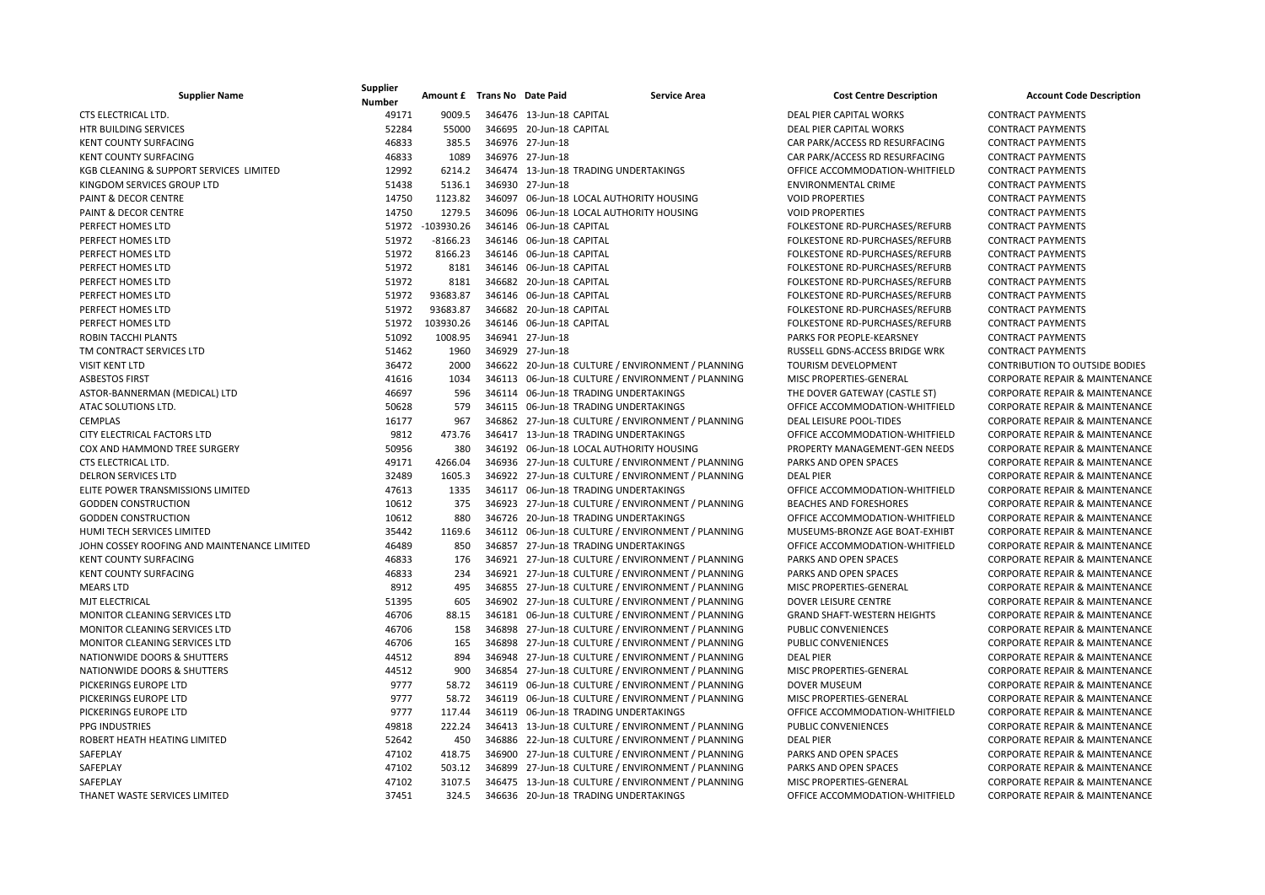| <b>Supplier Name</b>                        | Supplier<br><b>Number</b> | Amount £ Trans No Date Paid |                          | <b>Service Area</b>                               | <b>Cost Centre Description</b>     | <b>Account Code Description</b>           |
|---------------------------------------------|---------------------------|-----------------------------|--------------------------|---------------------------------------------------|------------------------------------|-------------------------------------------|
| CTS ELECTRICAL LTD.                         | 49171                     | 9009.5                      | 346476 13-Jun-18 CAPITAL |                                                   | DEAL PIER CAPITAL WORKS            | <b>CONTRACT PAYMENTS</b>                  |
| HTR BUILDING SERVICES                       | 52284                     | 55000                       | 346695 20-Jun-18 CAPITAL |                                                   | <b>DEAL PIER CAPITAL WORKS</b>     | <b>CONTRACT PAYMENTS</b>                  |
| KENT COUNTY SURFACING                       | 46833                     | 385.5                       | 346976 27-Jun-18         |                                                   | CAR PARK/ACCESS RD RESURFACING     | <b>CONTRACT PAYMENTS</b>                  |
| <b>KENT COUNTY SURFACING</b>                | 46833                     | 1089                        | 346976 27-Jun-18         |                                                   | CAR PARK/ACCESS RD RESURFACING     | <b>CONTRACT PAYMENTS</b>                  |
| KGB CLEANING & SUPPORT SERVICES LIMITED     | 12992                     | 6214.2                      |                          | 346474 13-Jun-18 TRADING UNDERTAKINGS             | OFFICE ACCOMMODATION-WHITFIELD     | <b>CONTRACT PAYMENTS</b>                  |
| KINGDOM SERVICES GROUP LTD                  | 51438                     | 5136.1                      | 346930 27-Jun-18         |                                                   | <b>ENVIRONMENTAL CRIME</b>         | <b>CONTRACT PAYMENTS</b>                  |
| <b>PAINT &amp; DECOR CENTRE</b>             | 14750                     | 1123.82                     |                          | 346097 06-Jun-18 LOCAL AUTHORITY HOUSING          | <b>VOID PROPERTIES</b>             | <b>CONTRACT PAYMENTS</b>                  |
| PAINT & DECOR CENTRE                        | 14750                     | 1279.5                      |                          | 346096 06-Jun-18 LOCAL AUTHORITY HOUSING          | <b>VOID PROPERTIES</b>             | <b>CONTRACT PAYMENTS</b>                  |
| PERFECT HOMES LTD                           | 51972                     | $-103930.26$                | 346146 06-Jun-18 CAPITAL |                                                   | FOLKESTONE RD-PURCHASES/REFURB     | <b>CONTRACT PAYMENTS</b>                  |
| PERFECT HOMES LTD                           | 51972                     | $-8166.23$                  | 346146 06-Jun-18 CAPITAL |                                                   | FOLKESTONE RD-PURCHASES/REFURB     | <b>CONTRACT PAYMENTS</b>                  |
| PERFECT HOMES LTD                           | 51972                     | 8166.23                     | 346146 06-Jun-18 CAPITAL |                                                   | FOLKESTONE RD-PURCHASES/REFURB     | <b>CONTRACT PAYMENTS</b>                  |
| PERFECT HOMES LTD                           | 51972                     | 8181                        | 346146 06-Jun-18 CAPITAL |                                                   | FOLKESTONE RD-PURCHASES/REFURB     | <b>CONTRACT PAYMENTS</b>                  |
| PERFECT HOMES LTD                           | 51972                     | 8181                        | 346682 20-Jun-18 CAPITAL |                                                   | FOLKESTONE RD-PURCHASES/REFURB     | <b>CONTRACT PAYMENTS</b>                  |
| PERFECT HOMES LTD                           | 51972                     | 93683.87                    | 346146 06-Jun-18 CAPITAL |                                                   | FOLKESTONE RD-PURCHASES/REFURB     | <b>CONTRACT PAYMENTS</b>                  |
| PERFECT HOMES LTD                           | 51972                     | 93683.87                    | 346682 20-Jun-18 CAPITAL |                                                   | FOLKESTONE RD-PURCHASES/REFURB     | <b>CONTRACT PAYMENTS</b>                  |
| PERFECT HOMES LTD                           | 51972                     | 103930.26                   | 346146 06-Jun-18 CAPITAL |                                                   | FOLKESTONE RD-PURCHASES/REFURB     | <b>CONTRACT PAYMENTS</b>                  |
| ROBIN TACCHI PLANTS                         | 51092                     | 1008.95                     | 346941 27-Jun-18         |                                                   | PARKS FOR PEOPLE-KEARSNEY          | <b>CONTRACT PAYMENTS</b>                  |
| TM CONTRACT SERVICES LTD                    | 51462                     | 1960                        | 346929 27-Jun-18         |                                                   | RUSSELL GDNS-ACCESS BRIDGE WRK     | <b>CONTRACT PAYMENTS</b>                  |
| <b>VISIT KENT LTD</b>                       | 36472                     | 2000                        |                          | 346622 20-Jun-18 CULTURE / ENVIRONMENT / PLANNING | TOURISM DEVELOPMENT                | <b>CONTRIBUTION TO OUTSIDE BODIES</b>     |
| <b>ASBESTOS FIRST</b>                       | 41616                     | 1034                        |                          | 346113 06-Jun-18 CULTURE / ENVIRONMENT / PLANNING | MISC PROPERTIES-GENERAL            | <b>CORPORATE REPAIR &amp; MAINTENANCE</b> |
| ASTOR-BANNERMAN (MEDICAL) LTD               | 46697                     | 596                         |                          | 346114 06-Jun-18 TRADING UNDERTAKINGS             | THE DOVER GATEWAY (CASTLE ST)      | CORPORATE REPAIR & MAINTENANCE            |
| ATAC SOLUTIONS LTD.                         | 50628                     | 579                         |                          | 346115 06-Jun-18 TRADING UNDERTAKINGS             | OFFICE ACCOMMODATION-WHITFIELD     | <b>CORPORATE REPAIR &amp; MAINTENANCE</b> |
| <b>CEMPLAS</b>                              | 16177                     | 967                         |                          | 346862 27-Jun-18 CULTURE / ENVIRONMENT / PLANNING | DEAL LEISURE POOL-TIDES            | <b>CORPORATE REPAIR &amp; MAINTENANCE</b> |
| CITY ELECTRICAL FACTORS LTD                 | 9812                      | 473.76                      |                          | 346417 13-Jun-18 TRADING UNDERTAKINGS             | OFFICE ACCOMMODATION-WHITFIELD     | <b>CORPORATE REPAIR &amp; MAINTENANCE</b> |
| COX AND HAMMOND TREE SURGERY                | 50956                     | 380                         |                          | 346192 06-Jun-18 LOCAL AUTHORITY HOUSING          | PROPERTY MANAGEMENT-GEN NEEDS      | CORPORATE REPAIR & MAINTENANCE            |
| CTS ELECTRICAL LTD.                         | 49171                     | 4266.04                     |                          | 346936 27-Jun-18 CULTURE / ENVIRONMENT / PLANNING | PARKS AND OPEN SPACES              | CORPORATE REPAIR & MAINTENANCE            |
| <b>DELRON SERVICES LTD</b>                  | 32489                     | 1605.3                      |                          | 346922 27-Jun-18 CULTURE / ENVIRONMENT / PLANNING | <b>DEAL PIER</b>                   | <b>CORPORATE REPAIR &amp; MAINTENANCE</b> |
| ELITE POWER TRANSMISSIONS LIMITED           | 47613                     | 1335                        |                          | 346117 06-Jun-18 TRADING UNDERTAKINGS             | OFFICE ACCOMMODATION-WHITFIELD     | <b>CORPORATE REPAIR &amp; MAINTENANCE</b> |
| <b>GODDEN CONSTRUCTION</b>                  | 10612                     | 375                         |                          | 346923 27-Jun-18 CULTURE / ENVIRONMENT / PLANNING | <b>BEACHES AND FORESHORES</b>      | CORPORATE REPAIR & MAINTENANCE            |
| <b>GODDEN CONSTRUCTION</b>                  | 10612                     | 880                         |                          | 346726 20-Jun-18 TRADING UNDERTAKINGS             | OFFICE ACCOMMODATION-WHITFIELD     | <b>CORPORATE REPAIR &amp; MAINTENANCE</b> |
| <b>HUMI TECH SERVICES LIMITED</b>           | 35442                     | 1169.6                      |                          | 346112 06-Jun-18 CULTURE / ENVIRONMENT / PLANNING | MUSEUMS-BRONZE AGE BOAT-EXHIBT     | CORPORATE REPAIR & MAINTENANCE            |
| JOHN COSSEY ROOFING AND MAINTENANCE LIMITED | 46489                     | 850                         |                          | 346857 27-Jun-18 TRADING UNDERTAKINGS             | OFFICE ACCOMMODATION-WHITFIELD     | <b>CORPORATE REPAIR &amp; MAINTENANCE</b> |
| <b>KENT COUNTY SURFACING</b>                | 46833                     | 176                         |                          | 346921 27-Jun-18 CULTURE / ENVIRONMENT / PLANNING | PARKS AND OPEN SPACES              | <b>CORPORATE REPAIR &amp; MAINTENANCE</b> |
| KENT COUNTY SURFACING                       | 46833                     | 234                         |                          | 346921 27-Jun-18 CULTURE / ENVIRONMENT / PLANNING | PARKS AND OPEN SPACES              | CORPORATE REPAIR & MAINTENANCE            |
| <b>MEARS LTD</b>                            | 8912                      | 495                         |                          | 346855 27-Jun-18 CULTURE / ENVIRONMENT / PLANNING | MISC PROPERTIES-GENERAL            | CORPORATE REPAIR & MAINTENANCE            |
| <b>MJT ELECTRICAL</b>                       | 51395                     | 605                         |                          | 346902 27-Jun-18 CULTURE / ENVIRONMENT / PLANNING | <b>DOVER LEISURE CENTRE</b>        | <b>CORPORATE REPAIR &amp; MAINTENANCE</b> |
| MONITOR CLEANING SERVICES LTD               | 46706                     | 88.15                       |                          | 346181 06-Jun-18 CULTURE / ENVIRONMENT / PLANNING | <b>GRAND SHAFT-WESTERN HEIGHTS</b> | <b>CORPORATE REPAIR &amp; MAINTENANCE</b> |
| MONITOR CLEANING SERVICES LTD               | 46706                     | 158                         |                          | 346898 27-Jun-18 CULTURE / ENVIRONMENT / PLANNING | PUBLIC CONVENIENCES                | CORPORATE REPAIR & MAINTENANCE            |
| MONITOR CLEANING SERVICES LTD               | 46706                     | 165                         |                          | 346898 27-Jun-18 CULTURE / ENVIRONMENT / PLANNING | PUBLIC CONVENIENCES                | <b>CORPORATE REPAIR &amp; MAINTENANCE</b> |
| NATIONWIDE DOORS & SHUTTERS                 | 44512                     | 894                         |                          | 346948 27-Jun-18 CULTURE / ENVIRONMENT / PLANNING | <b>DEAL PIER</b>                   | CORPORATE REPAIR & MAINTENANCE            |
| NATIONWIDE DOORS & SHUTTERS                 | 44512                     | 900                         |                          | 346854 27-Jun-18 CULTURE / ENVIRONMENT / PLANNING | MISC PROPERTIES-GENERAL            | <b>CORPORATE REPAIR &amp; MAINTENANCE</b> |
| PICKERINGS EUROPE LTD                       | 9777                      | 58.72                       |                          | 346119 06-Jun-18 CULTURE / ENVIRONMENT / PLANNING | <b>DOVER MUSEUM</b>                | <b>CORPORATE REPAIR &amp; MAINTENANCE</b> |
| PICKERINGS EUROPE LTD                       | 9777                      | 58.72                       |                          | 346119 06-Jun-18 CULTURE / ENVIRONMENT / PLANNING | MISC PROPERTIES-GENERAL            | CORPORATE REPAIR & MAINTENANCE            |
| PICKERINGS EUROPE LTD                       | 9777                      | 117.44                      |                          | 346119 06-Jun-18 TRADING UNDERTAKINGS             | OFFICE ACCOMMODATION-WHITFIELD     | <b>CORPORATE REPAIR &amp; MAINTENANCE</b> |
| PPG INDUSTRIES                              | 49818                     | 222.24                      |                          | 346413 13-Jun-18 CULTURE / ENVIRONMENT / PLANNING | PUBLIC CONVENIENCES                | CORPORATE REPAIR & MAINTENANCE            |
| ROBERT HEATH HEATING LIMITED                | 52642                     | 450                         |                          | 346886 22-Jun-18 CULTURE / ENVIRONMENT / PLANNING | <b>DEAL PIER</b>                   | <b>CORPORATE REPAIR &amp; MAINTENANCE</b> |
| SAFEPLAY                                    | 47102                     | 418.75                      |                          | 346900 27-Jun-18 CULTURE / ENVIRONMENT / PLANNING | PARKS AND OPEN SPACES              | <b>CORPORATE REPAIR &amp; MAINTENANCE</b> |
| SAFEPLAY                                    | 47102                     | 503.12                      |                          | 346899 27-Jun-18 CULTURE / ENVIRONMENT / PLANNING | PARKS AND OPEN SPACES              | <b>CORPORATE REPAIR &amp; MAINTENANCE</b> |
| SAFEPLAY                                    | 47102                     | 3107.5                      |                          | 346475 13-Jun-18 CULTURE / ENVIRONMENT / PLANNING | MISC PROPERTIES-GENERAL            | CORPORATE REPAIR & MAINTENANCE            |
| THANET WASTE SERVICES LIMITED               | 37451                     | 324.5                       |                          | 346636 20-Jun-18 TRADING UNDERTAKINGS             | OFFICE ACCOMMODATION-WHITFIELD     | CORPORATE REPAIR & MAINTENANCE            |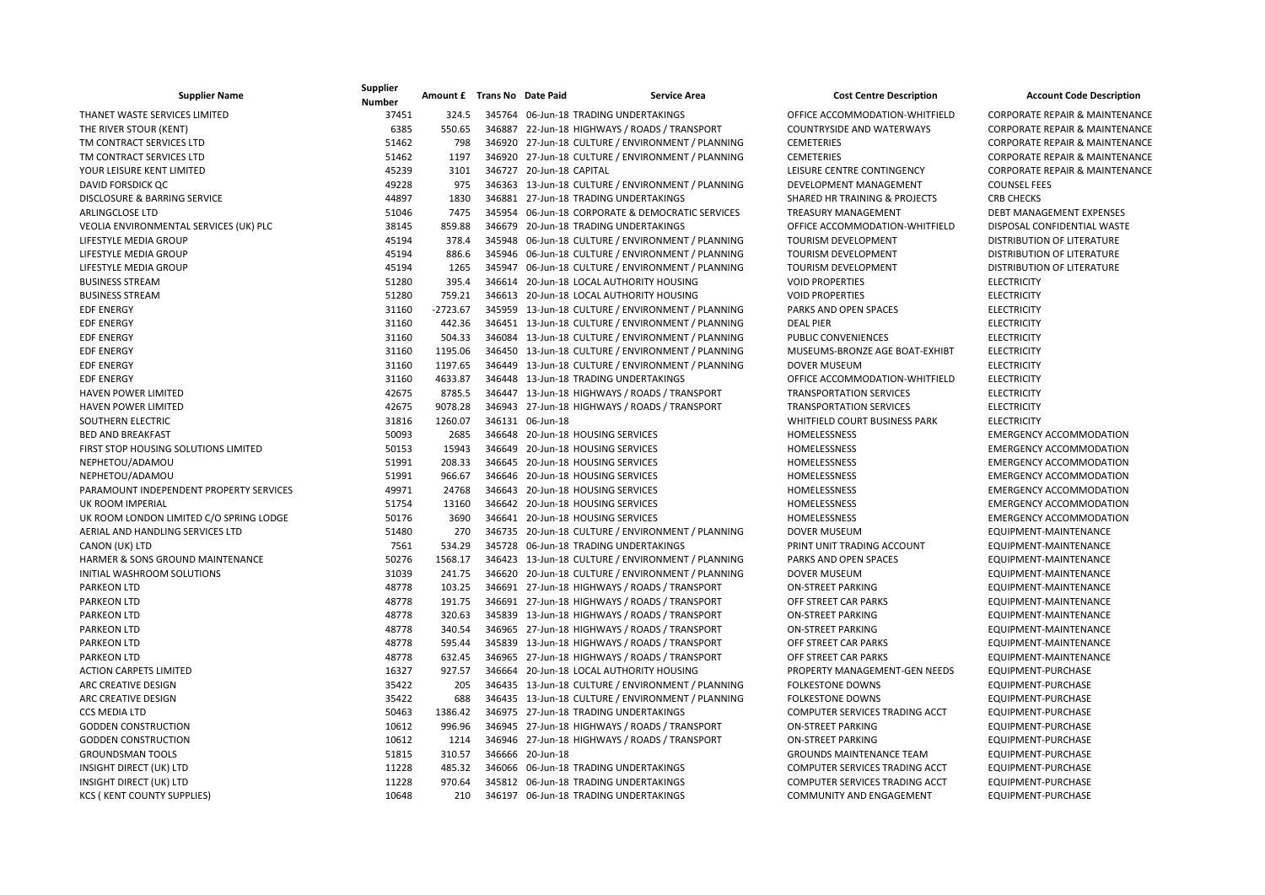| <b>Supplier Name</b>                    | Supplier<br><b>Number</b> | Amount £ Trans No Date Paid |                          | <b>Service Area</b>                               | <b>Cost Centre Description</b>        | <b>Account Code Description</b>           |
|-----------------------------------------|---------------------------|-----------------------------|--------------------------|---------------------------------------------------|---------------------------------------|-------------------------------------------|
| THANET WASTE SERVICES LIMITED           | 37451                     | 324.5                       |                          | 345764 06-Jun-18 TRADING UNDERTAKINGS             | OFFICE ACCOMMODATION-WHITFIELD        | <b>CORPORATE REPAIR &amp; MAINTENANCE</b> |
| THE RIVER STOUR (KENT)                  | 6385                      | 550.65                      |                          | 346887 22-Jun-18 HIGHWAYS / ROADS / TRANSPORT     | <b>COUNTRYSIDE AND WATERWAYS</b>      | <b>CORPORATE REPAIR &amp; MAINTENANCE</b> |
| TM CONTRACT SERVICES LTD                | 51462                     | 798                         |                          | 346920 27-Jun-18 CULTURE / ENVIRONMENT / PLANNING | <b>CEMETERIES</b>                     | <b>CORPORATE REPAIR &amp; MAINTENANCE</b> |
| TM CONTRACT SERVICES LTD                | 51462                     | 1197                        |                          | 346920 27-Jun-18 CULTURE / ENVIRONMENT / PLANNING | <b>CEMETERIES</b>                     | <b>CORPORATE REPAIR &amp; MAINTENANCE</b> |
| YOUR LEISURE KENT LIMITED               | 45239                     | 3101                        | 346727 20-Jun-18 CAPITAL |                                                   | LEISURE CENTRE CONTINGENCY            | <b>CORPORATE REPAIR &amp; MAINTENANCE</b> |
| DAVID FORSDICK QC                       | 49228                     | 975                         |                          | 346363 13-Jun-18 CULTURE / ENVIRONMENT / PLANNING | DEVELOPMENT MANAGEMENT                | <b>COUNSEL FEES</b>                       |
| DISCLOSURE & BARRING SERVICE            | 44897                     | 1830                        |                          | 346881 27-Jun-18 TRADING UNDERTAKINGS             | SHARED HR TRAINING & PROJECTS         | <b>CRB CHECKS</b>                         |
| <b>ARLINGCLOSE LTD</b>                  | 51046                     | 7475                        |                          | 345954 06-Jun-18 CORPORATE & DEMOCRATIC SERVICES  | <b>TREASURY MANAGEMENT</b>            | DEBT MANAGEMENT EXPENSES                  |
| VEOLIA ENVIRONMENTAL SERVICES (UK) PLC  | 38145                     | 859.88                      |                          | 346679 20-Jun-18 TRADING UNDERTAKINGS             | OFFICE ACCOMMODATION-WHITFIELD        | DISPOSAL CONFIDENTIAL WASTE               |
| LIFESTYLE MEDIA GROUP                   | 45194                     | 378.4                       |                          | 345948 06-Jun-18 CULTURE / ENVIRONMENT / PLANNING | <b>TOURISM DEVELOPMENT</b>            | DISTRIBUTION OF LITERATURE                |
| LIFESTYLE MEDIA GROUP                   | 45194                     | 886.6                       |                          | 345946 06-Jun-18 CULTURE / ENVIRONMENT / PLANNING | <b>TOURISM DEVELOPMENT</b>            | DISTRIBUTION OF LITERATURE                |
| LIFESTYLE MEDIA GROUP                   | 45194                     | 1265                        |                          | 345947 06-Jun-18 CULTURE / ENVIRONMENT / PLANNING | <b>TOURISM DEVELOPMENT</b>            | DISTRIBUTION OF LITERATURE                |
| <b>BUSINESS STREAM</b>                  | 51280                     | 395.4                       |                          | 346614 20-Jun-18 LOCAL AUTHORITY HOUSING          | <b>VOID PROPERTIES</b>                | <b>ELECTRICITY</b>                        |
| <b>BUSINESS STREAM</b>                  | 51280                     | 759.21                      |                          | 346613 20-Jun-18 LOCAL AUTHORITY HOUSING          | <b>VOID PROPERTIES</b>                | <b>ELECTRICITY</b>                        |
| <b>EDF ENERGY</b>                       | 31160                     | $-2723.67$                  |                          | 345959 13-Jun-18 CULTURE / ENVIRONMENT / PLANNING | PARKS AND OPEN SPACES                 | <b>ELECTRICITY</b>                        |
| <b>EDF ENERGY</b>                       | 31160                     | 442.36                      |                          | 346451 13-Jun-18 CULTURE / ENVIRONMENT / PLANNING | <b>DEAL PIER</b>                      | <b>ELECTRICITY</b>                        |
| <b>EDF ENERGY</b>                       | 31160                     | 504.33                      |                          | 346084 13-Jun-18 CULTURE / ENVIRONMENT / PLANNING | PUBLIC CONVENIENCES                   | <b>ELECTRICITY</b>                        |
| <b>EDF ENERGY</b>                       | 31160                     | 1195.06                     |                          | 346450 13-Jun-18 CULTURE / ENVIRONMENT / PLANNING | MUSEUMS-BRONZE AGE BOAT-EXHIBT        | <b>ELECTRICITY</b>                        |
| <b>EDF ENERGY</b>                       | 31160                     | 1197.65                     |                          | 346449 13-Jun-18 CULTURE / ENVIRONMENT / PLANNING | <b>DOVER MUSEUM</b>                   | <b>ELECTRICITY</b>                        |
| <b>EDF ENERGY</b>                       | 31160                     | 4633.87                     |                          | 346448 13-Jun-18 TRADING UNDERTAKINGS             | OFFICE ACCOMMODATION-WHITFIELD        | <b>ELECTRICITY</b>                        |
| <b>HAVEN POWER LIMITED</b>              | 42675                     | 8785.5                      |                          | 346447 13-Jun-18 HIGHWAYS / ROADS / TRANSPORT     | <b>TRANSPORTATION SERVICES</b>        | <b>ELECTRICITY</b>                        |
| <b>HAVEN POWER LIMITED</b>              | 42675                     | 9078.28                     |                          | 346943 27-Jun-18 HIGHWAYS / ROADS / TRANSPORT     | <b>TRANSPORTATION SERVICES</b>        | <b>ELECTRICITY</b>                        |
| SOUTHERN ELECTRIC                       | 31816                     | 1260.07                     | 346131 06-Jun-18         |                                                   | WHITFIELD COURT BUSINESS PARK         | <b>ELECTRICITY</b>                        |
| <b>BED AND BREAKFAST</b>                | 50093                     | 2685                        |                          | 346648 20-Jun-18 HOUSING SERVICES                 | HOMELESSNESS                          | <b>EMERGENCY ACCOMMODATION</b>            |
| FIRST STOP HOUSING SOLUTIONS LIMITED    | 50153                     | 15943                       |                          | 346649 20-Jun-18 HOUSING SERVICES                 | HOMELESSNESS                          | <b>EMERGENCY ACCOMMODATION</b>            |
| NEPHETOU/ADAMOU                         | 51991                     | 208.33                      |                          | 346645 20-Jun-18 HOUSING SERVICES                 | HOMELESSNESS                          | <b>EMERGENCY ACCOMMODATION</b>            |
| NEPHETOU/ADAMOU                         | 51991                     | 966.67                      |                          | 346646 20-Jun-18 HOUSING SERVICES                 | HOMELESSNESS                          | <b>EMERGENCY ACCOMMODATION</b>            |
| PARAMOUNT INDEPENDENT PROPERTY SERVICES | 49971                     | 24768                       |                          | 346643 20-Jun-18 HOUSING SERVICES                 | HOMELESSNESS                          | <b>EMERGENCY ACCOMMODATION</b>            |
| UK ROOM IMPERIAL                        | 51754                     | 13160                       |                          | 346642 20-Jun-18 HOUSING SERVICES                 | HOMELESSNESS                          | <b>EMERGENCY ACCOMMODATION</b>            |
| UK ROOM LONDON LIMITED C/O SPRING LODGE | 50176                     | 3690                        |                          | 346641 20-Jun-18 HOUSING SERVICES                 | HOMELESSNESS                          | <b>EMERGENCY ACCOMMODATION</b>            |
| AERIAL AND HANDLING SERVICES LTD        | 51480                     | 270                         |                          | 346735 20-Jun-18 CULTURE / ENVIRONMENT / PLANNING | <b>DOVER MUSEUM</b>                   | EQUIPMENT-MAINTENANCE                     |
| CANON (UK) LTD                          | 7561                      | 534.29                      |                          | 345728 06-Jun-18 TRADING UNDERTAKINGS             | PRINT UNIT TRADING ACCOUNT            | EQUIPMENT-MAINTENANCE                     |
| HARMER & SONS GROUND MAINTENANCE        | 50276                     | 1568.17                     |                          | 346423 13-Jun-18 CULTURE / ENVIRONMENT / PLANNING | PARKS AND OPEN SPACES                 | EQUIPMENT-MAINTENANCE                     |
| INITIAL WASHROOM SOLUTIONS              | 31039                     | 241.75                      |                          | 346620 20-Jun-18 CULTURE / ENVIRONMENT / PLANNING | <b>DOVER MUSEUM</b>                   | EQUIPMENT-MAINTENANCE                     |
| <b>PARKEON LTD</b>                      | 48778                     | 103.25                      |                          | 346691 27-Jun-18 HIGHWAYS / ROADS / TRANSPORT     | <b>ON-STREET PARKING</b>              | EQUIPMENT-MAINTENANCE                     |
| <b>PARKEON LTD</b>                      | 48778                     | 191.75                      |                          | 346691 27-Jun-18 HIGHWAYS / ROADS / TRANSPORT     | OFF STREET CAR PARKS                  | EQUIPMENT-MAINTENANCE                     |
| <b>PARKEON LTD</b>                      | 48778                     | 320.63                      |                          | 345839 13-Jun-18 HIGHWAYS / ROADS / TRANSPORT     | <b>ON-STREET PARKING</b>              | EQUIPMENT-MAINTENANCE                     |
| <b>PARKEON LTD</b>                      | 48778                     | 340.54                      |                          | 346965 27-Jun-18 HIGHWAYS / ROADS / TRANSPORT     | <b>ON-STREET PARKING</b>              | EQUIPMENT-MAINTENANCE                     |
| <b>PARKEON LTD</b>                      | 48778                     | 595.44                      |                          | 345839 13-Jun-18 HIGHWAYS / ROADS / TRANSPORT     | OFF STREET CAR PARKS                  | EQUIPMENT-MAINTENANCE                     |
| <b>PARKEON LTD</b>                      | 48778                     | 632.45                      |                          | 346965 27-Jun-18 HIGHWAYS / ROADS / TRANSPORT     | OFF STREET CAR PARKS                  | EQUIPMENT-MAINTENANCE                     |
| <b>ACTION CARPETS LIMITED</b>           | 16327                     | 927.57                      |                          | 346664 20-Jun-18 LOCAL AUTHORITY HOUSING          | PROPERTY MANAGEMENT-GEN NEEDS         | EQUIPMENT-PURCHASE                        |
| ARC CREATIVE DESIGN                     | 35422                     | 205                         |                          | 346435 13-Jun-18 CULTURE / ENVIRONMENT / PLANNING | <b>FOLKESTONE DOWNS</b>               | EQUIPMENT-PURCHASE                        |
| ARC CREATIVE DESIGN                     | 35422                     | 688                         |                          | 346435 13-Jun-18 CULTURE / ENVIRONMENT / PLANNING | <b>FOLKESTONE DOWNS</b>               | EQUIPMENT-PURCHASE                        |
| <b>CCS MEDIA LTD</b>                    | 50463                     | 1386.42                     |                          | 346975 27-Jun-18 TRADING UNDERTAKINGS             | COMPUTER SERVICES TRADING ACCT        | EQUIPMENT-PURCHASE                        |
| <b>GODDEN CONSTRUCTION</b>              | 10612                     | 996.96                      |                          | 346945 27-Jun-18 HIGHWAYS / ROADS / TRANSPORT     | <b>ON-STREET PARKING</b>              | EQUIPMENT-PURCHASE                        |
| <b>GODDEN CONSTRUCTION</b>              | 10612                     | 1214                        |                          | 346946 27-Jun-18 HIGHWAYS / ROADS / TRANSPORT     | <b>ON-STREET PARKING</b>              | EQUIPMENT-PURCHASE                        |
| <b>GROUNDSMAN TOOLS</b>                 | 51815                     | 310.57                      | 346666 20-Jun-18         |                                                   | <b>GROUNDS MAINTENANCE TEAM</b>       | EQUIPMENT-PURCHASE                        |
| INSIGHT DIRECT (UK) LTD                 | 11228                     | 485.32                      |                          | 346066 06-Jun-18 TRADING UNDERTAKINGS             | <b>COMPUTER SERVICES TRADING ACCT</b> | EQUIPMENT-PURCHASE                        |
| INSIGHT DIRECT (UK) LTD                 | 11228                     | 970.64                      |                          | 345812 06-Jun-18 TRADING UNDERTAKINGS             | COMPUTER SERVICES TRADING ACCT        | EQUIPMENT-PURCHASE                        |
| <b>KCS (KENT COUNTY SUPPLIES)</b>       | 10648                     | 210                         |                          | 346197 06-Jun-18 TRADING UNDERTAKINGS             | COMMUNITY AND ENGAGEMENT              | EQUIPMENT-PURCHASE                        |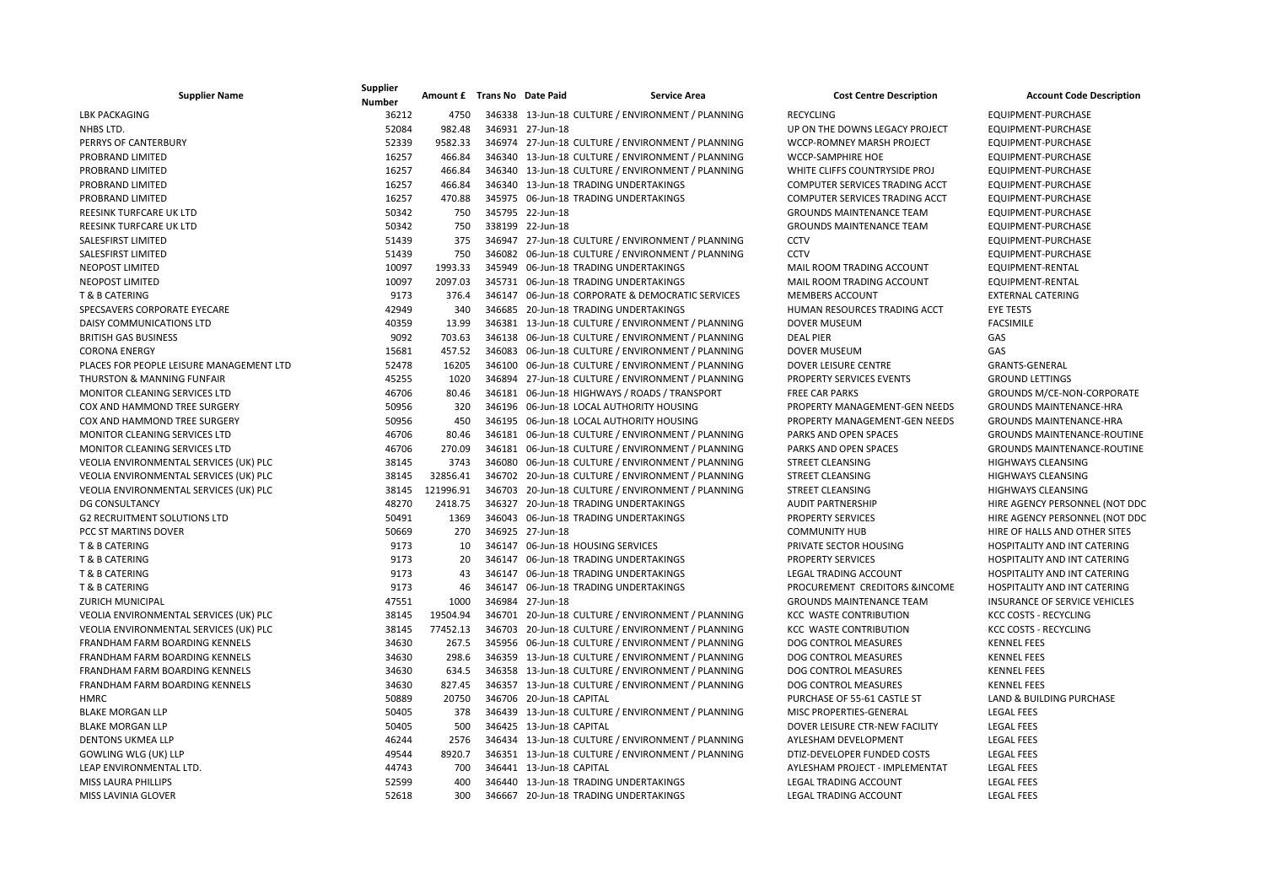| <b>Supplier Name</b>                     | Supplier<br><b>Number</b> | Amount £ Trans No Date Paid |                          | <b>Service Area</b>                               | <b>Cost Centre Description</b>  | <b>Account Code Description</b>     |
|------------------------------------------|---------------------------|-----------------------------|--------------------------|---------------------------------------------------|---------------------------------|-------------------------------------|
| <b>LBK PACKAGING</b>                     | 36212                     | 4750                        |                          | 346338 13-Jun-18 CULTURE / ENVIRONMENT / PLANNING | <b>RECYCLING</b>                | EQUIPMENT-PURCHASE                  |
| NHBS LTD.                                | 52084                     | 982.48                      | 346931 27-Jun-18         |                                                   | UP ON THE DOWNS LEGACY PROJECT  | EQUIPMENT-PURCHASE                  |
| PERRYS OF CANTERBURY                     | 52339                     | 9582.33                     |                          | 346974 27-Jun-18 CULTURE / ENVIRONMENT / PLANNING | WCCP-ROMNEY MARSH PROJECT       | EQUIPMENT-PURCHASE                  |
| PROBRAND LIMITED                         | 16257                     | 466.84                      |                          | 346340 13-Jun-18 CULTURE / ENVIRONMENT / PLANNING | WCCP-SAMPHIRE HOE               | EQUIPMENT-PURCHASE                  |
| PROBRAND LIMITED                         | 16257                     | 466.84                      |                          | 346340 13-Jun-18 CULTURE / ENVIRONMENT / PLANNING | WHITE CLIFFS COUNTRYSIDE PROJ   | EQUIPMENT-PURCHASE                  |
| PROBRAND LIMITED                         | 16257                     | 466.84                      |                          | 346340 13-Jun-18 TRADING UNDERTAKINGS             | COMPUTER SERVICES TRADING ACCT  | EQUIPMENT-PURCHASE                  |
| PROBRAND LIMITED                         | 16257                     | 470.88                      |                          | 345975 06-Jun-18 TRADING UNDERTAKINGS             | COMPUTER SERVICES TRADING ACCT  | EQUIPMENT-PURCHASE                  |
| REESINK TURFCARE UK LTD                  | 50342                     | 750                         | 345795 22-Jun-18         |                                                   | <b>GROUNDS MAINTENANCE TEAM</b> | EQUIPMENT-PURCHASE                  |
| <b>REESINK TURFCARE UK LTD</b>           | 50342                     | 750                         | 338199 22-Jun-18         |                                                   | <b>GROUNDS MAINTENANCE TEAM</b> | EQUIPMENT-PURCHASE                  |
| <b>SALESFIRST LIMITED</b>                | 51439                     | 375                         |                          | 346947 27-Jun-18 CULTURE / ENVIRONMENT / PLANNING | CCTV                            | EQUIPMENT-PURCHASE                  |
| SALESFIRST LIMITED                       | 51439                     | 750                         |                          | 346082 06-Jun-18 CULTURE / ENVIRONMENT / PLANNING | <b>CCTV</b>                     | EQUIPMENT-PURCHASE                  |
| <b>NEOPOST LIMITED</b>                   | 10097                     | 1993.33                     |                          | 345949 06-Jun-18 TRADING UNDERTAKINGS             | MAIL ROOM TRADING ACCOUNT       | EQUIPMENT-RENTAL                    |
| <b>NEOPOST LIMITED</b>                   | 10097                     | 2097.03                     |                          | 345731 06-Jun-18 TRADING UNDERTAKINGS             | MAIL ROOM TRADING ACCOUNT       | EQUIPMENT-RENTAL                    |
| T & B CATERING                           | 9173                      | 376.4                       |                          | 346147 06-Jun-18 CORPORATE & DEMOCRATIC SERVICES  | <b>MEMBERS ACCOUNT</b>          | <b>EXTERNAL CATERING</b>            |
| SPECSAVERS CORPORATE EYECARE             | 42949                     | 340                         |                          | 346685 20-Jun-18 TRADING UNDERTAKINGS             | HUMAN RESOURCES TRADING ACCT    | <b>EYE TESTS</b>                    |
| DAISY COMMUNICATIONS LTD                 | 40359                     | 13.99                       |                          | 346381 13-Jun-18 CULTURE / ENVIRONMENT / PLANNING | <b>DOVER MUSEUM</b>             | <b>FACSIMILE</b>                    |
| <b>BRITISH GAS BUSINESS</b>              | 9092                      | 703.63                      |                          | 346138 06-Jun-18 CULTURE / ENVIRONMENT / PLANNING | <b>DEAL PIER</b>                | GAS                                 |
| <b>CORONA ENERGY</b>                     | 15681                     | 457.52                      |                          | 346083 06-Jun-18 CULTURE / ENVIRONMENT / PLANNING | <b>DOVER MUSEUM</b>             | GAS                                 |
| PLACES FOR PEOPLE LEISURE MANAGEMENT LTD | 52478                     | 16205                       |                          | 346100 06-Jun-18 CULTURE / ENVIRONMENT / PLANNING | <b>DOVER LEISURE CENTRE</b>     | <b>GRANTS-GENERAL</b>               |
| THURSTON & MANNING FUNFAIR               | 45255                     | 1020                        |                          | 346894 27-Jun-18 CULTURE / ENVIRONMENT / PLANNING | PROPERTY SERVICES EVENTS        | <b>GROUND LETTINGS</b>              |
| MONITOR CLEANING SERVICES LTD            | 46706                     | 80.46                       |                          | 346181 06-Jun-18 HIGHWAYS / ROADS / TRANSPORT     | <b>FREE CAR PARKS</b>           | <b>GROUNDS M/CE-NON-CORPORATE</b>   |
| COX AND HAMMOND TREE SURGERY             | 50956                     | 320                         |                          | 346196 06-Jun-18 LOCAL AUTHORITY HOUSING          | PROPERTY MANAGEMENT-GEN NEEDS   | <b>GROUNDS MAINTENANCE-HRA</b>      |
| COX AND HAMMOND TREE SURGERY             | 50956                     | 450                         |                          | 346195 06-Jun-18 LOCAL AUTHORITY HOUSING          | PROPERTY MANAGEMENT-GEN NEEDS   | <b>GROUNDS MAINTENANCE-HRA</b>      |
| MONITOR CLEANING SERVICES LTD            | 46706                     | 80.46                       |                          | 346181 06-Jun-18 CULTURE / ENVIRONMENT / PLANNING | PARKS AND OPEN SPACES           | <b>GROUNDS MAINTENANCE-ROUTINE</b>  |
| MONITOR CLEANING SERVICES LTD            | 46706                     | 270.09                      |                          | 346181 06-Jun-18 CULTURE / ENVIRONMENT / PLANNING | PARKS AND OPEN SPACES           | <b>GROUNDS MAINTENANCE-ROUTINE</b>  |
| VEOLIA ENVIRONMENTAL SERVICES (UK) PLC   | 38145                     | 3743                        |                          | 346080 06-Jun-18 CULTURE / ENVIRONMENT / PLANNING | STREET CLEANSING                | <b>HIGHWAYS CLEANSING</b>           |
| VEOLIA ENVIRONMENTAL SERVICES (UK) PLC   | 38145                     | 32856.41                    |                          | 346702 20-Jun-18 CULTURE / ENVIRONMENT / PLANNING | STREET CLEANSING                | <b>HIGHWAYS CLEANSING</b>           |
| VEOLIA ENVIRONMENTAL SERVICES (UK) PLC   | 38145                     | 121996.91                   |                          | 346703 20-Jun-18 CULTURE / ENVIRONMENT / PLANNING | <b>STREET CLEANSING</b>         | <b>HIGHWAYS CLEANSING</b>           |
| <b>DG CONSULTANCY</b>                    | 48270                     | 2418.75                     |                          | 346327 20-Jun-18 TRADING UNDERTAKINGS             | <b>AUDIT PARTNERSHIP</b>        | HIRE AGENCY PERSONNEL (NOT DDC      |
| <b>G2 RECRUITMENT SOLUTIONS LTD</b>      | 50491                     | 1369                        |                          | 346043 06-Jun-18 TRADING UNDERTAKINGS             | PROPERTY SERVICES               | HIRE AGENCY PERSONNEL (NOT DDC      |
| <b>PCC ST MARTINS DOVER</b>              | 50669                     | 270                         | 346925 27-Jun-18         |                                                   | <b>COMMUNITY HUB</b>            | HIRE OF HALLS AND OTHER SITES       |
| <b>T &amp; B CATERING</b>                | 9173                      | 10                          |                          | 346147 06-Jun-18 HOUSING SERVICES                 | PRIVATE SECTOR HOUSING          | <b>HOSPITALITY AND INT CATERING</b> |
| <b>T &amp; B CATERING</b>                | 9173                      | 20                          |                          | 346147 06-Jun-18 TRADING UNDERTAKINGS             | <b>PROPERTY SERVICES</b>        | HOSPITALITY AND INT CATERING        |
| T & B CATERING                           | 9173                      | 43                          |                          | 346147 06-Jun-18 TRADING UNDERTAKINGS             | <b>LEGAL TRADING ACCOUNT</b>    | HOSPITALITY AND INT CATERING        |
| <b>T &amp; B CATERING</b>                | 9173                      | 46                          |                          | 346147 06-Jun-18 TRADING UNDERTAKINGS             | PROCUREMENT CREDITORS &INCOME   | HOSPITALITY AND INT CATERING        |
| <b>ZURICH MUNICIPAL</b>                  | 47551                     | 1000                        | 346984 27-Jun-18         |                                                   | <b>GROUNDS MAINTENANCE TEAM</b> | INSURANCE OF SERVICE VEHICLES       |
| VEOLIA ENVIRONMENTAL SERVICES (UK) PLC   | 38145                     | 19504.94                    |                          | 346701 20-Jun-18 CULTURE / ENVIRONMENT / PLANNING | <b>KCC WASTE CONTRIBUTION</b>   | KCC COSTS - RECYCLING               |
| VEOLIA ENVIRONMENTAL SERVICES (UK) PLC   | 38145                     | 77452.13                    |                          | 346703 20-Jun-18 CULTURE / ENVIRONMENT / PLANNING | <b>KCC WASTE CONTRIBUTION</b>   | <b>KCC COSTS - RECYCLING</b>        |
| FRANDHAM FARM BOARDING KENNELS           | 34630                     | 267.5                       |                          | 345956 06-Jun-18 CULTURE / ENVIRONMENT / PLANNING | DOG CONTROL MEASURES            | <b>KENNEL FEES</b>                  |
| FRANDHAM FARM BOARDING KENNELS           | 34630                     | 298.6                       |                          | 346359 13-Jun-18 CULTURE / ENVIRONMENT / PLANNING | DOG CONTROL MEASURES            | <b>KENNEL FEES</b>                  |
| FRANDHAM FARM BOARDING KENNELS           | 34630                     | 634.5                       |                          | 346358 13-Jun-18 CULTURE / ENVIRONMENT / PLANNING | DOG CONTROL MEASURES            | <b>KENNEL FEES</b>                  |
| FRANDHAM FARM BOARDING KENNELS           | 34630                     | 827.45                      |                          | 346357 13-Jun-18 CULTURE / ENVIRONMENT / PLANNING | DOG CONTROL MEASURES            | <b>KENNEL FEES</b>                  |
| <b>HMRC</b>                              | 50889                     | 20750                       | 346706 20-Jun-18 CAPITAL |                                                   | PURCHASE OF 55-61 CASTLE ST     | LAND & BUILDING PURCHASE            |
| <b>BLAKE MORGAN LLP</b>                  | 50405                     | 378                         |                          | 346439 13-Jun-18 CULTURE / ENVIRONMENT / PLANNING | MISC PROPERTIES-GENERAL         | <b>LEGAL FEES</b>                   |
| <b>BLAKE MORGAN LLP</b>                  | 50405                     | 500                         | 346425 13-Jun-18 CAPITAL |                                                   | DOVER LEISURE CTR-NEW FACILITY  | <b>LEGAL FEES</b>                   |
| <b>DENTONS UKMEA LLP</b>                 | 46244                     | 2576                        |                          | 346434 13-Jun-18 CULTURE / ENVIRONMENT / PLANNING | AYLESHAM DEVELOPMENT            | <b>LEGAL FEES</b>                   |
| <b>GOWLING WLG (UK) LLP</b>              | 49544                     | 8920.7                      |                          | 346351 13-Jun-18 CULTURE / ENVIRONMENT / PLANNING | DTIZ-DEVELOPER FUNDED COSTS     | <b>LEGAL FEES</b>                   |
| LEAP ENVIRONMENTAL LTD.                  | 44743                     | 700                         | 346441 13-Jun-18 CAPITAL |                                                   | AYLESHAM PROJECT - IMPLEMENTAT  | <b>LEGAL FEES</b>                   |
| <b>MISS LAURA PHILLIPS</b>               | 52599                     | 400                         |                          | 346440 13-Jun-18 TRADING UNDERTAKINGS             | <b>LEGAL TRADING ACCOUNT</b>    | <b>LEGAL FEES</b>                   |
| MISS LAVINIA GLOVER                      | 52618                     | 300                         |                          | 346667 20-Jun-18 TRADING UNDERTAKINGS             | LEGAL TRADING ACCOUNT           | <b>LEGAL FEES</b>                   |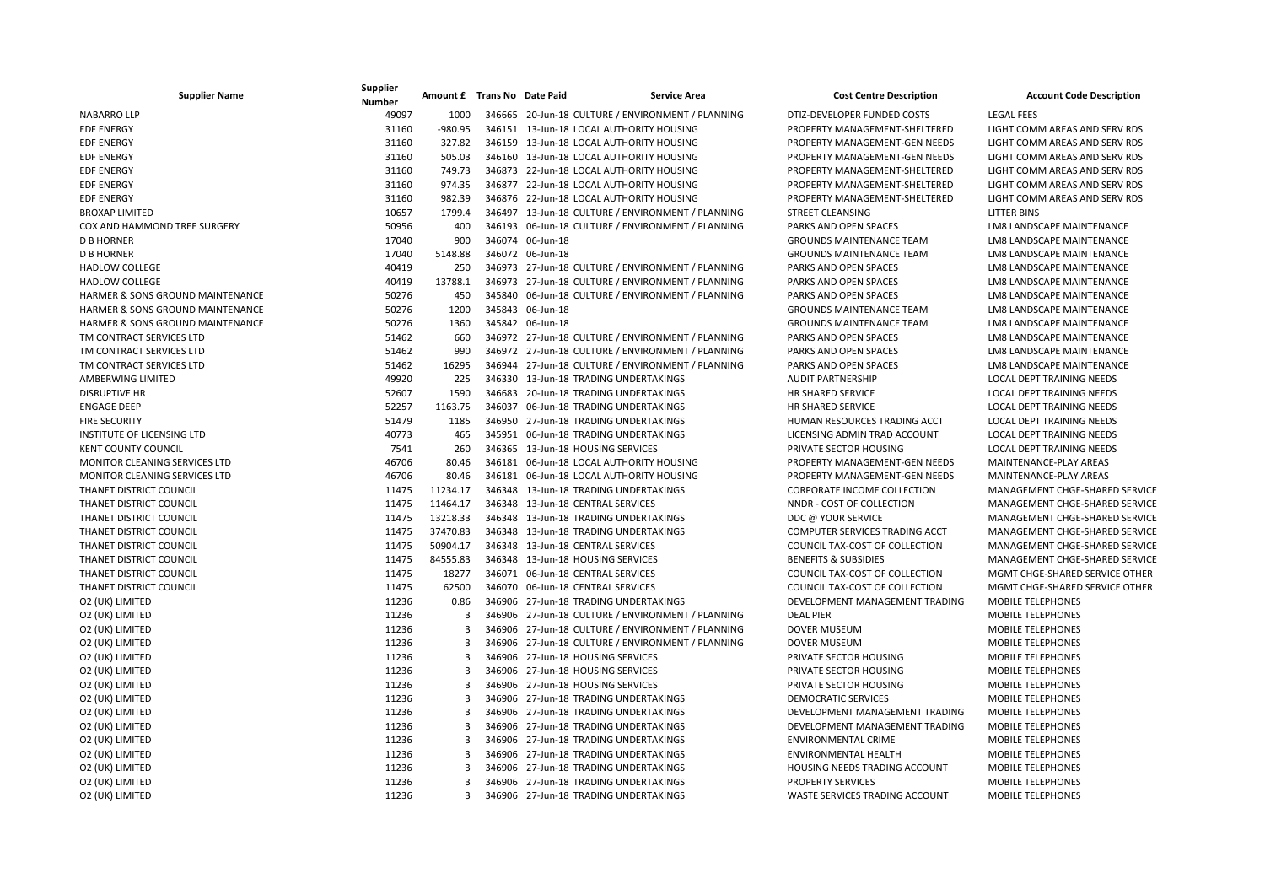| <b>Supplier Name</b>                        | Supplier<br><b>Number</b> | Amount £ Trans No Date Paid |        |                  | <b>Service Area</b>                               | <b>Cost Centre Description</b>  | <b>Account Code Description</b>  |
|---------------------------------------------|---------------------------|-----------------------------|--------|------------------|---------------------------------------------------|---------------------------------|----------------------------------|
| <b>NABARRO LLP</b>                          | 49097                     | 1000                        |        |                  | 346665 20-Jun-18 CULTURE / ENVIRONMENT / PLANNING | DTIZ-DEVELOPER FUNDED COSTS     | <b>LEGAL FEES</b>                |
| <b>EDF ENERGY</b>                           | 31160                     | $-980.95$                   |        |                  | 346151 13-Jun-18 LOCAL AUTHORITY HOUSING          | PROPERTY MANAGEMENT-SHELTERED   | LIGHT COMM AREAS AND SERV RDS    |
| <b>EDF ENERGY</b>                           | 31160                     | 327.82                      |        |                  | 346159 13-Jun-18 LOCAL AUTHORITY HOUSING          | PROPERTY MANAGEMENT-GEN NEEDS   | LIGHT COMM AREAS AND SERV RDS    |
| <b>EDF ENERGY</b>                           | 31160                     | 505.03                      |        |                  | 346160 13-Jun-18 LOCAL AUTHORITY HOUSING          | PROPERTY MANAGEMENT-GEN NEEDS   | LIGHT COMM AREAS AND SERV RDS    |
| <b>EDF ENERGY</b>                           | 31160                     | 749.73                      |        |                  | 346873 22-Jun-18 LOCAL AUTHORITY HOUSING          | PROPERTY MANAGEMENT-SHELTERED   | LIGHT COMM AREAS AND SERV RDS    |
| <b>EDF ENERGY</b>                           | 31160                     | 974.35                      |        |                  | 346877 22-Jun-18 LOCAL AUTHORITY HOUSING          | PROPERTY MANAGEMENT-SHELTERED   | LIGHT COMM AREAS AND SERV RDS    |
| <b>EDF ENERGY</b>                           | 31160                     | 982.39                      |        |                  | 346876 22-Jun-18 LOCAL AUTHORITY HOUSING          | PROPERTY MANAGEMENT-SHELTERED   | LIGHT COMM AREAS AND SERV RDS    |
| <b>BROXAP LIMITED</b>                       | 10657                     | 1799.4                      |        |                  | 346497 13-Jun-18 CULTURE / ENVIRONMENT / PLANNING | <b>STREET CLEANSING</b>         | <b>LITTER BINS</b>               |
| COX AND HAMMOND TREE SURGERY                | 50956                     | 400                         |        |                  | 346193 06-Jun-18 CULTURE / ENVIRONMENT / PLANNING | PARKS AND OPEN SPACES           | LM8 LANDSCAPE MAINTENANCE        |
| <b>D B HORNER</b>                           | 17040                     | 900                         |        | 346074 06-Jun-18 |                                                   | <b>GROUNDS MAINTENANCE TEAM</b> | <b>LM8 LANDSCAPE MAINTENANCE</b> |
| <b>D B HORNER</b>                           | 17040                     | 5148.88                     |        | 346072 06-Jun-18 |                                                   | <b>GROUNDS MAINTENANCE TEAM</b> | LM8 LANDSCAPE MAINTENANCE        |
| <b>HADLOW COLLEGE</b>                       | 40419                     | 250                         |        |                  | 346973 27-Jun-18 CULTURE / ENVIRONMENT / PLANNING | PARKS AND OPEN SPACES           | LM8 LANDSCAPE MAINTENANCE        |
| <b>HADLOW COLLEGE</b>                       | 40419                     | 13788.1                     |        |                  | 346973 27-Jun-18 CULTURE / ENVIRONMENT / PLANNING | PARKS AND OPEN SPACES           | LM8 LANDSCAPE MAINTENANCE        |
| <b>HARMER &amp; SONS GROUND MAINTENANCE</b> | 50276                     | 450                         |        |                  | 345840 06-Jun-18 CULTURE / ENVIRONMENT / PLANNING | PARKS AND OPEN SPACES           | <b>LM8 LANDSCAPE MAINTENANCE</b> |
| HARMER & SONS GROUND MAINTENANCE            | 50276                     | 1200                        |        | 345843 06-Jun-18 |                                                   | <b>GROUNDS MAINTENANCE TEAM</b> | LM8 LANDSCAPE MAINTENANCE        |
| HARMER & SONS GROUND MAINTENANCE            | 50276                     | 1360                        |        | 345842 06-Jun-18 |                                                   | <b>GROUNDS MAINTENANCE TEAM</b> | LM8 LANDSCAPE MAINTENANCE        |
| TM CONTRACT SERVICES LTD                    | 51462                     | 660                         |        |                  | 346972 27-Jun-18 CULTURE / ENVIRONMENT / PLANNING | PARKS AND OPEN SPACES           | LM8 LANDSCAPE MAINTENANCE        |
| TM CONTRACT SERVICES LTD                    | 51462                     | 990                         |        |                  | 346972 27-Jun-18 CULTURE / ENVIRONMENT / PLANNING | <b>PARKS AND OPEN SPACES</b>    | LM8 LANDSCAPE MAINTENANCE        |
| TM CONTRACT SERVICES LTD                    | 51462                     | 16295                       |        |                  | 346944 27-Jun-18 CULTURE / ENVIRONMENT / PLANNING | PARKS AND OPEN SPACES           | LM8 LANDSCAPE MAINTENANCE        |
| <b>AMBERWING LIMITED</b>                    | 49920                     | 225                         |        |                  | 346330 13-Jun-18 TRADING UNDERTAKINGS             | <b>AUDIT PARTNERSHIP</b>        | <b>LOCAL DEPT TRAINING NEEDS</b> |
| <b>DISRUPTIVE HR</b>                        | 52607                     | 1590                        |        |                  | 346683 20-Jun-18 TRADING UNDERTAKINGS             | <b>HR SHARED SERVICE</b>        | <b>LOCAL DEPT TRAINING NEEDS</b> |
| <b>ENGAGE DEEP</b>                          | 52257                     | 1163.75                     | 346037 |                  | 06-Jun-18 TRADING UNDERTAKINGS                    | HR SHARED SERVICE               | <b>LOCAL DEPT TRAINING NEEDS</b> |
| <b>FIRE SECURITY</b>                        | 51479                     | 1185                        |        |                  | 346950 27-Jun-18 TRADING UNDERTAKINGS             | HUMAN RESOURCES TRADING ACCT    | LOCAL DEPT TRAINING NEEDS        |
| INSTITUTE OF LICENSING LTD                  | 40773                     | 465                         |        |                  | 345951 06-Jun-18 TRADING UNDERTAKINGS             | LICENSING ADMIN TRAD ACCOUNT    | LOCAL DEPT TRAINING NEEDS        |
| <b>KENT COUNTY COUNCIL</b>                  | 7541                      | 260                         |        |                  | 346365 13-Jun-18 HOUSING SERVICES                 | PRIVATE SECTOR HOUSING          | <b>LOCAL DEPT TRAINING NEEDS</b> |
| MONITOR CLEANING SERVICES LTD               | 46706                     | 80.46                       |        |                  | 346181 06-Jun-18 LOCAL AUTHORITY HOUSING          | PROPERTY MANAGEMENT-GEN NEEDS   | MAINTENANCE-PLAY AREAS           |
| <b>MONITOR CLEANING SERVICES LTD</b>        | 46706                     | 80.46                       |        |                  | 346181 06-Jun-18 LOCAL AUTHORITY HOUSING          | PROPERTY MANAGEMENT-GEN NEEDS   | MAINTENANCE-PLAY AREAS           |
| THANET DISTRICT COUNCIL                     | 11475                     | 11234.17                    |        |                  | 346348 13-Jun-18 TRADING UNDERTAKINGS             | CORPORATE INCOME COLLECTION     | MANAGEMENT CHGE-SHARED SERVICE   |
| THANET DISTRICT COUNCIL                     | 11475                     | 11464.17                    |        |                  | 346348 13-Jun-18 CENTRAL SERVICES                 | NNDR - COST OF COLLECTION       | MANAGEMENT CHGE-SHARED SERVICE   |
| THANET DISTRICT COUNCIL                     | 11475                     | 13218.33                    |        |                  | 346348 13-Jun-18 TRADING UNDERTAKINGS             | DDC @ YOUR SERVICE              | MANAGEMENT CHGE-SHARED SERVICE   |
| THANET DISTRICT COUNCIL                     | 11475                     | 37470.83                    |        |                  | 346348 13-Jun-18 TRADING UNDERTAKINGS             | COMPUTER SERVICES TRADING ACCT  | MANAGEMENT CHGE-SHARED SERVICE   |
| THANET DISTRICT COUNCIL                     | 11475                     | 50904.17                    |        |                  | 346348 13-Jun-18 CENTRAL SERVICES                 | COUNCIL TAX-COST OF COLLECTION  | MANAGEMENT CHGE-SHARED SERVICE   |
| THANET DISTRICT COUNCIL                     | 11475                     | 84555.83                    |        |                  | 346348 13-Jun-18 HOUSING SERVICES                 | <b>BENEFITS &amp; SUBSIDIES</b> | MANAGEMENT CHGE-SHARED SERVICE   |
| THANET DISTRICT COUNCIL                     | 11475                     | 18277                       |        |                  | 346071 06-Jun-18 CENTRAL SERVICES                 | COUNCIL TAX-COST OF COLLECTION  | MGMT CHGE-SHARED SERVICE OTHER   |
| THANET DISTRICT COUNCIL                     | 11475                     | 62500                       |        |                  | 346070 06-Jun-18 CENTRAL SERVICES                 | COUNCIL TAX-COST OF COLLECTION  | MGMT CHGE-SHARED SERVICE OTHER   |
| O2 (UK) LIMITED                             | 11236                     | 0.86                        |        |                  | 346906 27-Jun-18 TRADING UNDERTAKINGS             | DEVELOPMENT MANAGEMENT TRADING  | <b>MOBILE TELEPHONES</b>         |
| O2 (UK) LIMITED                             | 11236                     | 3                           |        |                  | 346906 27-Jun-18 CULTURE / ENVIRONMENT / PLANNING | <b>DEAL PIER</b>                | <b>MOBILE TELEPHONES</b>         |
| O2 (UK) LIMITED                             | 11236                     | $\overline{3}$              |        |                  | 346906 27-Jun-18 CULTURE / ENVIRONMENT / PLANNING | <b>DOVER MUSEUM</b>             | <b>MOBILE TELEPHONES</b>         |
| O2 (UK) LIMITED                             | 11236                     | $\overline{3}$              |        |                  | 346906 27-Jun-18 CULTURE / ENVIRONMENT / PLANNING | <b>DOVER MUSEUM</b>             | <b>MOBILE TELEPHONES</b>         |
| O2 (UK) LIMITED                             | 11236                     | 3                           |        |                  | 346906 27-Jun-18 HOUSING SERVICES                 | PRIVATE SECTOR HOUSING          | <b>MOBILE TELEPHONES</b>         |
| O2 (UK) LIMITED                             | 11236                     | $\overline{3}$              |        |                  | 346906 27-Jun-18 HOUSING SERVICES                 | PRIVATE SECTOR HOUSING          | <b>MOBILE TELEPHONES</b>         |
| O2 (UK) LIMITED                             | 11236                     | 3                           |        |                  | 346906 27-Jun-18 HOUSING SERVICES                 | PRIVATE SECTOR HOUSING          | <b>MOBILE TELEPHONES</b>         |
| O2 (UK) LIMITED                             | 11236                     | 3                           |        |                  | 346906 27-Jun-18 TRADING UNDERTAKINGS             | <b>DEMOCRATIC SERVICES</b>      | <b>MOBILE TELEPHONES</b>         |
| O2 (UK) LIMITED                             | 11236                     | $\overline{3}$              |        |                  | 346906 27-Jun-18 TRADING UNDERTAKINGS             | DEVELOPMENT MANAGEMENT TRADING  | <b>MOBILE TELEPHONES</b>         |
| O2 (UK) LIMITED                             | 11236                     | $\overline{3}$              |        |                  | 346906 27-Jun-18 TRADING UNDERTAKINGS             | DEVELOPMENT MANAGEMENT TRADING  | <b>MOBILE TELEPHONES</b>         |
| O2 (UK) LIMITED                             | 11236                     | 3                           |        |                  | 346906 27-Jun-18 TRADING UNDERTAKINGS             | <b>ENVIRONMENTAL CRIME</b>      | <b>MOBILE TELEPHONES</b>         |
| O2 (UK) LIMITED                             | 11236                     | 3                           |        |                  | 346906 27-Jun-18 TRADING UNDERTAKINGS             | ENVIRONMENTAL HEALTH            | <b>MOBILE TELEPHONES</b>         |
| O2 (UK) LIMITED                             | 11236                     | $\overline{3}$              |        |                  | 346906 27-Jun-18 TRADING UNDERTAKINGS             | HOUSING NEEDS TRADING ACCOUNT   | <b>MOBILE TELEPHONES</b>         |
| O2 (UK) LIMITED                             | 11236                     | 3                           |        |                  | 346906 27-Jun-18 TRADING UNDERTAKINGS             | <b>PROPERTY SERVICES</b>        | <b>MOBILE TELEPHONES</b>         |
| O2 (UK) LIMITED                             | 11236                     | $\overline{3}$              |        |                  | 346906 27-Jun-18 TRADING UNDERTAKINGS             | WASTE SERVICES TRADING ACCOUNT  | <b>MOBILE TELEPHONES</b>         |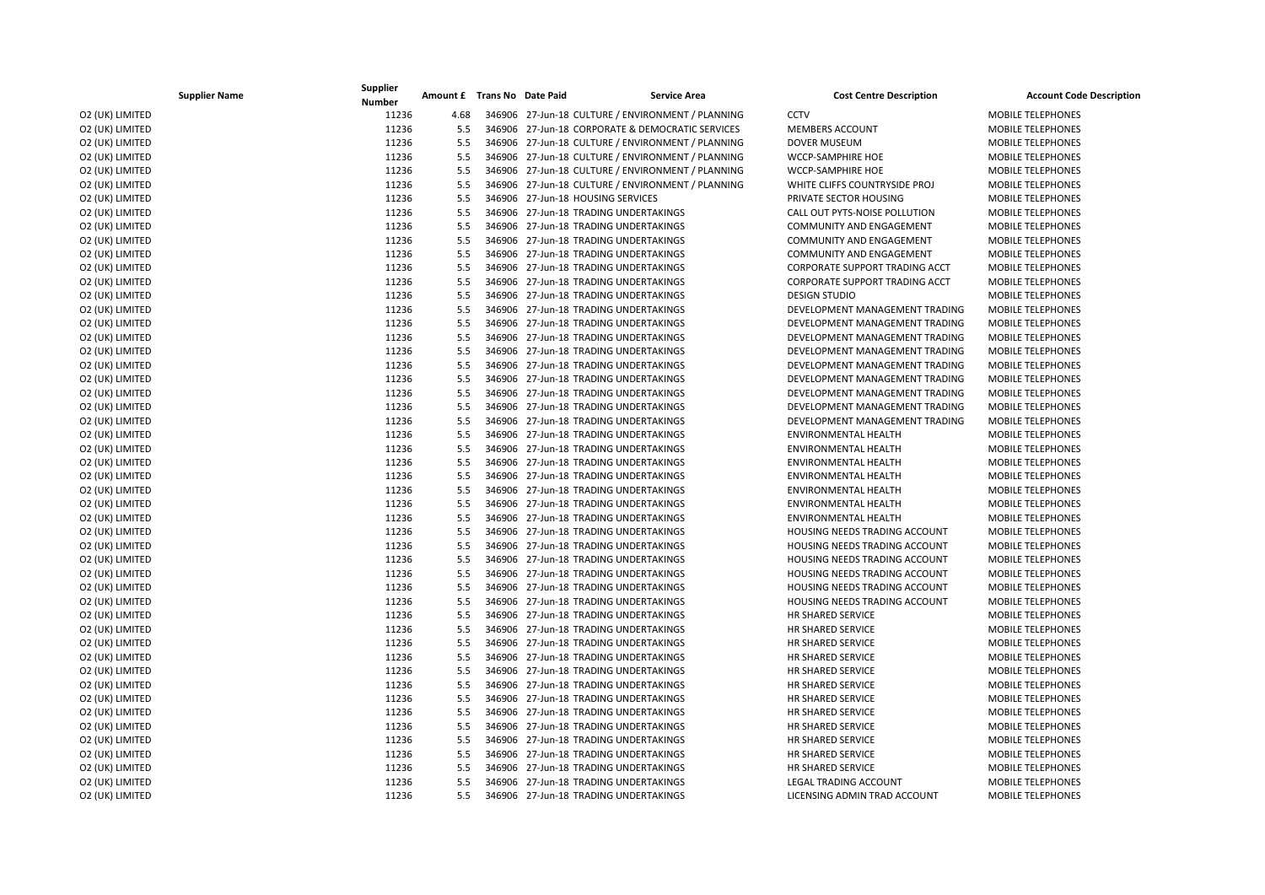|                 | <b>Supplier Name</b> | Supplier<br><b>Number</b> | Amount £ Trans No Date Paid |  | <b>Service Area</b>                               | <b>Cost Centre Description</b>        | <b>Account Code Description</b> |
|-----------------|----------------------|---------------------------|-----------------------------|--|---------------------------------------------------|---------------------------------------|---------------------------------|
| O2 (UK) LIMITED |                      | 11236                     | 4.68                        |  | 346906 27-Jun-18 CULTURE / ENVIRONMENT / PLANNING | <b>CCTV</b>                           | <b>MOBILE TELEPHONES</b>        |
| O2 (UK) LIMITED |                      | 11236                     | 5.5                         |  | 346906 27-Jun-18 CORPORATE & DEMOCRATIC SERVICES  | <b>MEMBERS ACCOUNT</b>                | <b>MOBILE TELEPHONES</b>        |
| O2 (UK) LIMITED |                      | 11236                     | 5.5                         |  | 346906 27-Jun-18 CULTURE / ENVIRONMENT / PLANNING | <b>DOVER MUSEUM</b>                   | <b>MOBILE TELEPHONES</b>        |
| O2 (UK) LIMITED |                      | 11236                     | 5.5                         |  | 346906 27-Jun-18 CULTURE / ENVIRONMENT / PLANNING | WCCP-SAMPHIRE HOE                     | <b>MOBILE TELEPHONES</b>        |
| O2 (UK) LIMITED |                      | 11236                     | 5.5                         |  | 346906 27-Jun-18 CULTURE / ENVIRONMENT / PLANNING | WCCP-SAMPHIRE HOE                     | MOBILE TELEPHONES               |
| O2 (UK) LIMITED |                      | 11236                     | 5.5                         |  | 346906 27-Jun-18 CULTURE / ENVIRONMENT / PLANNING | WHITE CLIFFS COUNTRYSIDE PROJ         | <b>MOBILE TELEPHONES</b>        |
| O2 (UK) LIMITED |                      | 11236                     | 5.5                         |  | 346906 27-Jun-18 HOUSING SERVICES                 | PRIVATE SECTOR HOUSING                | MOBILE TELEPHONES               |
| O2 (UK) LIMITED |                      | 11236                     | 5.5                         |  | 346906 27-Jun-18 TRADING UNDERTAKINGS             | CALL OUT PYTS-NOISE POLLUTION         | <b>MOBILE TELEPHONES</b>        |
| O2 (UK) LIMITED |                      | 11236                     | 5.5                         |  | 346906 27-Jun-18 TRADING UNDERTAKINGS             | <b>COMMUNITY AND ENGAGEMENT</b>       | <b>MOBILE TELEPHONES</b>        |
| O2 (UK) LIMITED |                      | 11236                     | 5.5                         |  | 346906 27-Jun-18 TRADING UNDERTAKINGS             | <b>COMMUNITY AND ENGAGEMENT</b>       | <b>MOBILE TELEPHONES</b>        |
| O2 (UK) LIMITED |                      | 11236                     | 5.5                         |  | 346906 27-Jun-18 TRADING UNDERTAKINGS             | <b>COMMUNITY AND ENGAGEMENT</b>       | <b>MOBILE TELEPHONES</b>        |
| O2 (UK) LIMITED |                      | 11236                     | 5.5                         |  | 346906 27-Jun-18 TRADING UNDERTAKINGS             | CORPORATE SUPPORT TRADING ACCT        | MOBILE TELEPHONES               |
| O2 (UK) LIMITED |                      | 11236                     | 5.5                         |  | 346906 27-Jun-18 TRADING UNDERTAKINGS             | <b>CORPORATE SUPPORT TRADING ACCT</b> | <b>MOBILE TELEPHONES</b>        |
| O2 (UK) LIMITED |                      | 11236                     | 5.5                         |  | 346906 27-Jun-18 TRADING UNDERTAKINGS             | <b>DESIGN STUDIO</b>                  | <b>MOBILE TELEPHONES</b>        |
| O2 (UK) LIMITED |                      | 11236                     | 5.5                         |  | 346906 27-Jun-18 TRADING UNDERTAKINGS             | DEVELOPMENT MANAGEMENT TRADING        | <b>MOBILE TELEPHONES</b>        |
| O2 (UK) LIMITED |                      | 11236                     | 5.5                         |  | 346906 27-Jun-18 TRADING UNDERTAKINGS             | DEVELOPMENT MANAGEMENT TRADING        | <b>MOBILE TELEPHONES</b>        |
| O2 (UK) LIMITED |                      | 11236                     | 5.5                         |  | 346906 27-Jun-18 TRADING UNDERTAKINGS             | DEVELOPMENT MANAGEMENT TRADING        | MOBILE TELEPHONES               |
| O2 (UK) LIMITED |                      | 11236                     | 5.5                         |  | 346906 27-Jun-18 TRADING UNDERTAKINGS             | DEVELOPMENT MANAGEMENT TRADING        | <b>MOBILE TELEPHONES</b>        |
| O2 (UK) LIMITED |                      | 11236                     | 5.5                         |  | 346906 27-Jun-18 TRADING UNDERTAKINGS             | DEVELOPMENT MANAGEMENT TRADING        | MOBILE TELEPHONES               |
| O2 (UK) LIMITED |                      | 11236                     | 5.5                         |  | 346906 27-Jun-18 TRADING UNDERTAKINGS             | DEVELOPMENT MANAGEMENT TRADING        | <b>MOBILE TELEPHONES</b>        |
| O2 (UK) LIMITED |                      | 11236                     | 5.5                         |  | 346906 27-Jun-18 TRADING UNDERTAKINGS             | DEVELOPMENT MANAGEMENT TRADING        | <b>MOBILE TELEPHONES</b>        |
| O2 (UK) LIMITED |                      | 11236                     | 5.5                         |  | 346906 27-Jun-18 TRADING UNDERTAKINGS             | DEVELOPMENT MANAGEMENT TRADING        | <b>MOBILE TELEPHONES</b>        |
| O2 (UK) LIMITED |                      | 11236                     | 5.5                         |  | 346906 27-Jun-18 TRADING UNDERTAKINGS             | DEVELOPMENT MANAGEMENT TRADING        | <b>MOBILE TELEPHONES</b>        |
| O2 (UK) LIMITED |                      | 11236                     | 5.5                         |  | 346906 27-Jun-18 TRADING UNDERTAKINGS             | ENVIRONMENTAL HEALTH                  | MOBILE TELEPHONES               |
| O2 (UK) LIMITED |                      | 11236                     | 5.5                         |  | 346906 27-Jun-18 TRADING UNDERTAKINGS             | <b>ENVIRONMENTAL HEALTH</b>           | <b>MOBILE TELEPHONES</b>        |
| O2 (UK) LIMITED |                      | 11236                     | 5.5                         |  | 346906 27-Jun-18 TRADING UNDERTAKINGS             | ENVIRONMENTAL HEALTH                  | <b>MOBILE TELEPHONES</b>        |
| O2 (UK) LIMITED |                      | 11236                     | 5.5                         |  | 346906 27-Jun-18 TRADING UNDERTAKINGS             | <b>ENVIRONMENTAL HEALTH</b>           | <b>MOBILE TELEPHONES</b>        |
| O2 (UK) LIMITED |                      | 11236                     | 5.5                         |  | 346906 27-Jun-18 TRADING UNDERTAKINGS             | <b>ENVIRONMENTAL HEALTH</b>           | MOBILE TELEPHONES               |
| O2 (UK) LIMITED |                      | 11236                     | 5.5                         |  | 346906 27-Jun-18 TRADING UNDERTAKINGS             | <b>ENVIRONMENTAL HEALTH</b>           | MOBILE TELEPHONES               |
| O2 (UK) LIMITED |                      | 11236                     | 5.5                         |  | 346906 27-Jun-18 TRADING UNDERTAKINGS             | <b>ENVIRONMENTAL HEALTH</b>           | <b>MOBILE TELEPHONES</b>        |
| O2 (UK) LIMITED |                      | 11236                     | 5.5                         |  | 346906 27-Jun-18 TRADING UNDERTAKINGS             | <b>HOUSING NEEDS TRADING ACCOUNT</b>  | <b>MOBILE TELEPHONES</b>        |
| O2 (UK) LIMITED |                      | 11236                     | 5.5                         |  | 346906 27-Jun-18 TRADING UNDERTAKINGS             | HOUSING NEEDS TRADING ACCOUNT         | <b>MOBILE TELEPHONES</b>        |
| O2 (UK) LIMITED |                      | 11236                     | 5.5                         |  | 346906 27-Jun-18 TRADING UNDERTAKINGS             | HOUSING NEEDS TRADING ACCOUNT         | <b>MOBILE TELEPHONES</b>        |
| O2 (UK) LIMITED |                      | 11236                     | 5.5                         |  | 346906 27-Jun-18 TRADING UNDERTAKINGS             | HOUSING NEEDS TRADING ACCOUNT         | MOBILE TELEPHONES               |
| O2 (UK) LIMITED |                      | 11236                     | 5.5                         |  | 346906 27-Jun-18 TRADING UNDERTAKINGS             | HOUSING NEEDS TRADING ACCOUNT         | <b>MOBILE TELEPHONES</b>        |
| O2 (UK) LIMITED |                      | 11236                     | 5.5                         |  | 346906 27-Jun-18 TRADING UNDERTAKINGS             | <b>HOUSING NEEDS TRADING ACCOUNT</b>  | <b>MOBILE TELEPHONES</b>        |
| O2 (UK) LIMITED |                      | 11236                     | 5.5                         |  | 346906 27-Jun-18 TRADING UNDERTAKINGS             | HR SHARED SERVICE                     | MOBILE TELEPHONES               |
| O2 (UK) LIMITED |                      | 11236                     | 5.5                         |  | 346906 27-Jun-18 TRADING UNDERTAKINGS             | HR SHARED SERVICE                     | <b>MOBILE TELEPHONES</b>        |
| O2 (UK) LIMITED |                      | 11236                     | 5.5                         |  | 346906 27-Jun-18 TRADING UNDERTAKINGS             | HR SHARED SERVICE                     | MOBILE TELEPHONES               |
| O2 (UK) LIMITED |                      | 11236                     | 5.5                         |  | 346906 27-Jun-18 TRADING UNDERTAKINGS             | HR SHARED SERVICE                     | <b>MOBILE TELEPHONES</b>        |
| O2 (UK) LIMITED |                      | 11236                     | 5.5                         |  | 346906 27-Jun-18 TRADING UNDERTAKINGS             | HR SHARED SERVICE                     | <b>MOBILE TELEPHONES</b>        |
| O2 (UK) LIMITED |                      | 11236                     | 5.5                         |  | 346906 27-Jun-18 TRADING UNDERTAKINGS             | HR SHARED SERVICE                     | <b>MOBILE TELEPHONES</b>        |
| O2 (UK) LIMITED |                      | 11236                     | 5.5                         |  | 346906 27-Jun-18 TRADING UNDERTAKINGS             | <b>HR SHARED SERVICE</b>              | <b>MOBILE TELEPHONES</b>        |
| O2 (UK) LIMITED |                      | 11236                     | 5.5                         |  | 346906 27-Jun-18 TRADING UNDERTAKINGS             | HR SHARED SERVICE                     | <b>MOBILE TELEPHONES</b>        |
| O2 (UK) LIMITED |                      | 11236                     | 5.5                         |  | 346906 27-Jun-18 TRADING UNDERTAKINGS             | HR SHARED SERVICE                     | <b>MOBILE TELEPHONES</b>        |
| O2 (UK) LIMITED |                      | 11236                     | 5.5                         |  | 346906 27-Jun-18 TRADING UNDERTAKINGS             | HR SHARED SERVICE                     | <b>MOBILE TELEPHONES</b>        |
| O2 (UK) LIMITED |                      | 11236                     | 5.5                         |  | 346906 27-Jun-18 TRADING UNDERTAKINGS             | HR SHARED SERVICE                     | <b>MOBILE TELEPHONES</b>        |
| O2 (UK) LIMITED |                      | 11236                     | 5.5                         |  | 346906 27-Jun-18 TRADING UNDERTAKINGS             | HR SHARED SERVICE                     | MOBILE TELEPHONES               |
| O2 (UK) LIMITED |                      | 11236                     | 5.5                         |  | 346906 27-Jun-18 TRADING UNDERTAKINGS             | <b>LEGAL TRADING ACCOUNT</b>          | <b>MOBILE TELEPHONES</b>        |
| O2 (UK) LIMITED |                      | 11236                     | 5.5                         |  | 346906 27-Jun-18 TRADING UNDERTAKINGS             | LICENSING ADMIN TRAD ACCOUNT          | <b>MOBILE TELEPHONES</b>        |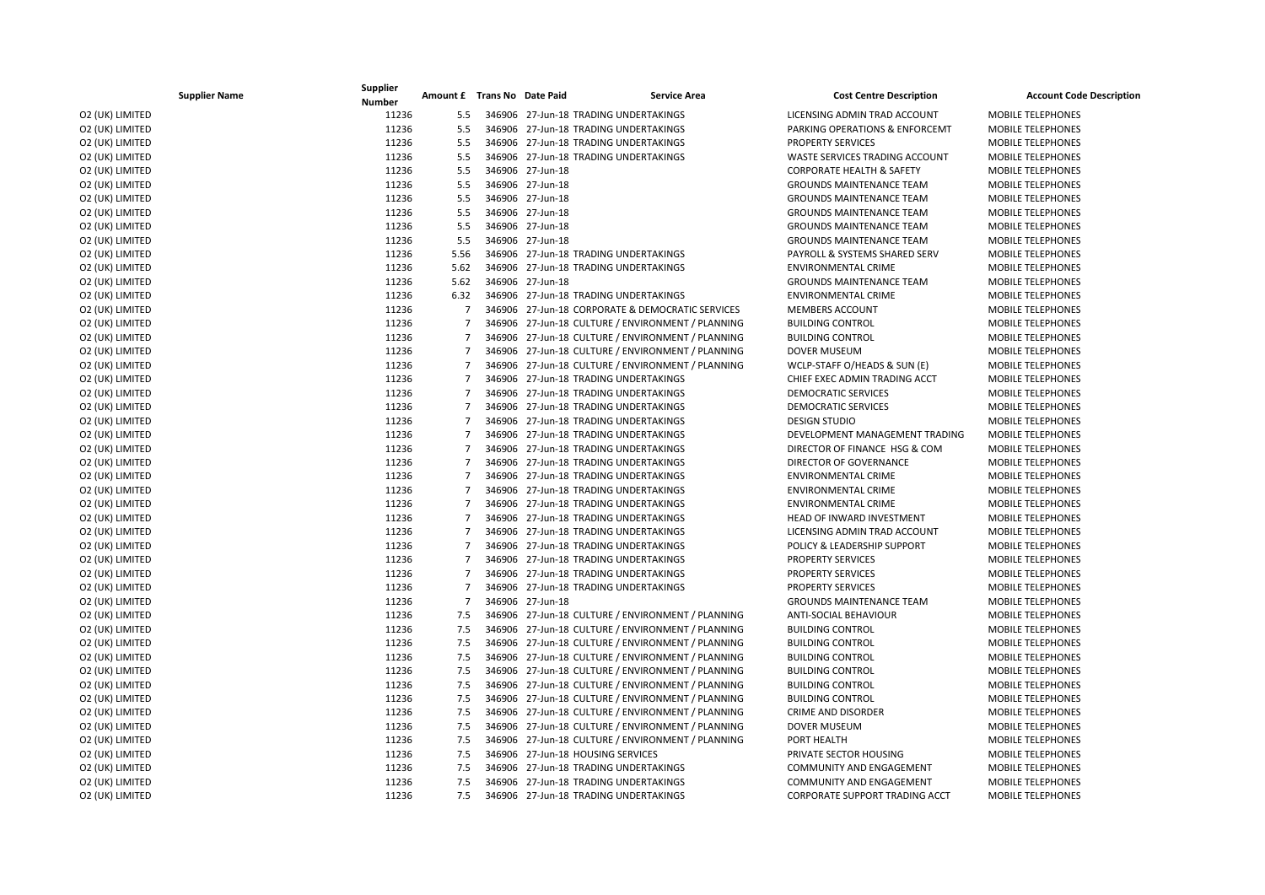| <b>Supplier Name</b> | Supplier<br><b>Number</b> | Amount £ Trans No Date Paid | <b>Service Area</b>                               | <b>Cost Centre Description</b>        | <b>Account Code Description</b> |
|----------------------|---------------------------|-----------------------------|---------------------------------------------------|---------------------------------------|---------------------------------|
| O2 (UK) LIMITED      | 11236                     | 5.5                         | 346906 27-Jun-18 TRADING UNDERTAKINGS             | LICENSING ADMIN TRAD ACCOUNT          | <b>MOBILE TELEPHONES</b>        |
| O2 (UK) LIMITED      | 11236                     | 5.5                         | 346906 27-Jun-18 TRADING UNDERTAKINGS             | PARKING OPERATIONS & ENFORCEMT        | <b>MOBILE TELEPHONES</b>        |
| O2 (UK) LIMITED      | 11236                     | 5.5                         | 346906 27-Jun-18 TRADING UNDERTAKINGS             | PROPERTY SERVICES                     | <b>MOBILE TELEPHONES</b>        |
| O2 (UK) LIMITED      | 11236                     | 5.5                         | 346906 27-Jun-18 TRADING UNDERTAKINGS             | WASTE SERVICES TRADING ACCOUNT        | <b>MOBILE TELEPHONES</b>        |
| O2 (UK) LIMITED      | 11236                     | 5.5                         | 346906 27-Jun-18                                  | <b>CORPORATE HEALTH &amp; SAFETY</b>  | MOBILE TELEPHONES               |
| O2 (UK) LIMITED      | 11236                     | 5.5                         | 346906 27-Jun-18                                  | <b>GROUNDS MAINTENANCE TEAM</b>       | <b>MOBILE TELEPHONES</b>        |
| O2 (UK) LIMITED      | 11236                     | 5.5                         | 346906 27-Jun-18                                  | <b>GROUNDS MAINTENANCE TEAM</b>       | MOBILE TELEPHONES               |
| O2 (UK) LIMITED      | 11236                     | 5.5                         | 346906 27-Jun-18                                  | <b>GROUNDS MAINTENANCE TEAM</b>       | <b>MOBILE TELEPHONES</b>        |
| O2 (UK) LIMITED      | 11236                     | 5.5                         | 346906 27-Jun-18                                  | <b>GROUNDS MAINTENANCE TEAM</b>       | <b>MOBILE TELEPHONES</b>        |
| O2 (UK) LIMITED      | 11236                     | 5.5                         | 346906 27-Jun-18                                  | <b>GROUNDS MAINTENANCE TEAM</b>       | <b>MOBILE TELEPHONES</b>        |
| O2 (UK) LIMITED      | 11236                     | 5.56                        | 346906 27-Jun-18 TRADING UNDERTAKINGS             | PAYROLL & SYSTEMS SHARED SERV         | <b>MOBILE TELEPHONES</b>        |
| O2 (UK) LIMITED      | 11236                     | 5.62                        | 346906 27-Jun-18 TRADING UNDERTAKINGS             | <b>ENVIRONMENTAL CRIME</b>            | <b>MOBILE TELEPHONES</b>        |
| O2 (UK) LIMITED      | 11236                     | 5.62                        | 346906 27-Jun-18                                  | <b>GROUNDS MAINTENANCE TEAM</b>       | <b>MOBILE TELEPHONES</b>        |
| O2 (UK) LIMITED      | 11236                     | 6.32                        | 346906 27-Jun-18 TRADING UNDERTAKINGS             | <b>ENVIRONMENTAL CRIME</b>            | <b>MOBILE TELEPHONES</b>        |
| O2 (UK) LIMITED      | 11236                     | $\overline{7}$              | 346906 27-Jun-18 CORPORATE & DEMOCRATIC SERVICES  | <b>MEMBERS ACCOUNT</b>                | <b>MOBILE TELEPHONES</b>        |
| O2 (UK) LIMITED      | 11236                     | $\overline{7}$              | 346906 27-Jun-18 CULTURE / ENVIRONMENT / PLANNING | <b>BUILDING CONTROL</b>               | <b>MOBILE TELEPHONES</b>        |
| O2 (UK) LIMITED      | 11236                     | $\overline{7}$              | 346906 27-Jun-18 CULTURE / ENVIRONMENT / PLANNING | <b>BUILDING CONTROL</b>               | MOBILE TELEPHONES               |
| O2 (UK) LIMITED      | 11236                     | $\overline{7}$              | 346906 27-Jun-18 CULTURE / ENVIRONMENT / PLANNING | <b>DOVER MUSEUM</b>                   | <b>MOBILE TELEPHONES</b>        |
| O2 (UK) LIMITED      | 11236                     | $\overline{7}$              | 346906 27-Jun-18 CULTURE / ENVIRONMENT / PLANNING | WCLP-STAFF O/HEADS & SUN (E)          | MOBILE TELEPHONES               |
| O2 (UK) LIMITED      | 11236                     | $\overline{7}$              | 346906 27-Jun-18 TRADING UNDERTAKINGS             | CHIEF EXEC ADMIN TRADING ACCT         | <b>MOBILE TELEPHONES</b>        |
| O2 (UK) LIMITED      | 11236                     | $\overline{7}$              | 346906 27-Jun-18 TRADING UNDERTAKINGS             | <b>DEMOCRATIC SERVICES</b>            | <b>MOBILE TELEPHONES</b>        |
| O2 (UK) LIMITED      | 11236                     | $\overline{7}$              | 346906 27-Jun-18 TRADING UNDERTAKINGS             | <b>DEMOCRATIC SERVICES</b>            | <b>MOBILE TELEPHONES</b>        |
| O2 (UK) LIMITED      | 11236                     | $\overline{7}$              | 346906 27-Jun-18 TRADING UNDERTAKINGS             | <b>DESIGN STUDIO</b>                  | <b>MOBILE TELEPHONES</b>        |
| O2 (UK) LIMITED      | 11236                     | $\overline{7}$              | 346906 27-Jun-18 TRADING UNDERTAKINGS             | DEVELOPMENT MANAGEMENT TRADING        | MOBILE TELEPHONES               |
| O2 (UK) LIMITED      | 11236                     | $\overline{7}$              | 346906 27-Jun-18 TRADING UNDERTAKINGS             | DIRECTOR OF FINANCE HSG & COM         | <b>MOBILE TELEPHONES</b>        |
| O2 (UK) LIMITED      | 11236                     | $\overline{7}$              | 346906 27-Jun-18 TRADING UNDERTAKINGS             | DIRECTOR OF GOVERNANCE                | <b>MOBILE TELEPHONES</b>        |
| O2 (UK) LIMITED      | 11236                     | $\overline{7}$              | 346906 27-Jun-18 TRADING UNDERTAKINGS             | <b>ENVIRONMENTAL CRIME</b>            | <b>MOBILE TELEPHONES</b>        |
| O2 (UK) LIMITED      | 11236                     | $\overline{7}$              | 346906 27-Jun-18 TRADING UNDERTAKINGS             | <b>ENVIRONMENTAL CRIME</b>            | <b>MOBILE TELEPHONES</b>        |
| O2 (UK) LIMITED      | 11236                     | $\overline{7}$              | 346906 27-Jun-18 TRADING UNDERTAKINGS             | <b>ENVIRONMENTAL CRIME</b>            | MOBILE TELEPHONES               |
| O2 (UK) LIMITED      | 11236                     | $\overline{7}$              | 346906 27-Jun-18 TRADING UNDERTAKINGS             | HEAD OF INWARD INVESTMENT             | <b>MOBILE TELEPHONES</b>        |
| O2 (UK) LIMITED      | 11236                     | $\overline{7}$              | 346906 27-Jun-18 TRADING UNDERTAKINGS             | LICENSING ADMIN TRAD ACCOUNT          | <b>MOBILE TELEPHONES</b>        |
| O2 (UK) LIMITED      | 11236                     | $\overline{7}$              | 346906 27-Jun-18 TRADING UNDERTAKINGS             | POLICY & LEADERSHIP SUPPORT           | <b>MOBILE TELEPHONES</b>        |
| O2 (UK) LIMITED      | 11236                     | $\overline{7}$              | 346906 27-Jun-18 TRADING UNDERTAKINGS             | <b>PROPERTY SERVICES</b>              | <b>MOBILE TELEPHONES</b>        |
| O2 (UK) LIMITED      | 11236                     | $\overline{7}$              | 346906 27-Jun-18 TRADING UNDERTAKINGS             | PROPERTY SERVICES                     | MOBILE TELEPHONES               |
| O2 (UK) LIMITED      | 11236                     | $\overline{7}$              | 346906 27-Jun-18 TRADING UNDERTAKINGS             | <b>PROPERTY SERVICES</b>              | <b>MOBILE TELEPHONES</b>        |
| O2 (UK) LIMITED      | 11236                     | $\overline{7}$              | 346906 27-Jun-18                                  | <b>GROUNDS MAINTENANCE TEAM</b>       | <b>MOBILE TELEPHONES</b>        |
| O2 (UK) LIMITED      | 11236                     | 7.5                         | 346906 27-Jun-18 CULTURE / ENVIRONMENT / PLANNING | ANTI-SOCIAL BEHAVIOUR                 | MOBILE TELEPHONES               |
| O2 (UK) LIMITED      | 11236                     | 7.5                         | 346906 27-Jun-18 CULTURE / ENVIRONMENT / PLANNING | <b>BUILDING CONTROL</b>               | <b>MOBILE TELEPHONES</b>        |
| O2 (UK) LIMITED      | 11236                     | 7.5                         | 346906 27-Jun-18 CULTURE / ENVIRONMENT / PLANNING | <b>BUILDING CONTROL</b>               | MOBILE TELEPHONES               |
| O2 (UK) LIMITED      | 11236                     | 7.5                         | 346906 27-Jun-18 CULTURE / ENVIRONMENT / PLANNING | <b>BUILDING CONTROL</b>               | <b>MOBILE TELEPHONES</b>        |
| O2 (UK) LIMITED      | 11236                     | 7.5                         | 346906 27-Jun-18 CULTURE / ENVIRONMENT / PLANNING | <b>BUILDING CONTROL</b>               | <b>MOBILE TELEPHONES</b>        |
| O2 (UK) LIMITED      | 11236                     | 7.5                         | 346906 27-Jun-18 CULTURE / ENVIRONMENT / PLANNING | <b>BUILDING CONTROL</b>               | <b>MOBILE TELEPHONES</b>        |
| O2 (UK) LIMITED      | 11236                     | 7.5                         | 346906 27-Jun-18 CULTURE / ENVIRONMENT / PLANNING | <b>BUILDING CONTROL</b>               | <b>MOBILE TELEPHONES</b>        |
| O2 (UK) LIMITED      | 11236                     | 7.5                         | 346906 27-Jun-18 CULTURE / ENVIRONMENT / PLANNING | <b>CRIME AND DISORDER</b>             | <b>MOBILE TELEPHONES</b>        |
| O2 (UK) LIMITED      | 11236                     | 7.5                         | 346906 27-Jun-18 CULTURE / ENVIRONMENT / PLANNING | <b>DOVER MUSEUM</b>                   | <b>MOBILE TELEPHONES</b>        |
| O2 (UK) LIMITED      | 11236                     | 7.5                         | 346906 27-Jun-18 CULTURE / ENVIRONMENT / PLANNING | PORT HEALTH                           | MOBILE TELEPHONES               |
| O2 (UK) LIMITED      | 11236                     | 7.5                         | 346906 27-Jun-18 HOUSING SERVICES                 | PRIVATE SECTOR HOUSING                | <b>MOBILE TELEPHONES</b>        |
| O2 (UK) LIMITED      | 11236                     | 7.5                         | 346906 27-Jun-18 TRADING UNDERTAKINGS             | <b>COMMUNITY AND ENGAGEMENT</b>       | MOBILE TELEPHONES               |
| O2 (UK) LIMITED      | 11236                     | 7.5                         | 346906 27-Jun-18 TRADING UNDERTAKINGS             | COMMUNITY AND ENGAGEMENT              | <b>MOBILE TELEPHONES</b>        |
| O2 (UK) LIMITED      | 11236                     | 7.5                         | 346906 27-Jun-18 TRADING UNDERTAKINGS             | <b>CORPORATE SUPPORT TRADING ACCT</b> | <b>MOBILE TELEPHONES</b>        |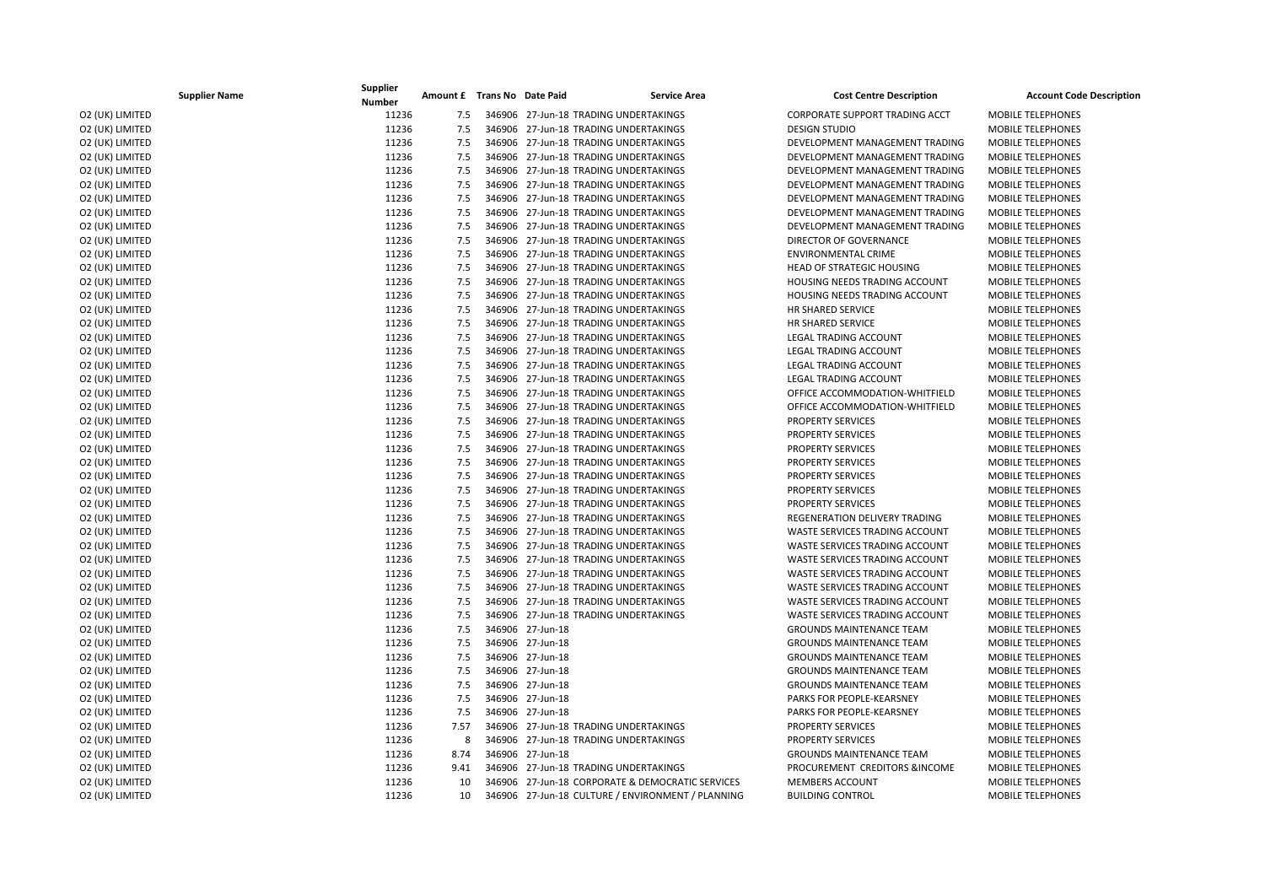| <b>Supplier Name</b> | Supplier<br><b>Number</b> | Amount £ Trans No Date Paid |                  | <b>Service Area</b>                               | <b>Cost Centre Description</b>   | <b>Account Code Description</b> |
|----------------------|---------------------------|-----------------------------|------------------|---------------------------------------------------|----------------------------------|---------------------------------|
| O2 (UK) LIMITED      | 11236                     | 7.5                         |                  | 346906 27-Jun-18 TRADING UNDERTAKINGS             | CORPORATE SUPPORT TRADING ACCT   | <b>MOBILE TELEPHONES</b>        |
| O2 (UK) LIMITED      | 11236                     | 7.5                         |                  | 346906 27-Jun-18 TRADING UNDERTAKINGS             | <b>DESIGN STUDIO</b>             | <b>MOBILE TELEPHONES</b>        |
| O2 (UK) LIMITED      | 11236                     | 7.5                         |                  | 346906 27-Jun-18 TRADING UNDERTAKINGS             | DEVELOPMENT MANAGEMENT TRADING   | <b>MOBILE TELEPHONES</b>        |
| O2 (UK) LIMITED      | 11236                     | 7.5                         |                  | 346906 27-Jun-18 TRADING UNDERTAKINGS             | DEVELOPMENT MANAGEMENT TRADING   | MOBILE TELEPHONES               |
| O2 (UK) LIMITED      | 11236                     | 7.5                         |                  | 346906 27-Jun-18 TRADING UNDERTAKINGS             | DEVELOPMENT MANAGEMENT TRADING   | MOBILE TELEPHONES               |
| O2 (UK) LIMITED      | 11236                     | 7.5                         |                  | 346906 27-Jun-18 TRADING UNDERTAKINGS             | DEVELOPMENT MANAGEMENT TRADING   | <b>MOBILE TELEPHONES</b>        |
| O2 (UK) LIMITED      | 11236                     | 7.5                         |                  | 346906 27-Jun-18 TRADING UNDERTAKINGS             | DEVELOPMENT MANAGEMENT TRADING   | <b>MOBILE TELEPHONES</b>        |
| O2 (UK) LIMITED      | 11236                     | 7.5                         |                  | 346906 27-Jun-18 TRADING UNDERTAKINGS             | DEVELOPMENT MANAGEMENT TRADING   | <b>MOBILE TELEPHONES</b>        |
| O2 (UK) LIMITED      | 11236                     | 7.5                         |                  | 346906 27-Jun-18 TRADING UNDERTAKINGS             | DEVELOPMENT MANAGEMENT TRADING   | <b>MOBILE TELEPHONES</b>        |
| O2 (UK) LIMITED      | 11236                     | 7.5                         |                  | 346906 27-Jun-18 TRADING UNDERTAKINGS             | DIRECTOR OF GOVERNANCE           | <b>MOBILE TELEPHONES</b>        |
| O2 (UK) LIMITED      | 11236                     | 7.5                         |                  | 346906 27-Jun-18 TRADING UNDERTAKINGS             | ENVIRONMENTAL CRIME              | MOBILE TELEPHONES               |
| O2 (UK) LIMITED      | 11236                     | 7.5                         |                  | 346906 27-Jun-18 TRADING UNDERTAKINGS             | <b>HEAD OF STRATEGIC HOUSING</b> | <b>MOBILE TELEPHONES</b>        |
| O2 (UK) LIMITED      | 11236                     | 7.5                         |                  | 346906 27-Jun-18 TRADING UNDERTAKINGS             | HOUSING NEEDS TRADING ACCOUNT    | <b>MOBILE TELEPHONES</b>        |
| O2 (UK) LIMITED      | 11236                     | 7.5                         |                  | 346906 27-Jun-18 TRADING UNDERTAKINGS             | HOUSING NEEDS TRADING ACCOUNT    | <b>MOBILE TELEPHONES</b>        |
| O2 (UK) LIMITED      | 11236                     | 7.5                         |                  | 346906 27-Jun-18 TRADING UNDERTAKINGS             | <b>HR SHARED SERVICE</b>         | <b>MOBILE TELEPHONES</b>        |
| O2 (UK) LIMITED      | 11236                     | 7.5                         |                  | 346906 27-Jun-18 TRADING UNDERTAKINGS             | HR SHARED SERVICE                | <b>MOBILE TELEPHONES</b>        |
| O2 (UK) LIMITED      | 11236                     | 7.5                         |                  | 346906 27-Jun-18 TRADING UNDERTAKINGS             | <b>LEGAL TRADING ACCOUNT</b>     | <b>MOBILE TELEPHONES</b>        |
| O2 (UK) LIMITED      | 11236                     | 7.5                         |                  | 346906 27-Jun-18 TRADING UNDERTAKINGS             | LEGAL TRADING ACCOUNT            | <b>MOBILE TELEPHONES</b>        |
| O2 (UK) LIMITED      | 11236                     | 7.5                         |                  | 346906 27-Jun-18 TRADING UNDERTAKINGS             | <b>LEGAL TRADING ACCOUNT</b>     | <b>MOBILE TELEPHONES</b>        |
| O2 (UK) LIMITED      | 11236                     | 7.5                         |                  | 346906 27-Jun-18 TRADING UNDERTAKINGS             | LEGAL TRADING ACCOUNT            | <b>MOBILE TELEPHONES</b>        |
| O2 (UK) LIMITED      | 11236                     | 7.5                         |                  | 346906 27-Jun-18 TRADING UNDERTAKINGS             | OFFICE ACCOMMODATION-WHITFIELD   | <b>MOBILE TELEPHONES</b>        |
| O2 (UK) LIMITED      | 11236                     | 7.5                         |                  | 346906 27-Jun-18 TRADING UNDERTAKINGS             | OFFICE ACCOMMODATION-WHITFIELD   | <b>MOBILE TELEPHONES</b>        |
| O2 (UK) LIMITED      | 11236                     | 7.5                         |                  | 346906 27-Jun-18 TRADING UNDERTAKINGS             | PROPERTY SERVICES                | <b>MOBILE TELEPHONES</b>        |
| O2 (UK) LIMITED      | 11236                     | 7.5                         |                  | 346906 27-Jun-18 TRADING UNDERTAKINGS             | PROPERTY SERVICES                | MOBILE TELEPHONES               |
| O2 (UK) LIMITED      | 11236                     | 7.5                         |                  | 346906 27-Jun-18 TRADING UNDERTAKINGS             | <b>PROPERTY SERVICES</b>         | <b>MOBILE TELEPHONES</b>        |
| O2 (UK) LIMITED      | 11236                     | 7.5                         |                  | 346906 27-Jun-18 TRADING UNDERTAKINGS             | <b>PROPERTY SERVICES</b>         | <b>MOBILE TELEPHONES</b>        |
| O2 (UK) LIMITED      | 11236                     | 7.5                         |                  | 346906 27-Jun-18 TRADING UNDERTAKINGS             | <b>PROPERTY SERVICES</b>         | <b>MOBILE TELEPHONES</b>        |
| O2 (UK) LIMITED      | 11236                     | 7.5                         |                  | 346906 27-Jun-18 TRADING UNDERTAKINGS             | <b>PROPERTY SERVICES</b>         | <b>MOBILE TELEPHONES</b>        |
| O2 (UK) LIMITED      | 11236                     | 7.5                         |                  | 346906 27-Jun-18 TRADING UNDERTAKINGS             | <b>PROPERTY SERVICES</b>         | <b>MOBILE TELEPHONES</b>        |
| O2 (UK) LIMITED      | 11236                     | 7.5                         |                  | 346906 27-Jun-18 TRADING UNDERTAKINGS             | REGENERATION DELIVERY TRADING    | <b>MOBILE TELEPHONES</b>        |
| O2 (UK) LIMITED      | 11236                     | 7.5                         |                  | 346906 27-Jun-18 TRADING UNDERTAKINGS             | WASTE SERVICES TRADING ACCOUNT   | MOBILE TELEPHONES               |
| O2 (UK) LIMITED      | 11236                     | 7.5                         |                  | 346906 27-Jun-18 TRADING UNDERTAKINGS             | WASTE SERVICES TRADING ACCOUNT   | <b>MOBILE TELEPHONES</b>        |
| O2 (UK) LIMITED      | 11236                     | 7.5                         |                  | 346906 27-Jun-18 TRADING UNDERTAKINGS             | WASTE SERVICES TRADING ACCOUNT   | <b>MOBILE TELEPHONES</b>        |
| O2 (UK) LIMITED      | 11236                     | 7.5                         |                  | 346906 27-Jun-18 TRADING UNDERTAKINGS             | WASTE SERVICES TRADING ACCOUNT   | <b>MOBILE TELEPHONES</b>        |
| O2 (UK) LIMITED      | 11236                     | 7.5                         |                  | 346906 27-Jun-18 TRADING UNDERTAKINGS             | WASTE SERVICES TRADING ACCOUNT   | <b>MOBILE TELEPHONES</b>        |
| O2 (UK) LIMITED      | 11236                     | 7.5                         |                  | 346906 27-Jun-18 TRADING UNDERTAKINGS             | WASTE SERVICES TRADING ACCOUNT   | <b>MOBILE TELEPHONES</b>        |
| O2 (UK) LIMITED      | 11236                     | 7.5                         |                  | 346906 27-Jun-18 TRADING UNDERTAKINGS             | WASTE SERVICES TRADING ACCOUNT   | <b>MOBILE TELEPHONES</b>        |
| O2 (UK) LIMITED      | 11236                     | 7.5                         | 346906 27-Jun-18 |                                                   | <b>GROUNDS MAINTENANCE TEAM</b>  | <b>MOBILE TELEPHONES</b>        |
| O2 (UK) LIMITED      | 11236                     | 7.5                         | 346906 27-Jun-18 |                                                   | <b>GROUNDS MAINTENANCE TEAM</b>  | MOBILE TELEPHONES               |
| O2 (UK) LIMITED      | 11236                     | 7.5                         | 346906 27-Jun-18 |                                                   | <b>GROUNDS MAINTENANCE TEAM</b>  | <b>MOBILE TELEPHONES</b>        |
| O2 (UK) LIMITED      | 11236                     | 7.5                         | 346906 27-Jun-18 |                                                   | <b>GROUNDS MAINTENANCE TEAM</b>  | <b>MOBILE TELEPHONES</b>        |
| O2 (UK) LIMITED      | 11236                     | 7.5                         | 346906 27-Jun-18 |                                                   | <b>GROUNDS MAINTENANCE TEAM</b>  | <b>MOBILE TELEPHONES</b>        |
| O2 (UK) LIMITED      | 11236                     | 7.5                         | 346906 27-Jun-18 |                                                   | PARKS FOR PEOPLE-KEARSNEY        | <b>MOBILE TELEPHONES</b>        |
| O2 (UK) LIMITED      | 11236                     | 7.5                         | 346906 27-Jun-18 |                                                   | PARKS FOR PEOPLE-KEARSNEY        | MOBILE TELEPHONES               |
| O2 (UK) LIMITED      | 11236                     | 7.57                        |                  | 346906 27-Jun-18 TRADING UNDERTAKINGS             | <b>PROPERTY SERVICES</b>         | <b>MOBILE TELEPHONES</b>        |
| O2 (UK) LIMITED      | 11236                     | 8                           |                  | 346906 27-Jun-18 TRADING UNDERTAKINGS             | <b>PROPERTY SERVICES</b>         | <b>MOBILE TELEPHONES</b>        |
| O2 (UK) LIMITED      | 11236                     | 8.74                        | 346906 27-Jun-18 |                                                   | <b>GROUNDS MAINTENANCE TEAM</b>  | <b>MOBILE TELEPHONES</b>        |
| O2 (UK) LIMITED      | 11236                     | 9.41                        |                  | 346906 27-Jun-18 TRADING UNDERTAKINGS             | PROCUREMENT CREDITORS &INCOME    | <b>MOBILE TELEPHONES</b>        |
| O2 (UK) LIMITED      | 11236                     | 10                          |                  | 346906 27-Jun-18 CORPORATE & DEMOCRATIC SERVICES  | <b>MEMBERS ACCOUNT</b>           | <b>MOBILE TELEPHONES</b>        |
| O2 (UK) LIMITED      | 11236                     | 10                          |                  | 346906 27-Jun-18 CULTURE / ENVIRONMENT / PLANNING | <b>BUILDING CONTROL</b>          | <b>MOBILE TELEPHONES</b>        |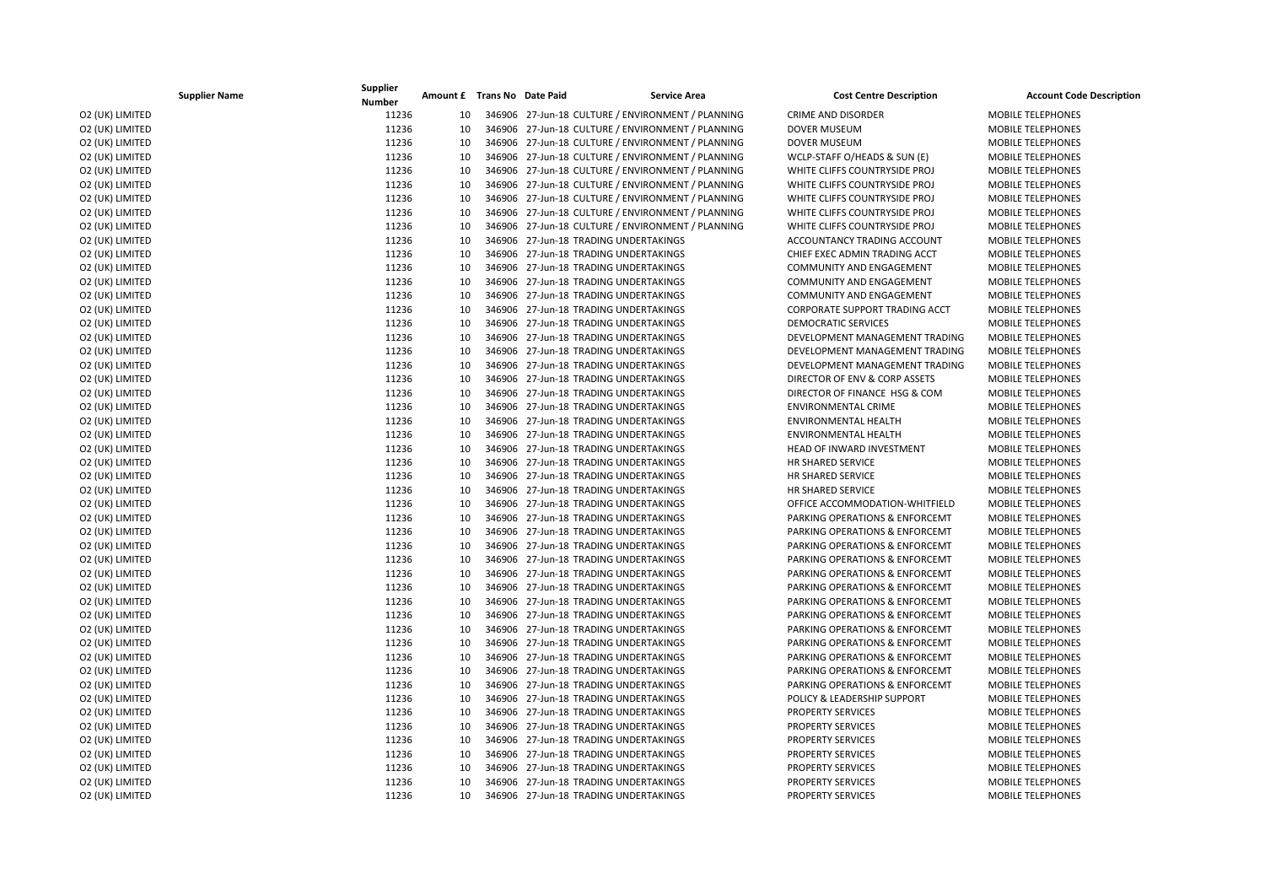|                 | <b>Supplier Name</b> | Supplier<br><b>Number</b> | Amount £ Trans No Date Paid |  | <b>Service Area</b>                               | <b>Cost Centre Description</b>            | <b>Account Code Description</b> |
|-----------------|----------------------|---------------------------|-----------------------------|--|---------------------------------------------------|-------------------------------------------|---------------------------------|
| O2 (UK) LIMITED |                      | 11236                     | 10                          |  | 346906 27-Jun-18 CULTURE / ENVIRONMENT / PLANNING | <b>CRIME AND DISORDER</b>                 | <b>MOBILE TELEPHONES</b>        |
| O2 (UK) LIMITED |                      | 11236                     | 10                          |  | 346906 27-Jun-18 CULTURE / ENVIRONMENT / PLANNING | <b>DOVER MUSEUM</b>                       | <b>MOBILE TELEPHONES</b>        |
| O2 (UK) LIMITED |                      | 11236                     | 10                          |  | 346906 27-Jun-18 CULTURE / ENVIRONMENT / PLANNING | <b>DOVER MUSEUM</b>                       | <b>MOBILE TELEPHONES</b>        |
| O2 (UK) LIMITED |                      | 11236                     | 10                          |  | 346906 27-Jun-18 CULTURE / ENVIRONMENT / PLANNING | WCLP-STAFF O/HEADS & SUN (E)              | MOBILE TELEPHONES               |
| O2 (UK) LIMITED |                      | 11236                     | 10                          |  | 346906 27-Jun-18 CULTURE / ENVIRONMENT / PLANNING | WHITE CLIFFS COUNTRYSIDE PROJ             | MOBILE TELEPHONES               |
| O2 (UK) LIMITED |                      | 11236                     | 10                          |  | 346906 27-Jun-18 CULTURE / ENVIRONMENT / PLANNING | WHITE CLIFFS COUNTRYSIDE PROJ             | <b>MOBILE TELEPHONES</b>        |
| O2 (UK) LIMITED |                      | 11236                     | 10                          |  | 346906 27-Jun-18 CULTURE / ENVIRONMENT / PLANNING | WHITE CLIFFS COUNTRYSIDE PROJ             | MOBILE TELEPHONES               |
| O2 (UK) LIMITED |                      | 11236                     | 10                          |  | 346906 27-Jun-18 CULTURE / ENVIRONMENT / PLANNING | WHITE CLIFFS COUNTRYSIDE PROJ             | <b>MOBILE TELEPHONES</b>        |
| O2 (UK) LIMITED |                      | 11236                     | 10                          |  | 346906 27-Jun-18 CULTURE / ENVIRONMENT / PLANNING | WHITE CLIFFS COUNTRYSIDE PROJ             | MOBILE TELEPHONES               |
| O2 (UK) LIMITED |                      | 11236                     | 10                          |  | 346906 27-Jun-18 TRADING UNDERTAKINGS             | ACCOUNTANCY TRADING ACCOUNT               | <b>MOBILE TELEPHONES</b>        |
| O2 (UK) LIMITED |                      | 11236                     | 10                          |  | 346906 27-Jun-18 TRADING UNDERTAKINGS             | CHIEF EXEC ADMIN TRADING ACCT             | <b>MOBILE TELEPHONES</b>        |
| O2 (UK) LIMITED |                      | 11236                     | 10                          |  | 346906 27-Jun-18 TRADING UNDERTAKINGS             | COMMUNITY AND ENGAGEMENT                  | MOBILE TELEPHONES               |
| O2 (UK) LIMITED |                      | 11236                     | 10                          |  | 346906 27-Jun-18 TRADING UNDERTAKINGS             | <b>COMMUNITY AND ENGAGEMENT</b>           | MOBILE TELEPHONES               |
| O2 (UK) LIMITED |                      | 11236                     | 10                          |  | 346906 27-Jun-18 TRADING UNDERTAKINGS             | <b>COMMUNITY AND ENGAGEMENT</b>           | <b>MOBILE TELEPHONES</b>        |
| O2 (UK) LIMITED |                      | 11236                     | 10                          |  | 346906 27-Jun-18 TRADING UNDERTAKINGS             | <b>CORPORATE SUPPORT TRADING ACCT</b>     | <b>MOBILE TELEPHONES</b>        |
| O2 (UK) LIMITED |                      | 11236                     | 10                          |  | 346906 27-Jun-18 TRADING UNDERTAKINGS             | <b>DEMOCRATIC SERVICES</b>                | MOBILE TELEPHONES               |
| O2 (UK) LIMITED |                      | 11236                     | 10                          |  | 346906 27-Jun-18 TRADING UNDERTAKINGS             | DEVELOPMENT MANAGEMENT TRADING            | MOBILE TELEPHONES               |
| O2 (UK) LIMITED |                      | 11236                     | 10                          |  | 346906 27-Jun-18 TRADING UNDERTAKINGS             | DEVELOPMENT MANAGEMENT TRADING            | <b>MOBILE TELEPHONES</b>        |
| O2 (UK) LIMITED |                      | 11236                     | 10                          |  | 346906 27-Jun-18 TRADING UNDERTAKINGS             | DEVELOPMENT MANAGEMENT TRADING            | MOBILE TELEPHONES               |
| O2 (UK) LIMITED |                      | 11236                     | 10                          |  | 346906 27-Jun-18 TRADING UNDERTAKINGS             | DIRECTOR OF ENV & CORP ASSETS             | <b>MOBILE TELEPHONES</b>        |
| O2 (UK) LIMITED |                      | 11236                     | 10                          |  | 346906 27-Jun-18 TRADING UNDERTAKINGS             | DIRECTOR OF FINANCE HSG & COM             | <b>MOBILE TELEPHONES</b>        |
| O2 (UK) LIMITED |                      | 11236                     | 10                          |  | 346906 27-Jun-18 TRADING UNDERTAKINGS             | <b>ENVIRONMENTAL CRIME</b>                | <b>MOBILE TELEPHONES</b>        |
| O2 (UK) LIMITED |                      | 11236                     | 10                          |  | 346906 27-Jun-18 TRADING UNDERTAKINGS             | <b>ENVIRONMENTAL HEALTH</b>               | MOBILE TELEPHONES               |
| O2 (UK) LIMITED |                      | 11236                     | 10                          |  | 346906 27-Jun-18 TRADING UNDERTAKINGS             | ENVIRONMENTAL HEALTH                      | MOBILE TELEPHONES               |
| O2 (UK) LIMITED |                      | 11236                     | 10                          |  | 346906 27-Jun-18 TRADING UNDERTAKINGS             | HEAD OF INWARD INVESTMENT                 | MOBILE TELEPHONES               |
| O2 (UK) LIMITED |                      | 11236                     | 10                          |  | 346906 27-Jun-18 TRADING UNDERTAKINGS             | HR SHARED SERVICE                         | <b>MOBILE TELEPHONES</b>        |
| O2 (UK) LIMITED |                      | 11236                     | 10                          |  | 346906 27-Jun-18 TRADING UNDERTAKINGS             | HR SHARED SERVICE                         | <b>MOBILE TELEPHONES</b>        |
| O2 (UK) LIMITED |                      | 11236                     | 10                          |  | 346906 27-Jun-18 TRADING UNDERTAKINGS             | HR SHARED SERVICE                         | <b>MOBILE TELEPHONES</b>        |
| O2 (UK) LIMITED |                      | 11236                     | 10                          |  | 346906 27-Jun-18 TRADING UNDERTAKINGS             | OFFICE ACCOMMODATION-WHITFIELD            | MOBILE TELEPHONES               |
| O2 (UK) LIMITED |                      | 11236                     | 10                          |  | 346906 27-Jun-18 TRADING UNDERTAKINGS             | PARKING OPERATIONS & ENFORCEMT            | <b>MOBILE TELEPHONES</b>        |
| O2 (UK) LIMITED |                      | 11236                     | 10                          |  | 346906 27-Jun-18 TRADING UNDERTAKINGS             | PARKING OPERATIONS & ENFORCEMT            | <b>MOBILE TELEPHONES</b>        |
| O2 (UK) LIMITED |                      | 11236                     | 10                          |  | 346906 27-Jun-18 TRADING UNDERTAKINGS             | PARKING OPERATIONS & ENFORCEMT            | <b>MOBILE TELEPHONES</b>        |
| O2 (UK) LIMITED |                      | 11236                     | 10                          |  | 346906 27-Jun-18 TRADING UNDERTAKINGS             | PARKING OPERATIONS & ENFORCEMT            | <b>MOBILE TELEPHONES</b>        |
| O2 (UK) LIMITED |                      | 11236                     | 10                          |  | 346906 27-Jun-18 TRADING UNDERTAKINGS             | PARKING OPERATIONS & ENFORCEMT            | MOBILE TELEPHONES               |
| O2 (UK) LIMITED |                      | 11236                     | 10                          |  | 346906 27-Jun-18 TRADING UNDERTAKINGS             | PARKING OPERATIONS & ENFORCEMT            | MOBILE TELEPHONES               |
| O2 (UK) LIMITED |                      | 11236                     | 10                          |  | 346906 27-Jun-18 TRADING UNDERTAKINGS             | <b>PARKING OPERATIONS &amp; ENFORCEMT</b> | <b>MOBILE TELEPHONES</b>        |
| O2 (UK) LIMITED |                      | 11236                     | 10                          |  | 346906 27-Jun-18 TRADING UNDERTAKINGS             | PARKING OPERATIONS & ENFORCEMT            | MOBILE TELEPHONES               |
| O2 (UK) LIMITED |                      | 11236                     | 10                          |  | 346906 27-Jun-18 TRADING UNDERTAKINGS             | PARKING OPERATIONS & ENFORCEMT            | <b>MOBILE TELEPHONES</b>        |
| O2 (UK) LIMITED |                      | 11236                     | 10                          |  | 346906 27-Jun-18 TRADING UNDERTAKINGS             | PARKING OPERATIONS & ENFORCEMT            | MOBILE TELEPHONES               |
| O2 (UK) LIMITED |                      | 11236                     | 10                          |  | 346906 27-Jun-18 TRADING UNDERTAKINGS             | PARKING OPERATIONS & ENFORCEMT            | <b>MOBILE TELEPHONES</b>        |
| O2 (UK) LIMITED |                      | 11236                     | 10                          |  | 346906 27-Jun-18 TRADING UNDERTAKINGS             | PARKING OPERATIONS & ENFORCEMT            | <b>MOBILE TELEPHONES</b>        |
| O2 (UK) LIMITED |                      | 11236                     | 10                          |  | 346906 27-Jun-18 TRADING UNDERTAKINGS             | PARKING OPERATIONS & ENFORCEMT            | <b>MOBILE TELEPHONES</b>        |
| O2 (UK) LIMITED |                      | 11236                     | 10                          |  | 346906 27-Jun-18 TRADING UNDERTAKINGS             | POLICY & LEADERSHIP SUPPORT               | <b>MOBILE TELEPHONES</b>        |
| O2 (UK) LIMITED |                      | 11236                     | 10                          |  | 346906 27-Jun-18 TRADING UNDERTAKINGS             | <b>PROPERTY SERVICES</b>                  | <b>MOBILE TELEPHONES</b>        |
| O2 (UK) LIMITED |                      | 11236                     | 10                          |  | 346906 27-Jun-18 TRADING UNDERTAKINGS             | <b>PROPERTY SERVICES</b>                  | <b>MOBILE TELEPHONES</b>        |
| O2 (UK) LIMITED |                      | 11236                     | 10                          |  | 346906 27-Jun-18 TRADING UNDERTAKINGS             | <b>PROPERTY SERVICES</b>                  | MOBILE TELEPHONES               |
| O2 (UK) LIMITED |                      | 11236                     | 10                          |  | 346906 27-Jun-18 TRADING UNDERTAKINGS             | <b>PROPERTY SERVICES</b>                  | <b>MOBILE TELEPHONES</b>        |
| O2 (UK) LIMITED |                      | 11236                     | 10                          |  | 346906 27-Jun-18 TRADING UNDERTAKINGS             | PROPERTY SERVICES                         | MOBILE TELEPHONES               |
| O2 (UK) LIMITED |                      | 11236                     | 10                          |  | 346906 27-Jun-18 TRADING UNDERTAKINGS             | <b>PROPERTY SERVICES</b>                  | MOBILE TELEPHONES               |
| O2 (UK) LIMITED |                      | 11236                     | 10                          |  | 346906 27-Jun-18 TRADING UNDERTAKINGS             | <b>PROPERTY SERVICES</b>                  | <b>MOBILE TELEPHONES</b>        |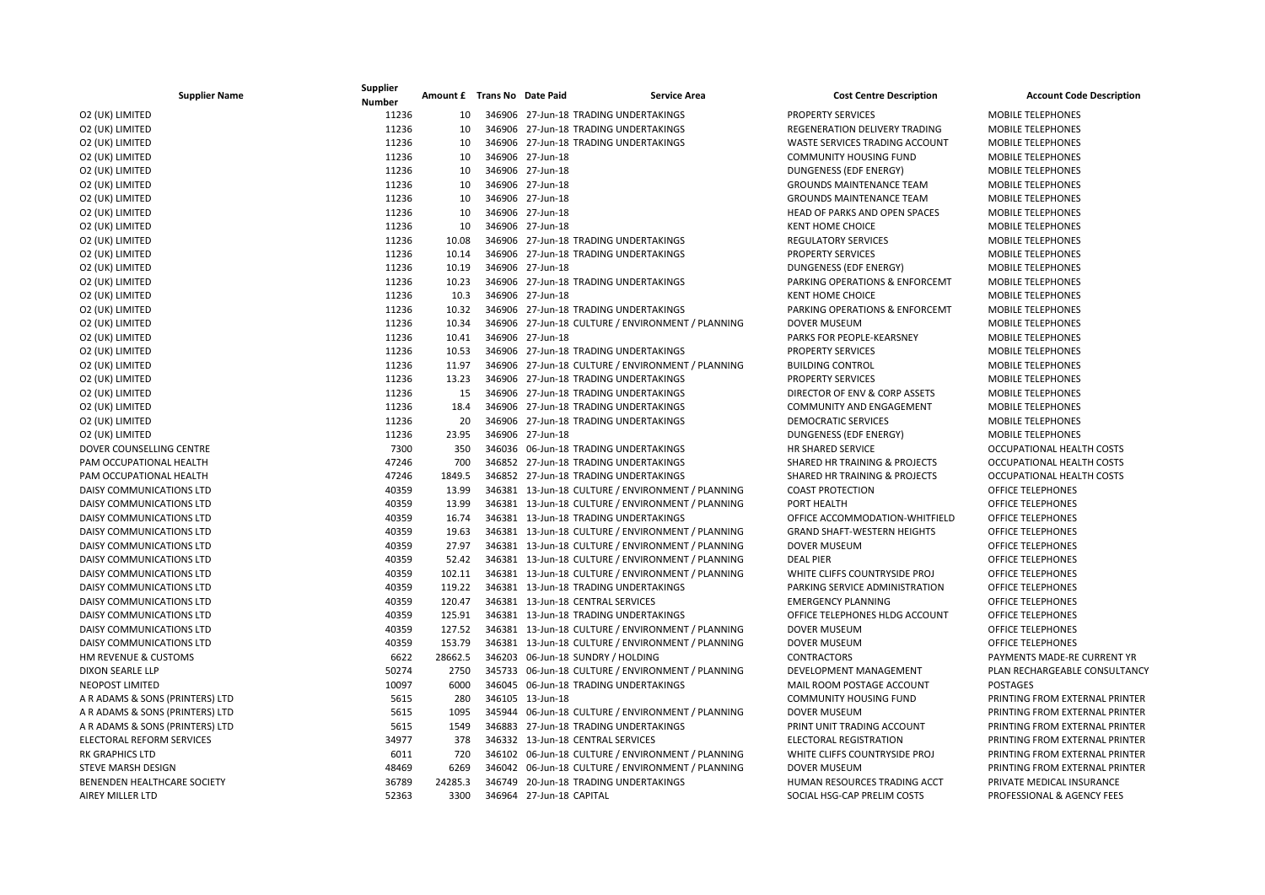| <b>Supplier Name</b>            | Supplier<br><b>Number</b> | Amount £ Trans No Date Paid |                          | <b>Service Area</b>                               | <b>Cost Centre Description</b>     | <b>Account Code Description</b> |
|---------------------------------|---------------------------|-----------------------------|--------------------------|---------------------------------------------------|------------------------------------|---------------------------------|
| O2 (UK) LIMITED                 | 11236                     | 10                          |                          | 346906 27-Jun-18 TRADING UNDERTAKINGS             | PROPERTY SERVICES                  | <b>MOBILE TELEPHONES</b>        |
| O2 (UK) LIMITED                 | 11236                     | 10                          |                          | 346906 27-Jun-18 TRADING UNDERTAKINGS             | REGENERATION DELIVERY TRADING      | <b>MOBILE TELEPHONES</b>        |
| O2 (UK) LIMITED                 | 11236                     | 10                          |                          | 346906 27-Jun-18 TRADING UNDERTAKINGS             | WASTE SERVICES TRADING ACCOUNT     | <b>MOBILE TELEPHONES</b>        |
| O2 (UK) LIMITED                 | 11236                     | 10                          | 346906 27-Jun-18         |                                                   | <b>COMMUNITY HOUSING FUND</b>      | <b>MOBILE TELEPHONES</b>        |
| O2 (UK) LIMITED                 | 11236                     | 10                          | 346906 27-Jun-18         |                                                   | DUNGENESS (EDF ENERGY)             | <b>MOBILE TELEPHONES</b>        |
| O2 (UK) LIMITED                 | 11236                     | 10                          | 346906 27-Jun-18         |                                                   | <b>GROUNDS MAINTENANCE TEAM</b>    | <b>MOBILE TELEPHONES</b>        |
| O2 (UK) LIMITED                 | 11236                     | 10                          | 346906 27-Jun-18         |                                                   | <b>GROUNDS MAINTENANCE TEAM</b>    | MOBILE TELEPHONES               |
| O2 (UK) LIMITED                 | 11236                     | 10                          | 346906 27-Jun-18         |                                                   | HEAD OF PARKS AND OPEN SPACES      | <b>MOBILE TELEPHONES</b>        |
| O2 (UK) LIMITED                 | 11236                     | 10                          | 346906 27-Jun-18         |                                                   | <b>KENT HOME CHOICE</b>            | <b>MOBILE TELEPHONES</b>        |
| O2 (UK) LIMITED                 | 11236                     | 10.08                       |                          | 346906 27-Jun-18 TRADING UNDERTAKINGS             | <b>REGULATORY SERVICES</b>         | <b>MOBILE TELEPHONES</b>        |
| O2 (UK) LIMITED                 | 11236                     | 10.14                       |                          | 346906 27-Jun-18 TRADING UNDERTAKINGS             | <b>PROPERTY SERVICES</b>           | <b>MOBILE TELEPHONES</b>        |
| O2 (UK) LIMITED                 | 11236                     | 10.19                       | 346906 27-Jun-18         |                                                   | DUNGENESS (EDF ENERGY)             | MOBILE TELEPHONES               |
| O2 (UK) LIMITED                 | 11236                     | 10.23                       |                          | 346906 27-Jun-18 TRADING UNDERTAKINGS             | PARKING OPERATIONS & ENFORCEMT     | MOBILE TELEPHONES               |
| O2 (UK) LIMITED                 | 11236                     | 10.3                        | 346906 27-Jun-18         |                                                   | <b>KENT HOME CHOICE</b>            | <b>MOBILE TELEPHONES</b>        |
| O2 (UK) LIMITED                 | 11236                     | 10.32                       |                          | 346906 27-Jun-18 TRADING UNDERTAKINGS             | PARKING OPERATIONS & ENFORCEMT     | <b>MOBILE TELEPHONES</b>        |
| O2 (UK) LIMITED                 | 11236                     | 10.34                       |                          | 346906 27-Jun-18 CULTURE / ENVIRONMENT / PLANNING | <b>DOVER MUSEUM</b>                | <b>MOBILE TELEPHONES</b>        |
| O2 (UK) LIMITED                 | 11236                     | 10.41                       | 346906 27-Jun-18         |                                                   | PARKS FOR PEOPLE-KEARSNEY          | MOBILE TELEPHONES               |
| O2 (UK) LIMITED                 | 11236                     | 10.53                       |                          | 346906 27-Jun-18 TRADING UNDERTAKINGS             | <b>PROPERTY SERVICES</b>           | <b>MOBILE TELEPHONES</b>        |
| O2 (UK) LIMITED                 | 11236                     | 11.97                       |                          | 346906 27-Jun-18 CULTURE / ENVIRONMENT / PLANNING | <b>BUILDING CONTROL</b>            | MOBILE TELEPHONES               |
| O2 (UK) LIMITED                 | 11236                     | 13.23                       |                          | 346906 27-Jun-18 TRADING UNDERTAKINGS             | PROPERTY SERVICES                  | <b>MOBILE TELEPHONES</b>        |
| O2 (UK) LIMITED                 | 11236                     | 15                          |                          | 346906 27-Jun-18 TRADING UNDERTAKINGS             | DIRECTOR OF ENV & CORP ASSETS      | <b>MOBILE TELEPHONES</b>        |
| O2 (UK) LIMITED                 | 11236                     | 18.4                        |                          | 346906 27-Jun-18 TRADING UNDERTAKINGS             | COMMUNITY AND ENGAGEMENT           | <b>MOBILE TELEPHONES</b>        |
| O2 (UK) LIMITED                 | 11236                     | 20                          |                          | 346906 27-Jun-18 TRADING UNDERTAKINGS             | <b>DEMOCRATIC SERVICES</b>         | <b>MOBILE TELEPHONES</b>        |
| O2 (UK) LIMITED                 | 11236                     | 23.95                       | 346906 27-Jun-18         |                                                   | DUNGENESS (EDF ENERGY)             | <b>MOBILE TELEPHONES</b>        |
| DOVER COUNSELLING CENTRE        | 7300                      | 350                         |                          | 346036 06-Jun-18 TRADING UNDERTAKINGS             | HR SHARED SERVICE                  | OCCUPATIONAL HEALTH COSTS       |
| PAM OCCUPATIONAL HEALTH         | 47246                     | 700                         |                          | 346852 27-Jun-18 TRADING UNDERTAKINGS             | SHARED HR TRAINING & PROJECTS      | OCCUPATIONAL HEALTH COSTS       |
| PAM OCCUPATIONAL HEALTH         | 47246                     | 1849.5                      |                          | 346852 27-Jun-18 TRADING UNDERTAKINGS             | SHARED HR TRAINING & PROJECTS      | OCCUPATIONAL HEALTH COSTS       |
| DAISY COMMUNICATIONS LTD        | 40359                     | 13.99                       |                          | 346381 13-Jun-18 CULTURE / ENVIRONMENT / PLANNING | <b>COAST PROTECTION</b>            | <b>OFFICE TELEPHONES</b>        |
| DAISY COMMUNICATIONS LTD        | 40359                     | 13.99                       |                          | 346381 13-Jun-18 CULTURE / ENVIRONMENT / PLANNING | PORT HEALTH                        | <b>OFFICE TELEPHONES</b>        |
| DAISY COMMUNICATIONS LTD        | 40359                     | 16.74                       |                          | 346381 13-Jun-18 TRADING UNDERTAKINGS             | OFFICE ACCOMMODATION-WHITFIELD     | <b>OFFICE TELEPHONES</b>        |
| DAISY COMMUNICATIONS LTD        | 40359                     | 19.63                       |                          | 346381 13-Jun-18 CULTURE / ENVIRONMENT / PLANNING | <b>GRAND SHAFT-WESTERN HEIGHTS</b> | <b>OFFICE TELEPHONES</b>        |
| DAISY COMMUNICATIONS LTD        | 40359                     | 27.97                       |                          | 346381 13-Jun-18 CULTURE / ENVIRONMENT / PLANNING | DOVER MUSEUM                       | <b>OFFICE TELEPHONES</b>        |
| DAISY COMMUNICATIONS LTD        | 40359                     | 52.42                       |                          | 346381 13-Jun-18 CULTURE / ENVIRONMENT / PLANNING | <b>DEAL PIER</b>                   | <b>OFFICE TELEPHONES</b>        |
| DAISY COMMUNICATIONS LTD        | 40359                     | 102.11                      |                          | 346381 13-Jun-18 CULTURE / ENVIRONMENT / PLANNING | WHITE CLIFFS COUNTRYSIDE PROJ      | OFFICE TELEPHONES               |
| DAISY COMMUNICATIONS LTD        | 40359                     | 119.22                      |                          | 346381 13-Jun-18 TRADING UNDERTAKINGS             | PARKING SERVICE ADMINISTRATION     | <b>OFFICE TELEPHONES</b>        |
| <b>DAISY COMMUNICATIONS LTD</b> | 40359                     | 120.47                      |                          | 346381 13-Jun-18 CENTRAL SERVICES                 | <b>EMERGENCY PLANNING</b>          | <b>OFFICE TELEPHONES</b>        |
| DAISY COMMUNICATIONS LTD        | 40359                     | 125.91                      |                          | 346381 13-Jun-18 TRADING UNDERTAKINGS             | OFFICE TELEPHONES HLDG ACCOUNT     | <b>OFFICE TELEPHONES</b>        |
| <b>DAISY COMMUNICATIONS LTD</b> | 40359                     | 127.52                      |                          | 346381 13-Jun-18 CULTURE / ENVIRONMENT / PLANNING | <b>DOVER MUSEUM</b>                | <b>OFFICE TELEPHONES</b>        |
| DAISY COMMUNICATIONS LTD        | 40359                     | 153.79                      |                          | 346381 13-Jun-18 CULTURE / ENVIRONMENT / PLANNING | <b>DOVER MUSEUM</b>                | <b>OFFICE TELEPHONES</b>        |
| HM REVENUE & CUSTOMS            | 6622                      | 28662.5                     |                          | 346203 06-Jun-18 SUNDRY / HOLDING                 | CONTRACTORS                        | PAYMENTS MADE-RE CURRENT YR     |
| DIXON SEARLE LLP                | 50274                     | 2750                        |                          | 345733 06-Jun-18 CULTURE / ENVIRONMENT / PLANNING | DEVELOPMENT MANAGEMENT             | PLAN RECHARGEABLE CONSULTANCY   |
| NEOPOST LIMITED                 | 10097                     | 6000                        |                          | 346045 06-Jun-18 TRADING UNDERTAKINGS             | MAIL ROOM POSTAGE ACCOUNT          | <b>POSTAGES</b>                 |
| A R ADAMS & SONS (PRINTERS) LTD | 5615                      | 280                         | 346105 13-Jun-18         |                                                   | <b>COMMUNITY HOUSING FUND</b>      | PRINTING FROM EXTERNAL PRINTER  |
| A R ADAMS & SONS (PRINTERS) LTD | 5615                      | 1095                        |                          | 345944 06-Jun-18 CULTURE / ENVIRONMENT / PLANNING | <b>DOVER MUSEUM</b>                | PRINTING FROM EXTERNAL PRINTER  |
| A R ADAMS & SONS (PRINTERS) LTD | 5615                      | 1549                        |                          | 346883 27-Jun-18 TRADING UNDERTAKINGS             | PRINT UNIT TRADING ACCOUNT         | PRINTING FROM EXTERNAL PRINTER  |
| ELECTORAL REFORM SERVICES       | 34977                     | 378                         |                          | 346332 13-Jun-18 CENTRAL SERVICES                 | ELECTORAL REGISTRATION             | PRINTING FROM EXTERNAL PRINTER  |
| <b>RK GRAPHICS LTD</b>          | 6011                      | 720                         |                          | 346102 06-Jun-18 CULTURE / ENVIRONMENT / PLANNING | WHITE CLIFFS COUNTRYSIDE PROJ      | PRINTING FROM EXTERNAL PRINTER  |
| <b>STEVE MARSH DESIGN</b>       | 48469                     | 6269                        |                          | 346042 06-Jun-18 CULTURE / ENVIRONMENT / PLANNING | <b>DOVER MUSEUM</b>                | PRINTING FROM EXTERNAL PRINTER  |
| BENENDEN HEALTHCARE SOCIETY     | 36789                     | 24285.3                     |                          | 346749 20-Jun-18 TRADING UNDERTAKINGS             | HUMAN RESOURCES TRADING ACCT       | PRIVATE MEDICAL INSURANCE       |
| AIREY MILLER LTD                | 52363                     | 3300                        | 346964 27-Jun-18 CAPITAL |                                                   | SOCIAL HSG-CAP PRELIM COSTS        | PROFESSIONAL & AGENCY FEES      |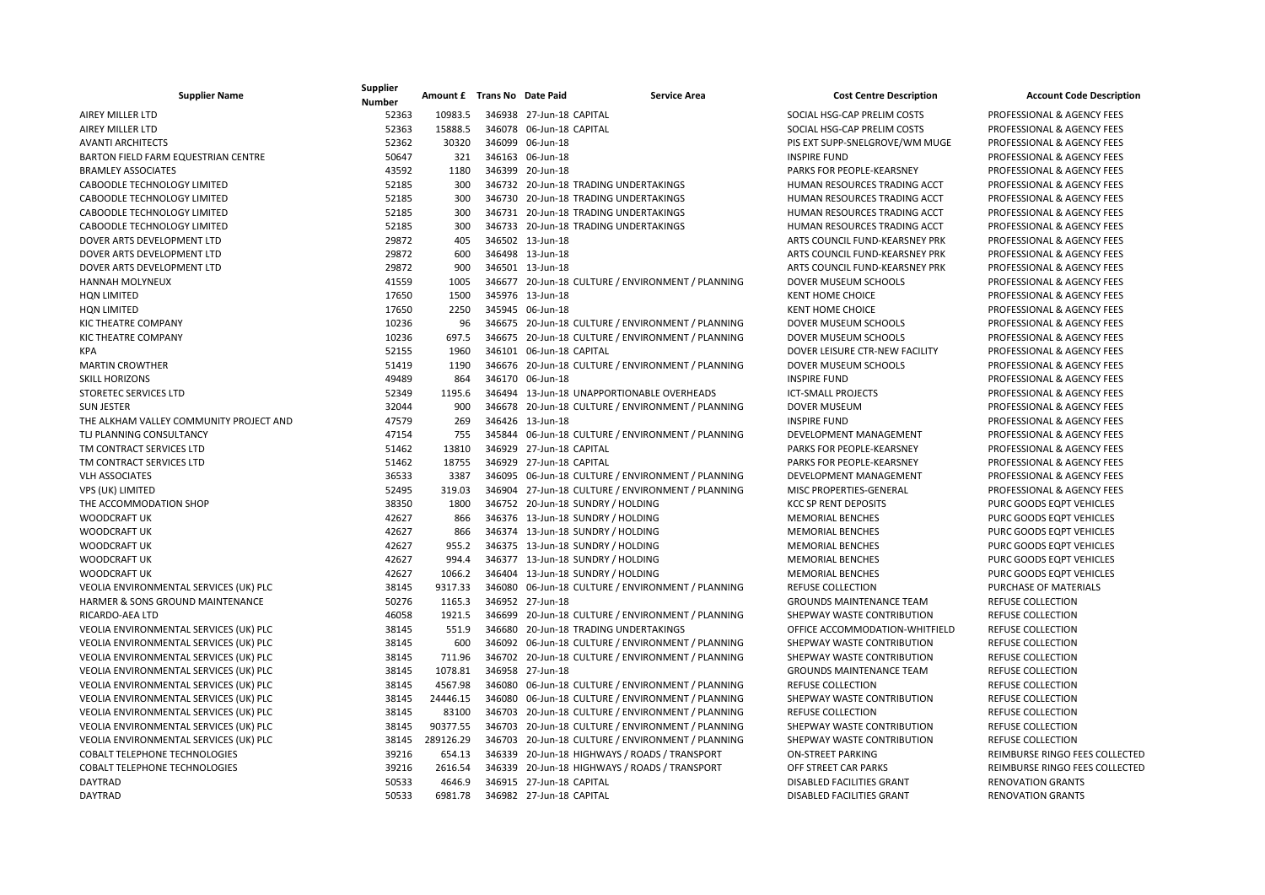| <b>Supplier Name</b>                       | Supplier<br><b>Number</b> | Amount £ Trans No Date Paid | <b>Service Area</b>                               | <b>Cost Centre Description</b>   | <b>Account Code Description</b>       |
|--------------------------------------------|---------------------------|-----------------------------|---------------------------------------------------|----------------------------------|---------------------------------------|
| <b>AIREY MILLER LTD</b>                    | 52363                     | 10983.5                     | 346938 27-Jun-18 CAPITAL                          | SOCIAL HSG-CAP PRELIM COSTS      | PROFESSIONAL & AGENCY FEES            |
| <b>AIREY MILLER LTD</b>                    | 52363                     | 15888.5                     | 346078 06-Jun-18 CAPITAL                          | SOCIAL HSG-CAP PRELIM COSTS      | PROFESSIONAL & AGENCY FEES            |
| <b>AVANTI ARCHITECTS</b>                   | 52362                     | 30320                       | 346099 06-Jun-18                                  | PIS EXT SUPP-SNELGROVE/WM MUGE   | PROFESSIONAL & AGENCY FEES            |
| <b>BARTON FIELD FARM EQUESTRIAN CENTRE</b> | 50647                     | 321                         | 346163 06-Jun-18                                  | <b>INSPIRE FUND</b>              | <b>PROFESSIONAL &amp; AGENCY FEES</b> |
| <b>BRAMLEY ASSOCIATES</b>                  | 43592                     | 1180                        | 346399 20-Jun-18                                  | PARKS FOR PEOPLE-KEARSNEY        | PROFESSIONAL & AGENCY FEES            |
| CABOODLE TECHNOLOGY LIMITED                | 52185                     | 300                         | 346732 20-Jun-18 TRADING UNDERTAKINGS             | HUMAN RESOURCES TRADING ACCT     | PROFESSIONAL & AGENCY FEES            |
| CABOODLE TECHNOLOGY LIMITED                | 52185                     | 300                         | 346730 20-Jun-18 TRADING UNDERTAKINGS             | HUMAN RESOURCES TRADING ACCT     | PROFESSIONAL & AGENCY FEES            |
| CABOODLE TECHNOLOGY LIMITED                | 52185                     | 300                         | 346731 20-Jun-18 TRADING UNDERTAKINGS             | HUMAN RESOURCES TRADING ACCT     | PROFESSIONAL & AGENCY FEES            |
| CABOODLE TECHNOLOGY LIMITED                | 52185                     | 300                         | 346733 20-Jun-18 TRADING UNDERTAKINGS             | HUMAN RESOURCES TRADING ACCT     | PROFESSIONAL & AGENCY FEES            |
| DOVER ARTS DEVELOPMENT LTD                 | 29872                     | 405                         | 346502 13-Jun-18                                  | ARTS COUNCIL FUND-KEARSNEY PRK   | PROFESSIONAL & AGENCY FEES            |
| DOVER ARTS DEVELOPMENT LTD                 | 29872                     | 600                         | 346498 13-Jun-18                                  | ARTS COUNCIL FUND-KEARSNEY PRK   | PROFESSIONAL & AGENCY FEES            |
| DOVER ARTS DEVELOPMENT LTD                 | 29872                     | 900                         | 346501 13-Jun-18                                  | ARTS COUNCIL FUND-KEARSNEY PRK   | PROFESSIONAL & AGENCY FEES            |
| HANNAH MOLYNEUX                            | 41559                     | 1005                        | 346677 20-Jun-18 CULTURE / ENVIRONMENT / PLANNING | DOVER MUSEUM SCHOOLS             | PROFESSIONAL & AGENCY FEES            |
| <b>HON LIMITED</b>                         | 17650                     | 1500                        | 345976 13-Jun-18                                  | <b>KENT HOME CHOICE</b>          | PROFESSIONAL & AGENCY FEES            |
| <b>HQN LIMITED</b>                         | 17650                     | 2250                        | 345945 06-Jun-18                                  | <b>KENT HOME CHOICE</b>          | PROFESSIONAL & AGENCY FEES            |
| KIC THEATRE COMPANY                        | 10236                     | 96                          | 346675 20-Jun-18 CULTURE / ENVIRONMENT / PLANNING | DOVER MUSEUM SCHOOLS             | PROFESSIONAL & AGENCY FEES            |
| KIC THEATRE COMPANY                        | 10236                     | 697.5                       | 346675 20-Jun-18 CULTURE / ENVIRONMENT / PLANNING | <b>DOVER MUSEUM SCHOOLS</b>      | PROFESSIONAL & AGENCY FEES            |
| <b>KPA</b>                                 | 52155                     | 1960                        | 346101 06-Jun-18 CAPITAL                          | DOVER LEISURE CTR-NEW FACILITY   | PROFESSIONAL & AGENCY FEES            |
| <b>MARTIN CROWTHER</b>                     | 51419                     | 1190                        | 346676 20-Jun-18 CULTURE / ENVIRONMENT / PLANNING | DOVER MUSEUM SCHOOLS             | PROFESSIONAL & AGENCY FEES            |
| <b>SKILL HORIZONS</b>                      | 49489                     | 864                         | 346170 06-Jun-18                                  | <b>INSPIRE FUND</b>              | PROFESSIONAL & AGENCY FEES            |
| <b>STORETEC SERVICES LTD</b>               | 52349                     | 1195.6                      | 346494 13-Jun-18 UNAPPORTIONABLE OVERHEADS        | <b>ICT-SMALL PROJECTS</b>        | PROFESSIONAL & AGENCY FEES            |
| <b>SUN JESTER</b>                          | 32044                     | 900                         | 346678 20-Jun-18 CULTURE / ENVIRONMENT / PLANNING | <b>DOVER MUSEUM</b>              | PROFESSIONAL & AGENCY FEES            |
| THE ALKHAM VALLEY COMMUNITY PROJECT AND    | 47579                     | 269                         | 346426 13-Jun-18                                  | <b>INSPIRE FUND</b>              | PROFESSIONAL & AGENCY FEES            |
| TLJ PLANNING CONSULTANCY                   | 47154                     | 755                         | 345844 06-Jun-18 CULTURE / ENVIRONMENT / PLANNING | DEVELOPMENT MANAGEMENT           | PROFESSIONAL & AGENCY FEES            |
| TM CONTRACT SERVICES LTD                   | 51462                     | 13810                       | 346929 27-Jun-18 CAPITAL                          | PARKS FOR PEOPLE-KEARSNEY        | PROFESSIONAL & AGENCY FEES            |
| TM CONTRACT SERVICES LTD                   | 51462                     | 18755                       | 346929 27-Jun-18 CAPITAL                          | PARKS FOR PEOPLE-KEARSNEY        | PROFESSIONAL & AGENCY FEES            |
| <b>VLH ASSOCIATES</b>                      | 36533                     | 3387                        | 346095 06-Jun-18 CULTURE / ENVIRONMENT / PLANNING | DEVELOPMENT MANAGEMENT           | PROFESSIONAL & AGENCY FEES            |
| VPS (UK) LIMITED                           | 52495                     | 319.03                      | 346904 27-Jun-18 CULTURE / ENVIRONMENT / PLANNING | MISC PROPERTIES-GENERAL          | PROFESSIONAL & AGENCY FEES            |
| THE ACCOMMODATION SHOP                     | 38350                     | 1800                        | 346752 20-Jun-18 SUNDRY / HOLDING                 | <b>KCC SP RENT DEPOSITS</b>      | PURC GOODS EQPT VEHICLES              |
| <b>WOODCRAFT UK</b>                        | 42627                     | 866                         | 346376 13-Jun-18 SUNDRY / HOLDING                 | <b>MEMORIAL BENCHES</b>          | PURC GOODS EQPT VEHICLES              |
| <b>WOODCRAFT UK</b>                        | 42627                     | 866                         | 346374 13-Jun-18 SUNDRY / HOLDING                 | <b>MEMORIAL BENCHES</b>          | PURC GOODS EQPT VEHICLES              |
| <b>WOODCRAFT UK</b>                        | 42627                     | 955.2                       | 346375 13-Jun-18 SUNDRY / HOLDING                 | <b>MEMORIAL BENCHES</b>          | PURC GOODS EQPT VEHICLES              |
| <b>WOODCRAFT UK</b>                        | 42627                     | 994.4                       | 346377 13-Jun-18 SUNDRY / HOLDING                 | <b>MEMORIAL BENCHES</b>          | PURC GOODS EQPT VEHICLES              |
| <b>WOODCRAFT UK</b>                        | 42627                     | 1066.2                      | 346404 13-Jun-18 SUNDRY / HOLDING                 | <b>MEMORIAL BENCHES</b>          | PURC GOODS EQPT VEHICLES              |
| VEOLIA ENVIRONMENTAL SERVICES (UK) PLC     | 38145                     | 9317.33                     | 346080 06-Jun-18 CULTURE / ENVIRONMENT / PLANNING | <b>REFUSE COLLECTION</b>         | PURCHASE OF MATERIALS                 |
| HARMER & SONS GROUND MAINTENANCE           | 50276                     | 1165.3                      | 346952 27-Jun-18                                  | <b>GROUNDS MAINTENANCE TEAM</b>  | <b>REFUSE COLLECTION</b>              |
| <b>RICARDO-AEA LTD</b>                     | 46058                     | 1921.5                      | 346699 20-Jun-18 CULTURE / ENVIRONMENT / PLANNING | SHEPWAY WASTE CONTRIBUTION       | <b>REFUSE COLLECTION</b>              |
| VEOLIA ENVIRONMENTAL SERVICES (UK) PLC     | 38145                     | 551.9                       | 346680 20-Jun-18 TRADING UNDERTAKINGS             | OFFICE ACCOMMODATION-WHITFIELD   | <b>REFUSE COLLECTION</b>              |
| VEOLIA ENVIRONMENTAL SERVICES (UK) PLC     | 38145                     | 600                         | 346092 06-Jun-18 CULTURE / ENVIRONMENT / PLANNING | SHEPWAY WASTE CONTRIBUTION       | <b>REFUSE COLLECTION</b>              |
| VEOLIA ENVIRONMENTAL SERVICES (UK) PLC     | 38145                     | 711.96                      | 346702 20-Jun-18 CULTURE / ENVIRONMENT / PLANNING | SHEPWAY WASTE CONTRIBUTION       | <b>REFUSE COLLECTION</b>              |
| VEOLIA ENVIRONMENTAL SERVICES (UK) PLC     | 38145                     | 1078.81                     | 346958 27-Jun-18                                  | <b>GROUNDS MAINTENANCE TEAM</b>  | <b>REFUSE COLLECTION</b>              |
| VEOLIA ENVIRONMENTAL SERVICES (UK) PLC     | 38145                     | 4567.98                     | 346080 06-Jun-18 CULTURE / ENVIRONMENT / PLANNING | <b>REFUSE COLLECTION</b>         | <b>REFUSE COLLECTION</b>              |
| VEOLIA ENVIRONMENTAL SERVICES (UK) PLC     | 38145                     | 24446.15                    | 346080 06-Jun-18 CULTURE / ENVIRONMENT / PLANNING | SHEPWAY WASTE CONTRIBUTION       | <b>REFUSE COLLECTION</b>              |
| VEOLIA ENVIRONMENTAL SERVICES (UK) PLC     | 38145                     | 83100                       | 346703 20-Jun-18 CULTURE / ENVIRONMENT / PLANNING | <b>REFUSE COLLECTION</b>         | <b>REFUSE COLLECTION</b>              |
| VEOLIA ENVIRONMENTAL SERVICES (UK) PLC     | 38145                     | 90377.55                    | 346703 20-Jun-18 CULTURE / ENVIRONMENT / PLANNING | SHEPWAY WASTE CONTRIBUTION       | <b>REFUSE COLLECTION</b>              |
| VEOLIA ENVIRONMENTAL SERVICES (UK) PLC     | 38145                     | 289126.29                   | 346703 20-Jun-18 CULTURE / ENVIRONMENT / PLANNING | SHEPWAY WASTE CONTRIBUTION       | <b>REFUSE COLLECTION</b>              |
| COBALT TELEPHONE TECHNOLOGIES              | 39216                     | 654.13                      | 346339 20-Jun-18 HIGHWAYS / ROADS / TRANSPORT     | <b>ON-STREET PARKING</b>         | REIMBURSE RINGO FEES COLLECTED        |
| <b>COBALT TELEPHONE TECHNOLOGIES</b>       | 39216                     | 2616.54                     | 346339 20-Jun-18 HIGHWAYS / ROADS / TRANSPORT     | OFF STREET CAR PARKS             | REIMBURSE RINGO FEES COLLECTED        |
| <b>DAYTRAD</b>                             | 50533                     | 4646.9                      | 346915 27-Jun-18 CAPITAL                          | <b>DISABLED FACILITIES GRANT</b> | <b>RENOVATION GRANTS</b>              |
| <b>DAYTRAD</b>                             | 50533                     | 6981.78                     | 346982 27-Jun-18 CAPITAL                          | <b>DISABLED FACILITIES GRANT</b> | <b>RENOVATION GRANTS</b>              |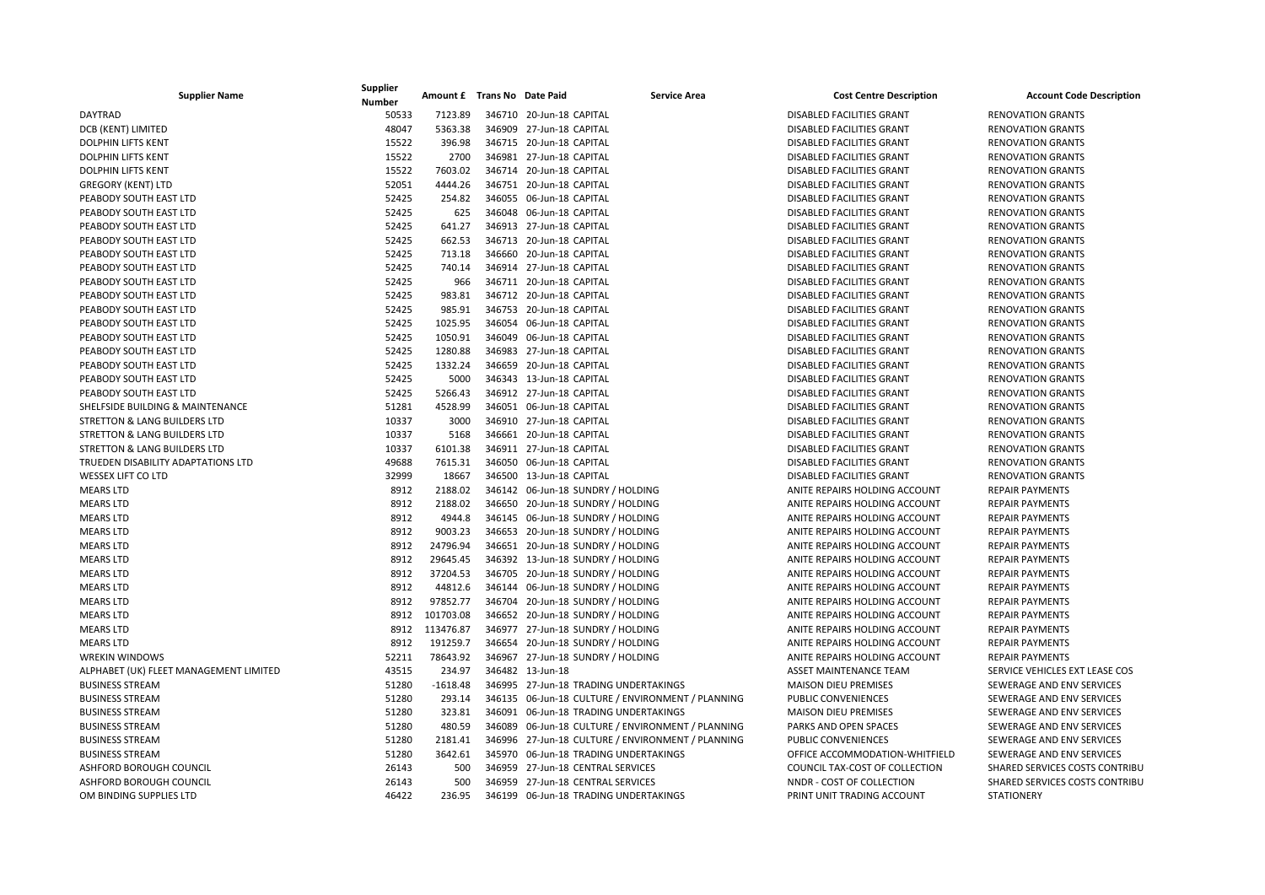| <b>Supplier Name</b>                    | Supplier<br>Number | Amount £ Trans No Date Paid | <b>Service Area</b>                               | <b>Cost Centre Description</b>   | <b>Account Code Description</b> |
|-----------------------------------------|--------------------|-----------------------------|---------------------------------------------------|----------------------------------|---------------------------------|
| <b>DAYTRAD</b>                          | 50533              | 7123.89                     | 346710 20-Jun-18 CAPITAL                          | <b>DISABLED FACILITIES GRANT</b> | <b>RENOVATION GRANTS</b>        |
| DCB (KENT) LIMITED                      | 48047              | 5363.38                     | 346909 27-Jun-18 CAPITAL                          | <b>DISABLED FACILITIES GRANT</b> | <b>RENOVATION GRANTS</b>        |
| <b>DOLPHIN LIFTS KENT</b>               | 15522              | 396.98                      | 346715 20-Jun-18 CAPITAL                          | <b>DISABLED FACILITIES GRANT</b> | <b>RENOVATION GRANTS</b>        |
| <b>DOLPHIN LIFTS KENT</b>               | 15522              | 2700                        | 346981 27-Jun-18 CAPITAL                          | <b>DISABLED FACILITIES GRANT</b> | <b>RENOVATION GRANTS</b>        |
| <b>DOLPHIN LIFTS KENT</b>               | 15522              | 7603.02                     | 346714 20-Jun-18 CAPITAL                          | DISABLED FACILITIES GRANT        | <b>RENOVATION GRANTS</b>        |
| <b>GREGORY (KENT) LTD</b>               | 52051              | 4444.26                     | 346751 20-Jun-18 CAPITAL                          | <b>DISABLED FACILITIES GRANT</b> | <b>RENOVATION GRANTS</b>        |
| PEABODY SOUTH EAST LTD                  | 52425              | 254.82                      | 346055 06-Jun-18 CAPITAL                          | <b>DISABLED FACILITIES GRANT</b> | <b>RENOVATION GRANTS</b>        |
| PEABODY SOUTH EAST LTD                  | 52425              | 625                         | 346048 06-Jun-18 CAPITAL                          | DISABLED FACILITIES GRANT        | <b>RENOVATION GRANTS</b>        |
| PEABODY SOUTH EAST LTD                  | 52425              | 641.27                      | 346913 27-Jun-18 CAPITAL                          | DISABLED FACILITIES GRANT        | <b>RENOVATION GRANTS</b>        |
| PEABODY SOUTH EAST LTD                  | 52425              | 662.53                      | 346713 20-Jun-18 CAPITAL                          | DISABLED FACILITIES GRANT        | <b>RENOVATION GRANTS</b>        |
| PEABODY SOUTH EAST LTD                  | 52425              | 713.18                      | 346660 20-Jun-18 CAPITAL                          | <b>DISABLED FACILITIES GRANT</b> | <b>RENOVATION GRANTS</b>        |
| PEABODY SOUTH EAST LTD                  | 52425              | 740.14                      | 346914 27-Jun-18 CAPITAL                          | DISABLED FACILITIES GRANT        | <b>RENOVATION GRANTS</b>        |
| PEABODY SOUTH EAST LTD                  | 52425              | 966                         | 346711 20-Jun-18 CAPITAL                          | <b>DISABLED FACILITIES GRANT</b> | <b>RENOVATION GRANTS</b>        |
| PEABODY SOUTH EAST LTD                  | 52425              | 983.81                      | 346712 20-Jun-18 CAPITAL                          | DISABLED FACILITIES GRANT        | <b>RENOVATION GRANTS</b>        |
| PEABODY SOUTH EAST LTD                  | 52425              | 985.91                      | 346753 20-Jun-18 CAPITAL                          | <b>DISABLED FACILITIES GRANT</b> | <b>RENOVATION GRANTS</b>        |
| PEABODY SOUTH EAST LTD                  | 52425              | 1025.95                     | 346054 06-Jun-18 CAPITAL                          | DISABLED FACILITIES GRANT        | <b>RENOVATION GRANTS</b>        |
| PEABODY SOUTH EAST LTD                  | 52425              | 1050.91                     | 346049 06-Jun-18 CAPITAL                          | DISABLED FACILITIES GRANT        | <b>RENOVATION GRANTS</b>        |
| PEABODY SOUTH EAST LTD                  | 52425              | 1280.88                     | 346983 27-Jun-18 CAPITAL                          | DISABLED FACILITIES GRANT        | <b>RENOVATION GRANTS</b>        |
| PEABODY SOUTH EAST LTD                  | 52425              | 1332.24                     | 346659 20-Jun-18 CAPITAL                          | DISABLED FACILITIES GRANT        | <b>RENOVATION GRANTS</b>        |
| PEABODY SOUTH EAST LTD                  | 52425              | 5000                        | 346343 13-Jun-18 CAPITAL                          | DISABLED FACILITIES GRANT        | <b>RENOVATION GRANTS</b>        |
| PEABODY SOUTH EAST LTD                  | 52425              | 5266.43                     | 346912 27-Jun-18 CAPITAL                          | DISABLED FACILITIES GRANT        | <b>RENOVATION GRANTS</b>        |
| SHELFSIDE BUILDING & MAINTENANCE        | 51281              | 4528.99                     | 346051 06-Jun-18 CAPITAL                          | DISABLED FACILITIES GRANT        | <b>RENOVATION GRANTS</b>        |
| <b>STRETTON &amp; LANG BUILDERS LTD</b> | 10337              | 3000                        | 346910 27-Jun-18 CAPITAL                          | DISABLED FACILITIES GRANT        | <b>RENOVATION GRANTS</b>        |
| STRETTON & LANG BUILDERS LTD            | 10337              | 5168                        | 346661 20-Jun-18 CAPITAL                          | DISABLED FACILITIES GRANT        | <b>RENOVATION GRANTS</b>        |
| <b>STRETTON &amp; LANG BUILDERS LTD</b> | 10337              | 6101.38                     | 346911 27-Jun-18 CAPITAL                          | DISABLED FACILITIES GRANT        | <b>RENOVATION GRANTS</b>        |
| TRUEDEN DISABILITY ADAPTATIONS LTD      | 49688              | 7615.31                     | 346050 06-Jun-18 CAPITAL                          | DISABLED FACILITIES GRANT        | <b>RENOVATION GRANTS</b>        |
| <b>WESSEX LIFT CO LTD</b>               | 32999              | 18667                       | 346500 13-Jun-18 CAPITAL                          | DISABLED FACILITIES GRANT        | <b>RENOVATION GRANTS</b>        |
| <b>MEARS LTD</b>                        | 8912               | 2188.02                     | 346142 06-Jun-18 SUNDRY / HOLDING                 | ANITE REPAIRS HOLDING ACCOUNT    | <b>REPAIR PAYMENTS</b>          |
| <b>MEARS LTD</b>                        | 8912               | 2188.02                     | 346650 20-Jun-18 SUNDRY / HOLDING                 | ANITE REPAIRS HOLDING ACCOUNT    | <b>REPAIR PAYMENTS</b>          |
| <b>MEARS LTD</b>                        | 8912               | 4944.8                      | 346145 06-Jun-18 SUNDRY / HOLDING                 | ANITE REPAIRS HOLDING ACCOUNT    | <b>REPAIR PAYMENTS</b>          |
| <b>MEARS LTD</b>                        | 8912               | 9003.23                     | 346653 20-Jun-18 SUNDRY / HOLDING                 | ANITE REPAIRS HOLDING ACCOUNT    | <b>REPAIR PAYMENTS</b>          |
| <b>MEARS LTD</b>                        | 8912               | 24796.94                    | 346651 20-Jun-18 SUNDRY / HOLDING                 | ANITE REPAIRS HOLDING ACCOUNT    | <b>REPAIR PAYMENTS</b>          |
| <b>MEARS LTD</b>                        | 8912               | 29645.45                    | 346392 13-Jun-18 SUNDRY / HOLDING                 | ANITE REPAIRS HOLDING ACCOUNT    | <b>REPAIR PAYMENTS</b>          |
| <b>MEARS LTD</b>                        | 8912               | 37204.53                    | 346705 20-Jun-18 SUNDRY / HOLDING                 | ANITE REPAIRS HOLDING ACCOUNT    | <b>REPAIR PAYMENTS</b>          |
| <b>MEARS LTD</b>                        | 8912               | 44812.6                     | 346144 06-Jun-18 SUNDRY / HOLDING                 | ANITE REPAIRS HOLDING ACCOUNT    | <b>REPAIR PAYMENTS</b>          |
| <b>MEARS LTD</b>                        | 8912               | 97852.77                    | 346704 20-Jun-18 SUNDRY / HOLDING                 | ANITE REPAIRS HOLDING ACCOUNT    | <b>REPAIR PAYMENTS</b>          |
| <b>MEARS LTD</b>                        | 8912               | 101703.08                   | 346652 20-Jun-18 SUNDRY / HOLDING                 | ANITE REPAIRS HOLDING ACCOUNT    | <b>REPAIR PAYMENTS</b>          |
| <b>MEARS LTD</b>                        | 8912               | 113476.87                   | 346977 27-Jun-18 SUNDRY / HOLDING                 | ANITE REPAIRS HOLDING ACCOUNT    | <b>REPAIR PAYMENTS</b>          |
| <b>MEARS LTD</b>                        | 8912               | 191259.7                    | 346654 20-Jun-18 SUNDRY / HOLDING                 | ANITE REPAIRS HOLDING ACCOUNT    | <b>REPAIR PAYMENTS</b>          |
| <b>WREKIN WINDOWS</b>                   | 52211              | 78643.92                    | 346967 27-Jun-18 SUNDRY / HOLDING                 | ANITE REPAIRS HOLDING ACCOUNT    | <b>REPAIR PAYMENTS</b>          |
| ALPHABET (UK) FLEET MANAGEMENT LIMITED  | 43515              | 234.97                      | 346482 13-Jun-18                                  | ASSET MAINTENANCE TEAM           | SERVICE VEHICLES EXT LEASE COS  |
| <b>BUSINESS STREAM</b>                  | 51280              | $-1618.48$                  | 346995 27-Jun-18 TRADING UNDERTAKINGS             | <b>MAISON DIEU PREMISES</b>      | SEWERAGE AND ENV SERVICES       |
| <b>BUSINESS STREAM</b>                  | 51280              | 293.14                      | 346135 06-Jun-18 CULTURE / ENVIRONMENT / PLANNING | PUBLIC CONVENIENCES              | SEWERAGE AND ENV SERVICES       |
| <b>BUSINESS STREAM</b>                  | 51280              | 323.81                      | 346091 06-Jun-18 TRADING UNDERTAKINGS             | <b>MAISON DIEU PREMISES</b>      | SEWERAGE AND ENV SERVICES       |
| <b>BUSINESS STREAM</b>                  | 51280              | 480.59                      | 346089 06-Jun-18 CULTURE / ENVIRONMENT / PLANNING | PARKS AND OPEN SPACES            | SEWERAGE AND ENV SERVICES       |
| <b>BUSINESS STREAM</b>                  | 51280              | 2181.41                     | 346996 27-Jun-18 CULTURE / ENVIRONMENT / PLANNING | PUBLIC CONVENIENCES              | SEWERAGE AND ENV SERVICES       |
| <b>BUSINESS STREAM</b>                  | 51280              | 3642.61                     | 345970 06-Jun-18 TRADING UNDERTAKINGS             | OFFICE ACCOMMODATION-WHITFIELD   | SEWERAGE AND ENV SERVICES       |
| ASHFORD BOROUGH COUNCIL                 | 26143              | 500                         | 346959 27-Jun-18 CENTRAL SERVICES                 | COUNCIL TAX-COST OF COLLECTION   | SHARED SERVICES COSTS CONTRIBU  |
| ASHFORD BOROUGH COUNCIL                 | 26143              | 500                         | 346959 27-Jun-18 CENTRAL SERVICES                 | NNDR - COST OF COLLECTION        | SHARED SERVICES COSTS CONTRIBU  |
| OM BINDING SUPPLIES LTD                 | 46422              | 236.95                      | 346199 06-Jun-18 TRADING UNDERTAKINGS             | PRINT UNIT TRADING ACCOUNT       | <b>STATIONERY</b>               |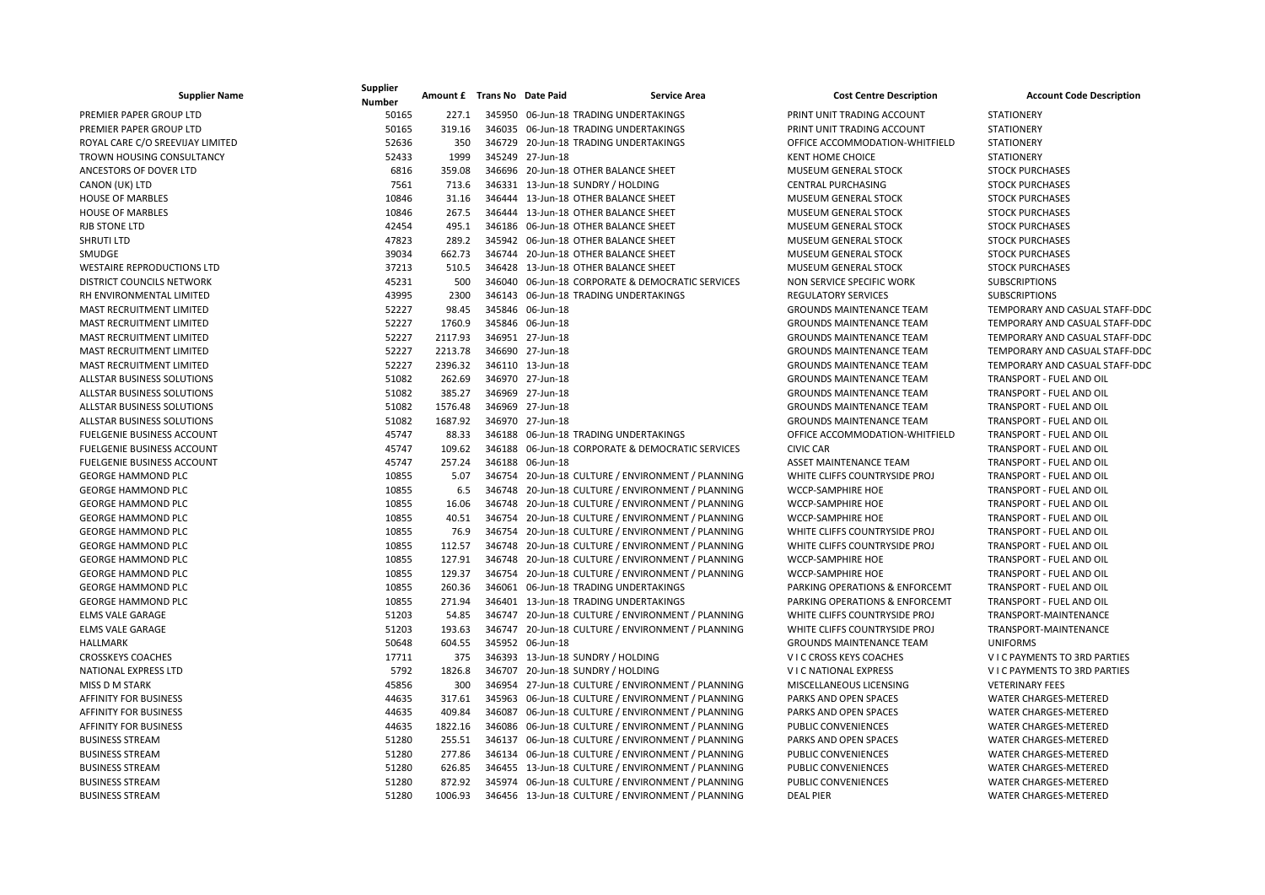| <b>Supplier Name</b>              | Supplier<br><b>Number</b> | Amount £ Trans No Date Paid | <b>Service Area</b>                               | <b>Cost Centre Description</b>            | <b>Account Code Description</b> |
|-----------------------------------|---------------------------|-----------------------------|---------------------------------------------------|-------------------------------------------|---------------------------------|
| PREMIER PAPER GROUP LTD           | 50165                     | 227.1                       | 345950 06-Jun-18 TRADING UNDERTAKINGS             | PRINT UNIT TRADING ACCOUNT                | <b>STATIONERY</b>               |
| PREMIER PAPER GROUP LTD           | 50165                     | 319.16                      | 346035 06-Jun-18 TRADING UNDERTAKINGS             | PRINT UNIT TRADING ACCOUNT                | <b>STATIONERY</b>               |
| ROYAL CARE C/O SREEVIJAY LIMITED  | 52636                     | 350                         | 346729 20-Jun-18 TRADING UNDERTAKINGS             | OFFICE ACCOMMODATION-WHITFIELD            | <b>STATIONERY</b>               |
| <b>TROWN HOUSING CONSULTANCY</b>  | 52433                     | 1999                        | 345249 27-Jun-18                                  | <b>KENT HOME CHOICE</b>                   | <b>STATIONERY</b>               |
| ANCESTORS OF DOVER LTD            | 6816                      | 359.08                      | 346696 20-Jun-18 OTHER BALANCE SHEET              | MUSEUM GENERAL STOCK                      | <b>STOCK PURCHASES</b>          |
| CANON (UK) LTD                    | 7561                      | 713.6                       | 346331 13-Jun-18 SUNDRY / HOLDING                 | <b>CENTRAL PURCHASING</b>                 | <b>STOCK PURCHASES</b>          |
| <b>HOUSE OF MARBLES</b>           | 10846                     | 31.16                       | 346444 13-Jun-18 OTHER BALANCE SHEET              | MUSEUM GENERAL STOCK                      | <b>STOCK PURCHASES</b>          |
| <b>HOUSE OF MARBLES</b>           | 10846                     | 267.5                       | 346444 13-Jun-18 OTHER BALANCE SHEET              | MUSEUM GENERAL STOCK                      | <b>STOCK PURCHASES</b>          |
| <b>RJB STONE LTD</b>              | 42454                     | 495.1                       | 346186 06-Jun-18 OTHER BALANCE SHEET              | <b>MUSEUM GENERAL STOCK</b>               | <b>STOCK PURCHASES</b>          |
| <b>SHRUTI LTD</b>                 | 47823                     | 289.2                       | 345942 06-Jun-18 OTHER BALANCE SHEET              | MUSEUM GENERAL STOCK                      | <b>STOCK PURCHASES</b>          |
| SMUDGE                            | 39034                     | 662.73                      | 346744 20-Jun-18 OTHER BALANCE SHEET              | MUSEUM GENERAL STOCK                      | <b>STOCK PURCHASES</b>          |
| <b>WESTAIRE REPRODUCTIONS LTD</b> | 37213                     | 510.5                       | 346428 13-Jun-18 OTHER BALANCE SHEET              | MUSEUM GENERAL STOCK                      | <b>STOCK PURCHASES</b>          |
| DISTRICT COUNCILS NETWORK         | 45231                     | 500                         | 346040 06-Jun-18 CORPORATE & DEMOCRATIC SERVICES  | NON SERVICE SPECIFIC WORK                 | <b>SUBSCRIPTIONS</b>            |
| RH ENVIRONMENTAL LIMITED          | 43995                     | 2300                        | 346143 06-Jun-18 TRADING UNDERTAKINGS             | <b>REGULATORY SERVICES</b>                | <b>SUBSCRIPTIONS</b>            |
| MAST RECRUITMENT LIMITED          | 52227                     | 98.45                       | 345846 06-Jun-18                                  | <b>GROUNDS MAINTENANCE TEAM</b>           | TEMPORARY AND CASUAL STAFF-DDC  |
| <b>MAST RECRUITMENT LIMITED</b>   | 52227                     | 1760.9                      | 345846 06-Jun-18                                  | <b>GROUNDS MAINTENANCE TEAM</b>           | TEMPORARY AND CASUAL STAFF-DDC  |
| MAST RECRUITMENT LIMITED          | 52227                     | 2117.93                     | 346951 27-Jun-18                                  | <b>GROUNDS MAINTENANCE TEAM</b>           | TEMPORARY AND CASUAL STAFF-DDC  |
| MAST RECRUITMENT LIMITED          | 52227                     | 2213.78                     | 346690 27-Jun-18                                  | <b>GROUNDS MAINTENANCE TEAM</b>           | TEMPORARY AND CASUAL STAFF-DDC  |
| MAST RECRUITMENT LIMITED          | 52227                     | 2396.32                     | 346110 13-Jun-18                                  | <b>GROUNDS MAINTENANCE TEAM</b>           | TEMPORARY AND CASUAL STAFF-DDC  |
| <b>ALLSTAR BUSINESS SOLUTIONS</b> | 51082                     | 262.69                      | 346970 27-Jun-18                                  | <b>GROUNDS MAINTENANCE TEAM</b>           | TRANSPORT - FUEL AND OIL        |
| ALLSTAR BUSINESS SOLUTIONS        | 51082                     | 385.27                      | 346969 27-Jun-18                                  | <b>GROUNDS MAINTENANCE TEAM</b>           | <b>TRANSPORT - FUEL AND OIL</b> |
| ALLSTAR BUSINESS SOLUTIONS        | 51082                     | 1576.48                     | 346969 27-Jun-18                                  | <b>GROUNDS MAINTENANCE TEAM</b>           | TRANSPORT - FUEL AND OIL        |
| ALLSTAR BUSINESS SOLUTIONS        | 51082                     | 1687.92                     | 346970 27-Jun-18                                  | <b>GROUNDS MAINTENANCE TEAM</b>           | TRANSPORT - FUEL AND OIL        |
| <b>FUELGENIE BUSINESS ACCOUNT</b> | 45747                     | 88.33                       | 346188 06-Jun-18 TRADING UNDERTAKINGS             | OFFICE ACCOMMODATION-WHITFIELD            | TRANSPORT - FUEL AND OIL        |
| <b>FUELGENIE BUSINESS ACCOUNT</b> | 45747                     | 109.62                      | 346188 06-Jun-18 CORPORATE & DEMOCRATIC SERVICES  | <b>CIVIC CAR</b>                          | TRANSPORT - FUEL AND OIL        |
| <b>FUELGENIE BUSINESS ACCOUNT</b> | 45747                     | 257.24                      | 346188 06-Jun-18                                  | ASSET MAINTENANCE TEAM                    | TRANSPORT - FUEL AND OIL        |
| <b>GEORGE HAMMOND PLC</b>         | 10855                     | 5.07                        | 346754 20-Jun-18 CULTURE / ENVIRONMENT / PLANNING | WHITE CLIFFS COUNTRYSIDE PROJ             | TRANSPORT - FUEL AND OIL        |
| <b>GEORGE HAMMOND PLC</b>         | 10855                     | 6.5                         | 346748 20-Jun-18 CULTURE / ENVIRONMENT / PLANNING | WCCP-SAMPHIRE HOE                         | TRANSPORT - FUEL AND OIL        |
| <b>GEORGE HAMMOND PLC</b>         | 10855                     | 16.06                       | 346748 20-Jun-18 CULTURE / ENVIRONMENT / PLANNING | WCCP-SAMPHIRE HOE                         | TRANSPORT - FUEL AND OIL        |
| <b>GEORGE HAMMOND PLC</b>         | 10855                     | 40.51                       | 346754 20-Jun-18 CULTURE / ENVIRONMENT / PLANNING | WCCP-SAMPHIRE HOE                         | TRANSPORT - FUEL AND OIL        |
| <b>GEORGE HAMMOND PLC</b>         | 10855                     | 76.9                        | 346754 20-Jun-18 CULTURE / ENVIRONMENT / PLANNING | WHITE CLIFFS COUNTRYSIDE PROJ             | TRANSPORT - FUEL AND OIL        |
| <b>GEORGE HAMMOND PLC</b>         | 10855                     | 112.57                      | 346748 20-Jun-18 CULTURE / ENVIRONMENT / PLANNING | WHITE CLIFFS COUNTRYSIDE PROJ             | TRANSPORT - FUEL AND OIL        |
| <b>GEORGE HAMMOND PLC</b>         | 10855                     | 127.91                      | 346748 20-Jun-18 CULTURE / ENVIRONMENT / PLANNING | WCCP-SAMPHIRE HOE                         | TRANSPORT - FUEL AND OIL        |
| <b>GEORGE HAMMOND PLC</b>         | 10855                     | 129.37                      | 346754 20-Jun-18 CULTURE / ENVIRONMENT / PLANNING | WCCP-SAMPHIRE HOE                         | TRANSPORT - FUEL AND OIL        |
| <b>GEORGE HAMMOND PLC</b>         | 10855                     | 260.36                      | 346061 06-Jun-18 TRADING UNDERTAKINGS             | PARKING OPERATIONS & ENFORCEMT            | TRANSPORT - FUEL AND OIL        |
| <b>GEORGE HAMMOND PLC</b>         | 10855                     | 271.94                      | 346401 13-Jun-18 TRADING UNDERTAKINGS             | <b>PARKING OPERATIONS &amp; ENFORCEMT</b> | <b>TRANSPORT - FUEL AND OIL</b> |
| <b>ELMS VALE GARAGE</b>           | 51203                     | 54.85                       | 346747 20-Jun-18 CULTURE / ENVIRONMENT / PLANNING | WHITE CLIFFS COUNTRYSIDE PROJ             | TRANSPORT-MAINTENANCE           |
| <b>ELMS VALE GARAGE</b>           | 51203                     | 193.63                      | 346747 20-Jun-18 CULTURE / ENVIRONMENT / PLANNING | WHITE CLIFFS COUNTRYSIDE PROJ             | TRANSPORT-MAINTENANCE           |
| <b>HALLMARK</b>                   | 50648                     | 604.55                      | 345952 06-Jun-18                                  | <b>GROUNDS MAINTENANCE TEAM</b>           | <b>UNIFORMS</b>                 |
| <b>CROSSKEYS COACHES</b>          | 17711                     | 375                         | 346393 13-Jun-18 SUNDRY / HOLDING                 | V I C CROSS KEYS COACHES                  | V I C PAYMENTS TO 3RD PARTIES   |
| NATIONAL EXPRESS LTD              | 5792                      | 1826.8                      | 346707 20-Jun-18 SUNDRY / HOLDING                 | V I C NATIONAL EXPRESS                    | VIC PAYMENTS TO 3RD PARTIES     |
| <b>MISS D M STARK</b>             | 45856                     | 300                         | 346954 27-Jun-18 CULTURE / ENVIRONMENT / PLANNING | MISCELLANEOUS LICENSING                   | <b>VETERINARY FEES</b>          |
| <b>AFFINITY FOR BUSINESS</b>      | 44635                     | 317.61                      | 345963 06-Jun-18 CULTURE / ENVIRONMENT / PLANNING | PARKS AND OPEN SPACES                     | WATER CHARGES-METERED           |
| <b>AFFINITY FOR BUSINESS</b>      | 44635                     | 409.84                      | 346087 06-Jun-18 CULTURE / ENVIRONMENT / PLANNING | PARKS AND OPEN SPACES                     | WATER CHARGES-METERED           |
| <b>AFFINITY FOR BUSINESS</b>      | 44635                     | 1822.16                     | 346086 06-Jun-18 CULTURE / ENVIRONMENT / PLANNING | PUBLIC CONVENIENCES                       | WATER CHARGES-METERED           |
| <b>BUSINESS STREAM</b>            | 51280                     | 255.51                      | 346137 06-Jun-18 CULTURE / ENVIRONMENT / PLANNING | PARKS AND OPEN SPACES                     | WATER CHARGES-METERED           |
| <b>BUSINESS STREAM</b>            | 51280                     | 277.86                      | 346134 06-Jun-18 CULTURE / ENVIRONMENT / PLANNING | PUBLIC CONVENIENCES                       | WATER CHARGES-METERED           |
| <b>BUSINESS STREAM</b>            | 51280                     | 626.85                      | 346455 13-Jun-18 CULTURE / ENVIRONMENT / PLANNING | <b>PUBLIC CONVENIENCES</b>                | <b>WATER CHARGES-METERED</b>    |
| <b>BUSINESS STREAM</b>            | 51280                     | 872.92                      | 345974 06-Jun-18 CULTURE / ENVIRONMENT / PLANNING | PUBLIC CONVENIENCES                       | WATER CHARGES-METERED           |
| <b>BUSINESS STREAM</b>            | 51280                     | 1006.93                     | 346456 13-Jun-18 CULTURE / ENVIRONMENT / PLANNING | <b>DEAL PIER</b>                          | <b>WATER CHARGES-METERED</b>    |